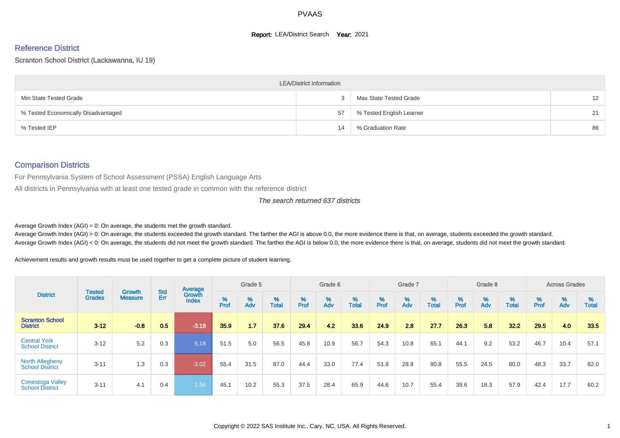#### **Report: LEA/District Search Year: 2021**

# Reference District

#### Scranton School District (Lackawanna, IU 19)

|                                     | <b>LEA/District Information</b> |                          |    |
|-------------------------------------|---------------------------------|--------------------------|----|
| Min State Tested Grade              |                                 | Max State Tested Grade   | 12 |
| % Tested Economically Disadvantaged | 57                              | % Tested English Learner |    |
| % Tested IEP                        | 14                              | % Graduation Rate        | 86 |

#### Comparison Districts

For Pennsylvania System of School Assessment (PSSA) English Language Arts

All districts in Pennsylvania with at least one tested grade in common with the reference district

#### The search returned 637 districts

Average Growth Index  $(AGI) = 0$ : On average, the students met the growth standard.

Average Growth Index (AGI) > 0: On average, the students exceeded the growth standard. The farther the AGI is above 0.0, the more evidence there is that, on average, students exceeded the growth standard. Average Growth Index (AGI) < 0: On average, the students did not meet the growth standard. The farther the AGI is below 0.0, the more evidence there is that, on average, students did not meet the growth standard.

Achievement results and growth results must be used together to get a complete picture of student learning.

| <b>District</b>                                   |                                |                                 |            | Average                |           | Grade 5  |                   |        | Grade 6  |                   |           | Grade 7  |                   |           | Grade 8  |                   |           | <b>Across Grades</b> |                   |
|---------------------------------------------------|--------------------------------|---------------------------------|------------|------------------------|-----------|----------|-------------------|--------|----------|-------------------|-----------|----------|-------------------|-----------|----------|-------------------|-----------|----------------------|-------------------|
|                                                   | <b>Tested</b><br><b>Grades</b> | <b>Growth</b><br><b>Measure</b> | Std<br>Err | Growth<br><b>Index</b> | %<br>Prof | %<br>Adv | %<br><b>Total</b> | % Pref | %<br>Adv | %<br><b>Total</b> | %<br>Prof | %<br>Adv | %<br><b>Total</b> | %<br>Prof | %<br>Adv | %<br><b>Total</b> | %<br>Prof | %<br>Adv             | %<br><b>Total</b> |
| <b>Scranton School</b><br><b>District</b>         | $3 - 12$                       | $-0.8$                          | 0.5        | $-3.18$                | 35.9      | 1.7      | 37.6              | 29.4   | 4.2      | 33.6              | 24.9      | 2.8      | 27.7              | 26.3      | 5.8      | 32.2              | 29.5      | 4.0                  | 33.5              |
| <b>Central York</b><br><b>School District</b>     | $3 - 12$                       | 5.2                             | 0.3        | 5.18                   | 51.5      | 5.0      | 56.5              | 45.8   | 10.9     | 56.7              | 54.3      | 10.8     | 65.1              | 44.1      | 9.2      | 53.2              | 46.7      | 10.4                 | 57.1              |
| <b>North Allegheny</b><br><b>School District</b>  | $3 - 11$                       | 1.3                             | 0.3        | $-3.02$                | 55.4      | 31.5     | 87.0              | 44.4   | 33.0     | 77.4              | 51.9      | 28.9     | 80.8              | 55.5      | 24.5     | 80.0              | 48.3      | 33.7                 | 82.0              |
| <b>Conestoga Valley</b><br><b>School District</b> | $3 - 11$                       | 4.1                             | 0.4        | 1.56                   | 45.1      | 10.2     | 55.3              | 37.5   | 28.4     | 65.9              | 44.6      | 10.7     | 55.4              | 39.6      | 18.3     | 57.9              | 42.4      | 17.7                 | 60.2              |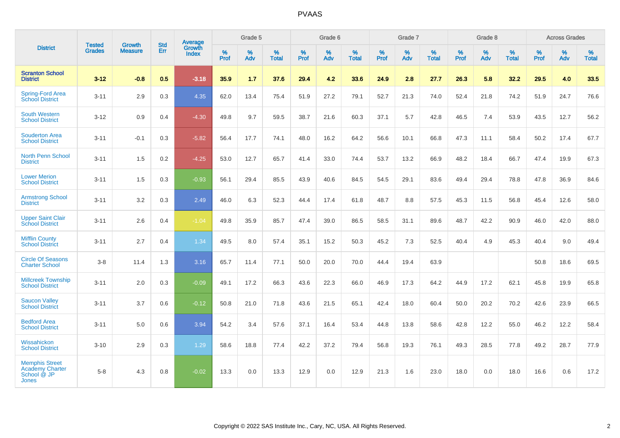|                                                                                | <b>Tested</b> | <b>Growth</b>  | <b>Std</b> | <b>Average</b>         |           | Grade 5  |                   |                  | Grade 6  |                   |           | Grade 7  |                   |                  | Grade 8  |                   |                  | <b>Across Grades</b> |                   |
|--------------------------------------------------------------------------------|---------------|----------------|------------|------------------------|-----------|----------|-------------------|------------------|----------|-------------------|-----------|----------|-------------------|------------------|----------|-------------------|------------------|----------------------|-------------------|
| <b>District</b>                                                                | <b>Grades</b> | <b>Measure</b> | Err        | Growth<br><b>Index</b> | %<br>Prof | %<br>Adv | %<br><b>Total</b> | %<br><b>Prof</b> | %<br>Adv | %<br><b>Total</b> | %<br>Prof | %<br>Adv | %<br><b>Total</b> | %<br><b>Prof</b> | %<br>Adv | %<br><b>Total</b> | %<br><b>Prof</b> | %<br>Adv             | %<br><b>Total</b> |
| <b>Scranton School</b><br><b>District</b>                                      | $3 - 12$      | $-0.8$         | 0.5        | $-3.18$                | 35.9      | 1.7      | 37.6              | 29.4             | 4.2      | 33.6              | 24.9      | 2.8      | 27.7              | 26.3             | 5.8      | 32.2              | 29.5             | 4.0                  | 33.5              |
| <b>Spring-Ford Area</b><br><b>School District</b>                              | $3 - 11$      | 2.9            | 0.3        | 4.35                   | 62.0      | 13.4     | 75.4              | 51.9             | 27.2     | 79.1              | 52.7      | 21.3     | 74.0              | 52.4             | 21.8     | 74.2              | 51.9             | 24.7                 | 76.6              |
| <b>South Western</b><br><b>School District</b>                                 | $3 - 12$      | 0.9            | 0.4        | $-4.30$                | 49.8      | 9.7      | 59.5              | 38.7             | 21.6     | 60.3              | 37.1      | 5.7      | 42.8              | 46.5             | 7.4      | 53.9              | 43.5             | 12.7                 | 56.2              |
| <b>Souderton Area</b><br><b>School District</b>                                | $3 - 11$      | $-0.1$         | 0.3        | $-5.82$                | 56.4      | 17.7     | 74.1              | 48.0             | 16.2     | 64.2              | 56.6      | 10.1     | 66.8              | 47.3             | 11.1     | 58.4              | 50.2             | 17.4                 | 67.7              |
| <b>North Penn School</b><br><b>District</b>                                    | $3 - 11$      | 1.5            | 0.2        | $-4.25$                | 53.0      | 12.7     | 65.7              | 41.4             | 33.0     | 74.4              | 53.7      | 13.2     | 66.9              | 48.2             | 18.4     | 66.7              | 47.4             | 19.9                 | 67.3              |
| <b>Lower Merion</b><br><b>School District</b>                                  | $3 - 11$      | 1.5            | 0.3        | $-0.93$                | 56.1      | 29.4     | 85.5              | 43.9             | 40.6     | 84.5              | 54.5      | 29.1     | 83.6              | 49.4             | 29.4     | 78.8              | 47.8             | 36.9                 | 84.6              |
| <b>Armstrong School</b><br><b>District</b>                                     | $3 - 11$      | 3.2            | 0.3        | 2.49                   | 46.0      | 6.3      | 52.3              | 44.4             | 17.4     | 61.8              | 48.7      | 8.8      | 57.5              | 45.3             | 11.5     | 56.8              | 45.4             | 12.6                 | 58.0              |
| <b>Upper Saint Clair</b><br><b>School District</b>                             | $3 - 11$      | 2.6            | 0.4        | $-1.04$                | 49.8      | 35.9     | 85.7              | 47.4             | 39.0     | 86.5              | 58.5      | 31.1     | 89.6              | 48.7             | 42.2     | 90.9              | 46.0             | 42.0                 | 88.0              |
| <b>Mifflin County</b><br><b>School District</b>                                | $3 - 11$      | 2.7            | 0.4        | 1.34                   | 49.5      | 8.0      | 57.4              | 35.1             | 15.2     | 50.3              | 45.2      | 7.3      | 52.5              | 40.4             | 4.9      | 45.3              | 40.4             | 9.0                  | 49.4              |
| <b>Circle Of Seasons</b><br><b>Charter School</b>                              | $3 - 8$       | 11.4           | 1.3        | 3.16                   | 65.7      | 11.4     | 77.1              | 50.0             | 20.0     | 70.0              | 44.4      | 19.4     | 63.9              |                  |          |                   | 50.8             | 18.6                 | 69.5              |
| <b>Millcreek Township</b><br><b>School District</b>                            | $3 - 11$      | 2.0            | 0.3        | $-0.09$                | 49.1      | 17.2     | 66.3              | 43.6             | 22.3     | 66.0              | 46.9      | 17.3     | 64.2              | 44.9             | 17.2     | 62.1              | 45.8             | 19.9                 | 65.8              |
| <b>Saucon Valley</b><br><b>School District</b>                                 | $3 - 11$      | 3.7            | 0.6        | $-0.12$                | 50.8      | 21.0     | 71.8              | 43.6             | 21.5     | 65.1              | 42.4      | 18.0     | 60.4              | 50.0             | 20.2     | 70.2              | 42.6             | 23.9                 | 66.5              |
| <b>Bedford Area</b><br><b>School District</b>                                  | $3 - 11$      | 5.0            | 0.6        | 3.94                   | 54.2      | 3.4      | 57.6              | 37.1             | 16.4     | 53.4              | 44.8      | 13.8     | 58.6              | 42.8             | 12.2     | 55.0              | 46.2             | 12.2                 | 58.4              |
| Wissahickon<br><b>School District</b>                                          | $3 - 10$      | 2.9            | 0.3        | 1.29                   | 58.6      | 18.8     | 77.4              | 42.2             | 37.2     | 79.4              | 56.8      | 19.3     | 76.1              | 49.3             | 28.5     | 77.8              | 49.2             | 28.7                 | 77.9              |
| <b>Memphis Street</b><br><b>Academy Charter</b><br>School @ JP<br><b>Jones</b> | $5 - 8$       | 4.3            | 0.8        | $-0.02$                | 13.3      | 0.0      | 13.3              | 12.9             | 0.0      | 12.9              | 21.3      | 1.6      | 23.0              | 18.0             | 0.0      | 18.0              | 16.6             | 0.6                  | 17.2              |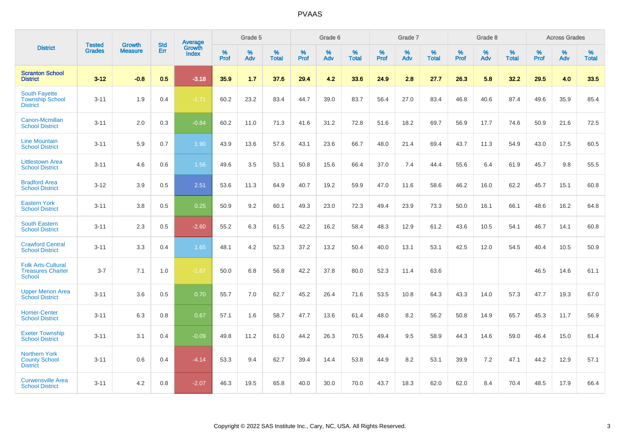|                                                                        | <b>Tested</b> | <b>Growth</b>  | <b>Std</b> | Average                       |           | Grade 5  |                   |           | Grade 6  |                   |           | Grade 7  |                   |           | Grade 8  |                   |           | <b>Across Grades</b> |                   |
|------------------------------------------------------------------------|---------------|----------------|------------|-------------------------------|-----------|----------|-------------------|-----------|----------|-------------------|-----------|----------|-------------------|-----------|----------|-------------------|-----------|----------------------|-------------------|
| <b>District</b>                                                        | <b>Grades</b> | <b>Measure</b> | Err        | <b>Growth</b><br><b>Index</b> | %<br>Prof | %<br>Adv | %<br><b>Total</b> | %<br>Prof | %<br>Adv | %<br><b>Total</b> | %<br>Prof | %<br>Adv | %<br><b>Total</b> | %<br>Prof | %<br>Adv | %<br><b>Total</b> | %<br>Prof | %<br>Adv             | %<br><b>Total</b> |
| <b>Scranton School</b><br><b>District</b>                              | $3 - 12$      | $-0.8$         | 0.5        | $-3.18$                       | 35.9      | 1.7      | 37.6              | 29.4      | 4.2      | 33.6              | 24.9      | 2.8      | 27.7              | 26.3      | 5.8      | 32.2              | 29.5      | 4.0                  | 33.5              |
| <b>South Fayette</b><br><b>Township School</b><br><b>District</b>      | $3 - 11$      | 1.9            | 0.4        | $-1.71$                       | 60.2      | 23.2     | 83.4              | 44.7      | 39.0     | 83.7              | 56.4      | 27.0     | 83.4              | 46.8      | 40.6     | 87.4              | 49.6      | 35.9                 | 85.4              |
| Canon-Mcmillan<br><b>School District</b>                               | $3 - 11$      | 2.0            | 0.3        | $-0.84$                       | 60.2      | 11.0     | 71.3              | 41.6      | 31.2     | 72.8              | 51.6      | 18.2     | 69.7              | 56.9      | 17.7     | 74.6              | 50.9      | 21.6                 | 72.5              |
| <b>Line Mountain</b><br><b>School District</b>                         | $3 - 11$      | 5.9            | 0.7        | 1.90                          | 43.9      | 13.6     | 57.6              | 43.1      | 23.6     | 66.7              | 48.0      | 21.4     | 69.4              | 43.7      | 11.3     | 54.9              | 43.0      | 17.5                 | 60.5              |
| <b>Littlestown Area</b><br><b>School District</b>                      | $3 - 11$      | 4.6            | 0.6        | 1.56                          | 49.6      | 3.5      | 53.1              | 50.8      | 15.6     | 66.4              | 37.0      | 7.4      | 44.4              | 55.6      | 6.4      | 61.9              | 45.7      | 9.8                  | 55.5              |
| <b>Bradford Area</b><br><b>School District</b>                         | $3 - 12$      | 3.9            | 0.5        | 2.51                          | 53.6      | 11.3     | 64.9              | 40.7      | 19.2     | 59.9              | 47.0      | 11.6     | 58.6              | 46.2      | 16.0     | 62.2              | 45.7      | 15.1                 | 60.8              |
| <b>Eastern York</b><br><b>School District</b>                          | $3 - 11$      | 3.8            | 0.5        | 0.25                          | 50.9      | 9.2      | 60.1              | 49.3      | 23.0     | 72.3              | 49.4      | 23.9     | 73.3              | 50.0      | 16.1     | 66.1              | 48.6      | 16.2                 | 64.8              |
| <b>South Eastern</b><br><b>School District</b>                         | $3 - 11$      | 2.3            | 0.5        | $-2.60$                       | 55.2      | 6.3      | 61.5              | 42.2      | 16.2     | 58.4              | 48.3      | 12.9     | 61.2              | 43.6      | 10.5     | 54.1              | 46.7      | 14.1                 | 60.8              |
| <b>Crawford Central</b><br><b>School District</b>                      | $3 - 11$      | 3.3            | 0.4        | 1.65                          | 48.1      | 4.2      | 52.3              | 37.2      | 13.2     | 50.4              | 40.0      | 13.1     | 53.1              | 42.5      | 12.0     | 54.5              | 40.4      | 10.5                 | 50.9              |
| <b>Folk Arts-Cultural</b><br><b>Treasures Charter</b><br><b>School</b> | $3 - 7$       | 7.1            | 1.0        | $-1.67$                       | 50.0      | 6.8      | 56.8              | 42.2      | 37.8     | 80.0              | 52.3      | 11.4     | 63.6              |           |          |                   | 46.5      | 14.6                 | 61.1              |
| <b>Upper Merion Area</b><br><b>School District</b>                     | $3 - 11$      | 3.6            | 0.5        | 0.70                          | 55.7      | 7.0      | 62.7              | 45.2      | 26.4     | 71.6              | 53.5      | 10.8     | 64.3              | 43.3      | 14.0     | 57.3              | 47.7      | 19.3                 | 67.0              |
| <b>Homer-Center</b><br><b>School District</b>                          | $3 - 11$      | 6.3            | 0.8        | 0.67                          | 57.1      | 1.6      | 58.7              | 47.7      | 13.6     | 61.4              | 48.0      | 8.2      | 56.2              | 50.8      | 14.9     | 65.7              | 45.3      | 11.7                 | 56.9              |
| <b>Exeter Township</b><br><b>School District</b>                       | $3 - 11$      | 3.1            | 0.4        | $-0.09$                       | 49.8      | 11.2     | 61.0              | 44.2      | 26.3     | 70.5              | 49.4      | 9.5      | 58.9              | 44.3      | 14.6     | 59.0              | 46.4      | 15.0                 | 61.4              |
| <b>Northern York</b><br><b>County School</b><br><b>District</b>        | $3 - 11$      | 0.6            | 0.4        | $-4.14$                       | 53.3      | 9.4      | 62.7              | 39.4      | 14.4     | 53.8              | 44.9      | 8.2      | 53.1              | 39.9      | 7.2      | 47.1              | 44.2      | 12.9                 | 57.1              |
| <b>Curwensville Area</b><br><b>School District</b>                     | $3 - 11$      | 4.2            | 0.8        | $-2.07$                       | 46.3      | 19.5     | 65.8              | 40.0      | 30.0     | 70.0              | 43.7      | 18.3     | 62.0              | 62.0      | 8.4      | 70.4              | 48.5      | 17.9                 | 66.4              |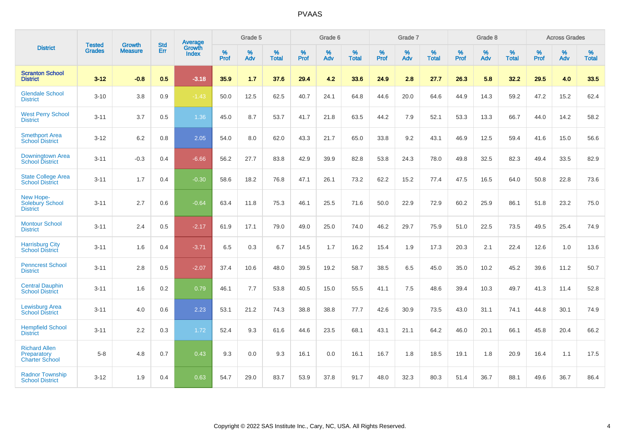| <b>District</b>                                              | <b>Tested</b> | <b>Growth</b>  | <b>Std</b> | <b>Average</b>  |           | Grade 5  |                   |           | Grade 6  |                   |           | Grade 7  |                   |           | Grade 8  |                   |           | <b>Across Grades</b> |                   |
|--------------------------------------------------------------|---------------|----------------|------------|-----------------|-----------|----------|-------------------|-----------|----------|-------------------|-----------|----------|-------------------|-----------|----------|-------------------|-----------|----------------------|-------------------|
|                                                              | <b>Grades</b> | <b>Measure</b> | Err        | Growth<br>Index | %<br>Prof | %<br>Adv | %<br><b>Total</b> | %<br>Prof | %<br>Adv | %<br><b>Total</b> | %<br>Prof | %<br>Adv | %<br><b>Total</b> | %<br>Prof | %<br>Adv | %<br><b>Total</b> | %<br>Prof | %<br>Adv             | %<br><b>Total</b> |
| <b>Scranton School</b><br><b>District</b>                    | $3 - 12$      | $-0.8$         | 0.5        | $-3.18$         | 35.9      | 1.7      | 37.6              | 29.4      | 4.2      | 33.6              | 24.9      | 2.8      | 27.7              | 26.3      | 5.8      | 32.2              | 29.5      | 4.0                  | 33.5              |
| <b>Glendale School</b><br><b>District</b>                    | $3 - 10$      | 3.8            | 0.9        | $-1.43$         | 50.0      | 12.5     | 62.5              | 40.7      | 24.1     | 64.8              | 44.6      | 20.0     | 64.6              | 44.9      | 14.3     | 59.2              | 47.2      | 15.2                 | 62.4              |
| <b>West Perry School</b><br><b>District</b>                  | $3 - 11$      | 3.7            | 0.5        | 1.36            | 45.0      | 8.7      | 53.7              | 41.7      | 21.8     | 63.5              | 44.2      | 7.9      | 52.1              | 53.3      | 13.3     | 66.7              | 44.0      | 14.2                 | 58.2              |
| <b>Smethport Area</b><br><b>School District</b>              | $3 - 12$      | 6.2            | 0.8        | 2.05            | 54.0      | 8.0      | 62.0              | 43.3      | 21.7     | 65.0              | 33.8      | 9.2      | 43.1              | 46.9      | 12.5     | 59.4              | 41.6      | 15.0                 | 56.6              |
| Downingtown Area<br><b>School District</b>                   | $3 - 11$      | $-0.3$         | 0.4        | $-6.66$         | 56.2      | 27.7     | 83.8              | 42.9      | 39.9     | 82.8              | 53.8      | 24.3     | 78.0              | 49.8      | 32.5     | 82.3              | 49.4      | 33.5                 | 82.9              |
| <b>State College Area</b><br><b>School District</b>          | $3 - 11$      | 1.7            | 0.4        | $-0.30$         | 58.6      | 18.2     | 76.8              | 47.1      | 26.1     | 73.2              | 62.2      | 15.2     | 77.4              | 47.5      | 16.5     | 64.0              | 50.8      | 22.8                 | 73.6              |
| New Hope-<br><b>Solebury School</b><br><b>District</b>       | $3 - 11$      | 2.7            | 0.6        | $-0.64$         | 63.4      | 11.8     | 75.3              | 46.1      | 25.5     | 71.6              | 50.0      | 22.9     | 72.9              | 60.2      | 25.9     | 86.1              | 51.8      | 23.2                 | 75.0              |
| <b>Montour School</b><br><b>District</b>                     | $3 - 11$      | 2.4            | 0.5        | $-2.17$         | 61.9      | 17.1     | 79.0              | 49.0      | 25.0     | 74.0              | 46.2      | 29.7     | 75.9              | 51.0      | 22.5     | 73.5              | 49.5      | 25.4                 | 74.9              |
| <b>Harrisburg City</b><br><b>School District</b>             | $3 - 11$      | 1.6            | 0.4        | $-3.71$         | 6.5       | 0.3      | 6.7               | 14.5      | 1.7      | 16.2              | 15.4      | 1.9      | 17.3              | 20.3      | 2.1      | 22.4              | 12.6      | 1.0                  | 13.6              |
| <b>Penncrest School</b><br><b>District</b>                   | $3 - 11$      | 2.8            | 0.5        | $-2.07$         | 37.4      | 10.6     | 48.0              | 39.5      | 19.2     | 58.7              | 38.5      | 6.5      | 45.0              | 35.0      | 10.2     | 45.2              | 39.6      | 11.2                 | 50.7              |
| <b>Central Dauphin</b><br><b>School District</b>             | $3 - 11$      | 1.6            | 0.2        | 0.79            | 46.1      | 7.7      | 53.8              | 40.5      | 15.0     | 55.5              | 41.1      | 7.5      | 48.6              | 39.4      | 10.3     | 49.7              | 41.3      | 11.4                 | 52.8              |
| <b>Lewisburg Area</b><br><b>School District</b>              | $3 - 11$      | 4.0            | 0.6        | 2.23            | 53.1      | 21.2     | 74.3              | 38.8      | 38.8     | 77.7              | 42.6      | 30.9     | 73.5              | 43.0      | 31.1     | 74.1              | 44.8      | 30.1                 | 74.9              |
| <b>Hempfield School</b><br><b>District</b>                   | $3 - 11$      | 2.2            | 0.3        | 1.72            | 52.4      | 9.3      | 61.6              | 44.6      | 23.5     | 68.1              | 43.1      | 21.1     | 64.2              | 46.0      | 20.1     | 66.1              | 45.8      | 20.4                 | 66.2              |
| <b>Richard Allen</b><br>Preparatory<br><b>Charter School</b> | $5-8$         | 4.8            | 0.7        | 0.43            | 9.3       | 0.0      | 9.3               | 16.1      | 0.0      | 16.1              | 16.7      | 1.8      | 18.5              | 19.1      | 1.8      | 20.9              | 16.4      | 1.1                  | 17.5              |
| <b>Radnor Township</b><br><b>School District</b>             | $3 - 12$      | 1.9            | 0.4        | 0.63            | 54.7      | 29.0     | 83.7              | 53.9      | 37.8     | 91.7              | 48.0      | 32.3     | 80.3              | 51.4      | 36.7     | 88.1              | 49.6      | 36.7                 | 86.4              |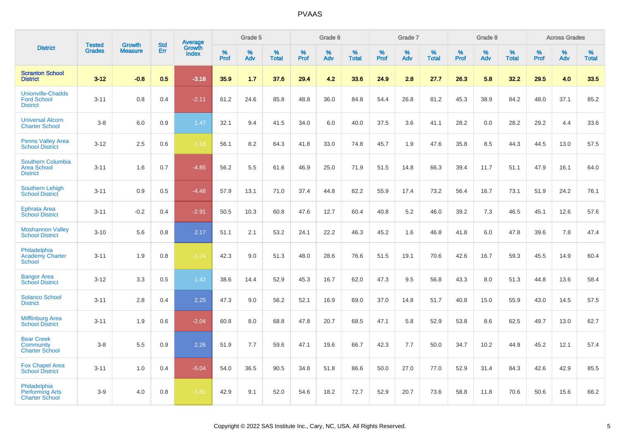|                                                                   |                                |                                 |                   | <b>Average</b>         |                     | Grade 5  |                   |           | Grade 6  |                   |           | Grade 7  |                   |           | Grade 8  |                   |              | <b>Across Grades</b> |                   |
|-------------------------------------------------------------------|--------------------------------|---------------------------------|-------------------|------------------------|---------------------|----------|-------------------|-----------|----------|-------------------|-----------|----------|-------------------|-----------|----------|-------------------|--------------|----------------------|-------------------|
| <b>District</b>                                                   | <b>Tested</b><br><b>Grades</b> | <b>Growth</b><br><b>Measure</b> | <b>Std</b><br>Err | Growth<br><b>Index</b> | $\%$<br><b>Prof</b> | %<br>Adv | %<br><b>Total</b> | %<br>Prof | %<br>Adv | %<br><b>Total</b> | %<br>Prof | %<br>Adv | %<br><b>Total</b> | %<br>Prof | %<br>Adv | %<br><b>Total</b> | $\%$<br>Prof | %<br>Adv             | %<br><b>Total</b> |
| <b>Scranton School</b><br><b>District</b>                         | $3 - 12$                       | $-0.8$                          | 0.5               | $-3.18$                | 35.9                | 1.7      | 37.6              | 29.4      | 4.2      | 33.6              | 24.9      | 2.8      | 27.7              | 26.3      | 5.8      | 32.2              | 29.5         | 4.0                  | 33.5              |
| <b>Unionville-Chadds</b><br><b>Ford School</b><br><b>District</b> | $3 - 11$                       | 0.8                             | 0.4               | $-2.11$                | 61.2                | 24.6     | 85.8              | 48.8      | 36.0     | 84.8              | 54.4      | 26.8     | 81.2              | 45.3      | 38.9     | 84.2              | 48.0         | 37.1                 | 85.2              |
| <b>Universal Alcorn</b><br><b>Charter School</b>                  | $3-8$                          | 6.0                             | 0.9               | 1.47                   | 32.1                | 9.4      | 41.5              | 34.0      | 6.0      | 40.0              | 37.5      | 3.6      | 41.1              | 28.2      | 0.0      | 28.2              | 29.2         | 4.4                  | 33.6              |
| Penns Valley Area<br><b>School District</b>                       | $3 - 12$                       | 2.5                             | 0.6               | $-1.18$                | 56.1                | 8.2      | 64.3              | 41.8      | 33.0     | 74.8              | 45.7      | 1.9      | 47.6              | 35.8      | 8.5      | 44.3              | 44.5         | 13.0                 | 57.5              |
| Southern Columbia<br><b>Area School</b><br><b>District</b>        | $3 - 11$                       | 1.6                             | 0.7               | $-4.85$                | 56.2                | 5.5      | 61.6              | 46.9      | 25.0     | 71.9              | 51.5      | 14.8     | 66.3              | 39.4      | 11.7     | 51.1              | 47.9         | 16.1                 | 64.0              |
| <b>Southern Lehigh</b><br><b>School District</b>                  | $3 - 11$                       | 0.9                             | 0.5               | $-4.48$                | 57.9                | 13.1     | 71.0              | 37.4      | 44.8     | 82.2              | 55.9      | 17.4     | 73.2              | 56.4      | 16.7     | 73.1              | 51.9         | 24.2                 | 76.1              |
| <b>Ephrata Area</b><br><b>School District</b>                     | $3 - 11$                       | $-0.2$                          | 0.4               | $-2.91$                | 50.5                | 10.3     | 60.8              | 47.6      | 12.7     | 60.4              | 40.8      | 5.2      | 46.0              | 39.2      | 7.3      | 46.5              | 45.1         | 12.6                 | 57.6              |
| <b>Moshannon Valley</b><br><b>School District</b>                 | $3 - 10$                       | 5.6                             | 0.8               | 2.17                   | 51.1                | 2.1      | 53.2              | 24.1      | 22.2     | 46.3              | 45.2      | 1.6      | 46.8              | 41.8      | 6.0      | 47.8              | 39.6         | 7.8                  | 47.4              |
| Philadelphia<br><b>Academy Charter</b><br><b>School</b>           | $3 - 11$                       | 1.9                             | 0.8               | $-1.74$                | 42.3                | 9.0      | 51.3              | 48.0      | 28.6     | 76.6              | 51.5      | 19.1     | 70.6              | 42.6      | 16.7     | 59.3              | 45.5         | 14.9                 | 60.4              |
| <b>Bangor Area</b><br><b>School District</b>                      | $3 - 12$                       | 3.3                             | 0.5               | 1.42                   | 38.6                | 14.4     | 52.9              | 45.3      | 16.7     | 62.0              | 47.3      | 9.5      | 56.8              | 43.3      | 8.0      | 51.3              | 44.8         | 13.6                 | 58.4              |
| <b>Solanco School</b><br><b>District</b>                          | $3 - 11$                       | 2.8                             | 0.4               | 2.25                   | 47.3                | 9.0      | 56.2              | 52.1      | 16.9     | 69.0              | 37.0      | 14.8     | 51.7              | 40.8      | 15.0     | 55.9              | 43.0         | 14.5                 | 57.5              |
| <b>Mifflinburg Area</b><br><b>School District</b>                 | $3 - 11$                       | 1.9                             | 0.6               | $-2.04$                | 60.8                | 8.0      | 68.8              | 47.8      | 20.7     | 68.5              | 47.1      | 5.8      | 52.9              | 53.8      | 8.6      | 62.5              | 49.7         | 13.0                 | 62.7              |
| <b>Bear Creek</b><br>Community<br><b>Charter School</b>           | $3-8$                          | 5.5                             | 0.9               | 2.26                   | 51.9                | 7.7      | 59.6              | 47.1      | 19.6     | 66.7              | 42.3      | 7.7      | 50.0              | 34.7      | 10.2     | 44.9              | 45.2         | 12.1                 | 57.4              |
| <b>Fox Chapel Area</b><br><b>School District</b>                  | $3 - 11$                       | 1.0                             | 0.4               | $-5.04$                | 54.0                | 36.5     | 90.5              | 34.8      | 51.8     | 86.6              | 50.0      | 27.0     | 77.0              | 52.9      | 31.4     | 84.3              | 42.6         | 42.9                 | 85.5              |
| Philadelphia<br><b>Performing Arts</b><br><b>Charter School</b>   | $3-9$                          | 4.0                             | 0.8               | $-1.81$                | 42.9                | 9.1      | 52.0              | 54.6      | 18.2     | 72.7              | 52.9      | 20.7     | 73.6              | 58.8      | 11.8     | 70.6              | 50.6         | 15.6                 | 66.2              |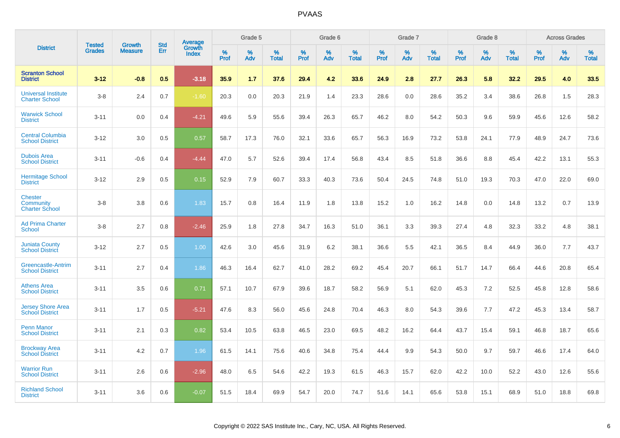|                                                      | <b>Tested</b> | <b>Growth</b>  | <b>Std</b> | Average         |              | Grade 5  |                   |              | Grade 6  |                   |              | Grade 7  |                   |              | Grade 8  |                   |              | <b>Across Grades</b> |                   |
|------------------------------------------------------|---------------|----------------|------------|-----------------|--------------|----------|-------------------|--------------|----------|-------------------|--------------|----------|-------------------|--------------|----------|-------------------|--------------|----------------------|-------------------|
| <b>District</b>                                      | <b>Grades</b> | <b>Measure</b> | Err        | Growth<br>Index | $\%$<br>Prof | %<br>Adv | %<br><b>Total</b> | $\%$<br>Prof | %<br>Adv | %<br><b>Total</b> | $\%$<br>Prof | %<br>Adv | %<br><b>Total</b> | $\%$<br>Prof | %<br>Adv | %<br><b>Total</b> | $\%$<br>Prof | $\%$<br>Adv          | %<br><b>Total</b> |
| <b>Scranton School</b><br><b>District</b>            | $3 - 12$      | $-0.8$         | 0.5        | $-3.18$         | 35.9         | 1.7      | 37.6              | 29.4         | 4.2      | 33.6              | 24.9         | 2.8      | 27.7              | 26.3         | 5.8      | 32.2              | 29.5         | 4.0                  | 33.5              |
| <b>Universal Institute</b><br><b>Charter School</b>  | $3 - 8$       | 2.4            | 0.7        | $-1.60$         | 20.3         | 0.0      | 20.3              | 21.9         | 1.4      | 23.3              | 28.6         | 0.0      | 28.6              | 35.2         | 3.4      | 38.6              | 26.8         | 1.5                  | 28.3              |
| <b>Warwick School</b><br><b>District</b>             | $3 - 11$      | 0.0            | 0.4        | $-4.21$         | 49.6         | 5.9      | 55.6              | 39.4         | 26.3     | 65.7              | 46.2         | 8.0      | 54.2              | 50.3         | 9.6      | 59.9              | 45.6         | 12.6                 | 58.2              |
| <b>Central Columbia</b><br><b>School District</b>    | $3 - 12$      | 3.0            | 0.5        | 0.57            | 58.7         | 17.3     | 76.0              | 32.1         | 33.6     | 65.7              | 56.3         | 16.9     | 73.2              | 53.8         | 24.1     | 77.9              | 48.9         | 24.7                 | 73.6              |
| <b>Dubois Area</b><br><b>School District</b>         | $3 - 11$      | $-0.6$         | 0.4        | $-4.44$         | 47.0         | 5.7      | 52.6              | 39.4         | 17.4     | 56.8              | 43.4         | 8.5      | 51.8              | 36.6         | 8.8      | 45.4              | 42.2         | 13.1                 | 55.3              |
| <b>Hermitage School</b><br><b>District</b>           | $3 - 12$      | 2.9            | 0.5        | 0.15            | 52.9         | 7.9      | 60.7              | 33.3         | 40.3     | 73.6              | 50.4         | 24.5     | 74.8              | 51.0         | 19.3     | 70.3              | 47.0         | 22.0                 | 69.0              |
| <b>Chester</b><br>Community<br><b>Charter School</b> | $3 - 8$       | 3.8            | 0.6        | 1.83            | 15.7         | 0.8      | 16.4              | 11.9         | 1.8      | 13.8              | 15.2         | 1.0      | 16.2              | 14.8         | 0.0      | 14.8              | 13.2         | 0.7                  | 13.9              |
| <b>Ad Prima Charter</b><br><b>School</b>             | $3 - 8$       | 2.7            | 0.8        | $-2.46$         | 25.9         | 1.8      | 27.8              | 34.7         | 16.3     | 51.0              | 36.1         | 3.3      | 39.3              | 27.4         | 4.8      | 32.3              | 33.2         | 4.8                  | 38.1              |
| <b>Juniata County</b><br><b>School District</b>      | $3 - 12$      | 2.7            | 0.5        | 1.00            | 42.6         | 3.0      | 45.6              | 31.9         | 6.2      | 38.1              | 36.6         | 5.5      | 42.1              | 36.5         | 8.4      | 44.9              | 36.0         | 7.7                  | 43.7              |
| Greencastle-Antrim<br><b>School District</b>         | $3 - 11$      | 2.7            | 0.4        | 1.86            | 46.3         | 16.4     | 62.7              | 41.0         | 28.2     | 69.2              | 45.4         | 20.7     | 66.1              | 51.7         | 14.7     | 66.4              | 44.6         | 20.8                 | 65.4              |
| <b>Athens Area</b><br><b>School District</b>         | $3 - 11$      | 3.5            | 0.6        | 0.71            | 57.1         | 10.7     | 67.9              | 39.6         | 18.7     | 58.2              | 56.9         | 5.1      | 62.0              | 45.3         | 7.2      | 52.5              | 45.8         | 12.8                 | 58.6              |
| <b>Jersey Shore Area</b><br><b>School District</b>   | $3 - 11$      | 1.7            | 0.5        | $-5.21$         | 47.6         | 8.3      | 56.0              | 45.6         | 24.8     | 70.4              | 46.3         | 8.0      | 54.3              | 39.6         | 7.7      | 47.2              | 45.3         | 13.4                 | 58.7              |
| <b>Penn Manor</b><br><b>School District</b>          | $3 - 11$      | 2.1            | 0.3        | 0.82            | 53.4         | 10.5     | 63.8              | 46.5         | 23.0     | 69.5              | 48.2         | 16.2     | 64.4              | 43.7         | 15.4     | 59.1              | 46.8         | 18.7                 | 65.6              |
| <b>Brockway Area</b><br><b>School District</b>       | $3 - 11$      | 4.2            | 0.7        | 1.96            | 61.5         | 14.1     | 75.6              | 40.6         | 34.8     | 75.4              | 44.4         | 9.9      | 54.3              | 50.0         | 9.7      | 59.7              | 46.6         | 17.4                 | 64.0              |
| <b>Warrior Run</b><br><b>School District</b>         | $3 - 11$      | 2.6            | 0.6        | $-2.96$         | 48.0         | 6.5      | 54.6              | 42.2         | 19.3     | 61.5              | 46.3         | 15.7     | 62.0              | 42.2         | 10.0     | 52.2              | 43.0         | 12.6                 | 55.6              |
| <b>Richland School</b><br><b>District</b>            | $3 - 11$      | 3.6            | 0.6        | $-0.07$         | 51.5         | 18.4     | 69.9              | 54.7         | 20.0     | 74.7              | 51.6         | 14.1     | 65.6              | 53.8         | 15.1     | 68.9              | 51.0         | 18.8                 | 69.8              |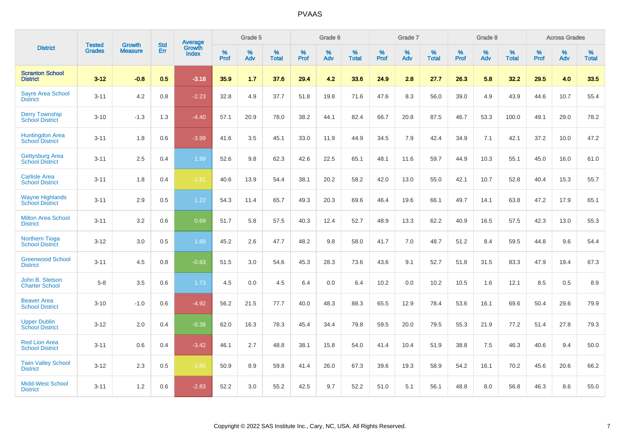| <b>District</b>                                  | <b>Tested</b> | <b>Growth</b>  | <b>Std</b> | Average                |              | Grade 5  |                   |              | Grade 6  |                   |           | Grade 7  |                   |              | Grade 8  |                   |                     | <b>Across Grades</b> |                   |
|--------------------------------------------------|---------------|----------------|------------|------------------------|--------------|----------|-------------------|--------------|----------|-------------------|-----------|----------|-------------------|--------------|----------|-------------------|---------------------|----------------------|-------------------|
|                                                  | <b>Grades</b> | <b>Measure</b> | Err        | Growth<br><b>Index</b> | $\%$<br>Prof | %<br>Adv | %<br><b>Total</b> | $\%$<br>Prof | %<br>Adv | %<br><b>Total</b> | %<br>Prof | %<br>Adv | %<br><b>Total</b> | $\%$<br>Prof | %<br>Adv | %<br><b>Total</b> | $\%$<br><b>Prof</b> | $\%$<br>Adv          | %<br><b>Total</b> |
| <b>Scranton School</b><br><b>District</b>        | $3 - 12$      | $-0.8$         | 0.5        | $-3.18$                | 35.9         | 1.7      | 37.6              | 29.4         | 4.2      | 33.6              | 24.9      | 2.8      | 27.7              | 26.3         | 5.8      | 32.2              | 29.5                | 4.0                  | 33.5              |
| <b>Sayre Area School</b><br><b>District</b>      | $3 - 11$      | 4.2            | 0.8        | $-2.23$                | 32.8         | 4.9      | 37.7              | 51.8         | 19.8     | 71.6              | 47.6      | 8.3      | 56.0              | 39.0         | 4.9      | 43.9              | 44.6                | 10.7                 | 55.4              |
| <b>Derry Township</b><br><b>School District</b>  | $3 - 10$      | $-1.3$         | 1.3        | $-4.40$                | 57.1         | 20.9     | 78.0              | 38.2         | 44.1     | 82.4              | 66.7      | 20.8     | 87.5              | 46.7         | 53.3     | 100.0             | 49.1                | 29.0                 | 78.2              |
| Huntingdon Area<br>School District               | $3 - 11$      | 1.8            | 0.6        | $-3.99$                | 41.6         | 3.5      | 45.1              | 33.0         | 11.9     | 44.9              | 34.5      | 7.9      | 42.4              | 34.9         | 7.1      | 42.1              | 37.2                | 10.0                 | 47.2              |
| <b>Gettysburg Area</b><br><b>School District</b> | $3 - 11$      | 2.5            | 0.4        | 1.99                   | 52.6         | 9.8      | 62.3              | 42.6         | 22.5     | 65.1              | 48.1      | 11.6     | 59.7              | 44.9         | 10.3     | 55.1              | 45.0                | 16.0                 | 61.0              |
| <b>Carlisle Area</b><br><b>School District</b>   | $3 - 11$      | 1.8            | 0.4        | $-1.81$                | 40.6         | 13.9     | 54.4              | 38.1         | 20.2     | 58.2              | 42.0      | 13.0     | 55.0              | 42.1         | 10.7     | 52.8              | 40.4                | 15.3                 | 55.7              |
| <b>Wayne Highlands</b><br><b>School District</b> | $3 - 11$      | 2.9            | 0.5        | 1.22                   | 54.3         | 11.4     | 65.7              | 49.3         | 20.3     | 69.6              | 46.4      | 19.6     | 66.1              | 49.7         | 14.1     | 63.8              | 47.2                | 17.9                 | 65.1              |
| <b>Milton Area School</b><br><b>District</b>     | $3 - 11$      | 3.2            | 0.6        | 0.69                   | 51.7         | 5.8      | 57.5              | 40.3         | 12.4     | 52.7              | 48.9      | 13.3     | 62.2              | 40.9         | 16.5     | 57.5              | 42.3                | 13.0                 | 55.3              |
| <b>Northern Tioga</b><br><b>School District</b>  | $3 - 12$      | 3.0            | 0.5        | 1.88                   | 45.2         | 2.6      | 47.7              | 48.2         | 9.8      | 58.0              | 41.7      | 7.0      | 48.7              | 51.2         | 8.4      | 59.5              | 44.8                | 9.6                  | 54.4              |
| <b>Greenwood School</b><br><b>District</b>       | $3 - 11$      | 4.5            | 0.8        | $-0.83$                | 51.5         | 3.0      | 54.6              | 45.3         | 28.3     | 73.6              | 43.6      | 9.1      | 52.7              | 51.8         | 31.5     | 83.3              | 47.9                | 19.4                 | 67.3              |
| John B. Stetson<br><b>Charter School</b>         | $5 - 8$       | 3.5            | 0.6        | 1.73                   | 4.5          | 0.0      | 4.5               | 6.4          | 0.0      | 6.4               | 10.2      | 0.0      | 10.2              | 10.5         | 1.6      | 12.1              | 8.5                 | 0.5                  | 8.9               |
| <b>Beaver Area</b><br><b>School District</b>     | $3 - 10$      | $-1.0$         | 0.6        | $-4.92$                | 56.2         | 21.5     | 77.7              | 40.0         | 48.3     | 88.3              | 65.5      | 12.9     | 78.4              | 53.6         | 16.1     | 69.6              | 50.4                | 29.6                 | 79.9              |
| <b>Upper Dublin</b><br><b>School District</b>    | $3 - 12$      | 2.0            | 0.4        | $-0.38$                | 62.0         | 16.3     | 78.3              | 45.4         | 34.4     | 79.8              | 59.5      | 20.0     | 79.5              | 55.3         | 21.9     | 77.2              | 51.4                | 27.8                 | 79.3              |
| <b>Red Lion Area</b><br><b>School District</b>   | $3 - 11$      | 0.6            | 0.4        | $-3.42$                | 46.1         | 2.7      | 48.8              | 38.1         | 15.8     | 54.0              | 41.4      | 10.4     | 51.9              | 38.8         | 7.5      | 46.3              | 40.6                | 9.4                  | 50.0              |
| <b>Twin Valley School</b><br><b>District</b>     | $3 - 12$      | 2.3            | 0.5        | $-1.85$                | 50.9         | 8.9      | 59.8              | 41.4         | 26.0     | 67.3              | 39.6      | 19.3     | 58.9              | 54.2         | 16.1     | 70.2              | 45.6                | 20.6                 | 66.2              |
| <b>Midd-West School</b><br><b>District</b>       | $3 - 11$      | 1.2            | 0.6        | $-2.83$                | 52.2         | 3.0      | 55.2              | 42.5         | 9.7      | 52.2              | 51.0      | 5.1      | 56.1              | 48.8         | 8.0      | 56.8              | 46.3                | 8.6                  | 55.0              |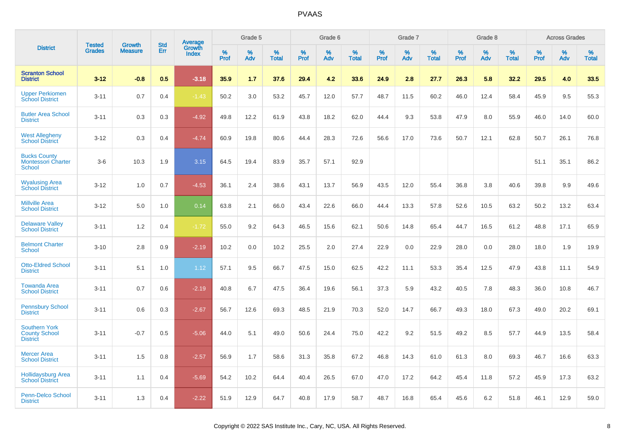| <b>District</b>                                                 | <b>Tested</b> | <b>Growth</b>  | <b>Std</b> | Average                |              | Grade 5  |                   |              | Grade 6  |                   |              | Grade 7  |                   |              | Grade 8  |                   |              | <b>Across Grades</b> |                   |
|-----------------------------------------------------------------|---------------|----------------|------------|------------------------|--------------|----------|-------------------|--------------|----------|-------------------|--------------|----------|-------------------|--------------|----------|-------------------|--------------|----------------------|-------------------|
|                                                                 | <b>Grades</b> | <b>Measure</b> | Err        | Growth<br><b>Index</b> | $\%$<br>Prof | %<br>Adv | %<br><b>Total</b> | $\%$<br>Prof | %<br>Adv | %<br><b>Total</b> | $\%$<br>Prof | %<br>Adv | %<br><b>Total</b> | $\%$<br>Prof | %<br>Adv | %<br><b>Total</b> | $\%$<br>Prof | %<br>Adv             | %<br><b>Total</b> |
| <b>Scranton School</b><br><b>District</b>                       | $3 - 12$      | $-0.8$         | 0.5        | $-3.18$                | 35.9         | 1.7      | 37.6              | 29.4         | 4.2      | 33.6              | 24.9         | 2.8      | 27.7              | 26.3         | 5.8      | 32.2              | 29.5         | 4.0                  | 33.5              |
| <b>Upper Perkiomen</b><br><b>School District</b>                | $3 - 11$      | 0.7            | 0.4        | $-1.43$                | 50.2         | 3.0      | 53.2              | 45.7         | 12.0     | 57.7              | 48.7         | 11.5     | 60.2              | 46.0         | 12.4     | 58.4              | 45.9         | 9.5                  | 55.3              |
| <b>Butler Area School</b><br><b>District</b>                    | $3 - 11$      | 0.3            | 0.3        | $-4.92$                | 49.8         | 12.2     | 61.9              | 43.8         | 18.2     | 62.0              | 44.4         | 9.3      | 53.8              | 47.9         | 8.0      | 55.9              | 46.0         | 14.0                 | 60.0              |
| <b>West Allegheny</b><br><b>School District</b>                 | $3 - 12$      | 0.3            | 0.4        | $-4.74$                | 60.9         | 19.8     | 80.6              | 44.4         | 28.3     | 72.6              | 56.6         | 17.0     | 73.6              | 50.7         | 12.1     | 62.8              | 50.7         | 26.1                 | 76.8              |
| <b>Bucks County</b><br><b>Montessori Charter</b><br>School      | $3-6$         | 10.3           | 1.9        | 3.15                   | 64.5         | 19.4     | 83.9              | 35.7         | 57.1     | 92.9              |              |          |                   |              |          |                   | 51.1         | 35.1                 | 86.2              |
| <b>Wyalusing Area</b><br><b>School District</b>                 | $3 - 12$      | 1.0            | 0.7        | $-4.53$                | 36.1         | 2.4      | 38.6              | 43.1         | 13.7     | 56.9              | 43.5         | 12.0     | 55.4              | 36.8         | 3.8      | 40.6              | 39.8         | 9.9                  | 49.6              |
| <b>Millville Area</b><br><b>School District</b>                 | $3 - 12$      | 5.0            | 1.0        | 0.14                   | 63.8         | 2.1      | 66.0              | 43.4         | 22.6     | 66.0              | 44.4         | 13.3     | 57.8              | 52.6         | 10.5     | 63.2              | 50.2         | 13.2                 | 63.4              |
| <b>Delaware Valley</b><br><b>School District</b>                | $3 - 11$      | 1.2            | 0.4        | $-1.72$                | 55.0         | 9.2      | 64.3              | 46.5         | 15.6     | 62.1              | 50.6         | 14.8     | 65.4              | 44.7         | 16.5     | 61.2              | 48.8         | 17.1                 | 65.9              |
| <b>Belmont Charter</b><br><b>School</b>                         | $3 - 10$      | 2.8            | 0.9        | $-2.19$                | 10.2         | 0.0      | 10.2              | 25.5         | 2.0      | 27.4              | 22.9         | 0.0      | 22.9              | 28.0         | 0.0      | 28.0              | 18.0         | 1.9                  | 19.9              |
| <b>Otto-Eldred School</b><br><b>District</b>                    | $3 - 11$      | 5.1            | 1.0        | 1.12                   | 57.1         | 9.5      | 66.7              | 47.5         | 15.0     | 62.5              | 42.2         | 11.1     | 53.3              | 35.4         | 12.5     | 47.9              | 43.8         | 11.1                 | 54.9              |
| <b>Towanda Area</b><br><b>School District</b>                   | $3 - 11$      | 0.7            | 0.6        | $-2.19$                | 40.8         | 6.7      | 47.5              | 36.4         | 19.6     | 56.1              | 37.3         | 5.9      | 43.2              | 40.5         | 7.8      | 48.3              | 36.0         | 10.8                 | 46.7              |
| <b>Pennsbury School</b><br><b>District</b>                      | $3 - 11$      | 0.6            | 0.3        | $-2.67$                | 56.7         | 12.6     | 69.3              | 48.5         | 21.9     | 70.3              | 52.0         | 14.7     | 66.7              | 49.3         | 18.0     | 67.3              | 49.0         | 20.2                 | 69.1              |
| <b>Southern York</b><br><b>County School</b><br><b>District</b> | $3 - 11$      | $-0.7$         | 0.5        | $-5.06$                | 44.0         | 5.1      | 49.0              | 50.6         | 24.4     | 75.0              | 42.2         | 9.2      | 51.5              | 49.2         | 8.5      | 57.7              | 44.9         | 13.5                 | 58.4              |
| <b>Mercer Area</b><br><b>School District</b>                    | $3 - 11$      | 1.5            | 0.8        | $-2.57$                | 56.9         | 1.7      | 58.6              | 31.3         | 35.8     | 67.2              | 46.8         | 14.3     | 61.0              | 61.3         | 8.0      | 69.3              | 46.7         | 16.6                 | 63.3              |
| <b>Hollidaysburg Area</b><br><b>School District</b>             | $3 - 11$      | 1.1            | 0.4        | $-5.69$                | 54.2         | 10.2     | 64.4              | 40.4         | 26.5     | 67.0              | 47.0         | 17.2     | 64.2              | 45.4         | 11.8     | 57.2              | 45.9         | 17.3                 | 63.2              |
| <b>Penn-Delco School</b><br><b>District</b>                     | $3 - 11$      | 1.3            | 0.4        | $-2.22$                | 51.9         | 12.9     | 64.7              | 40.8         | 17.9     | 58.7              | 48.7         | 16.8     | 65.4              | 45.6         | 6.2      | 51.8              | 46.1         | 12.9                 | 59.0              |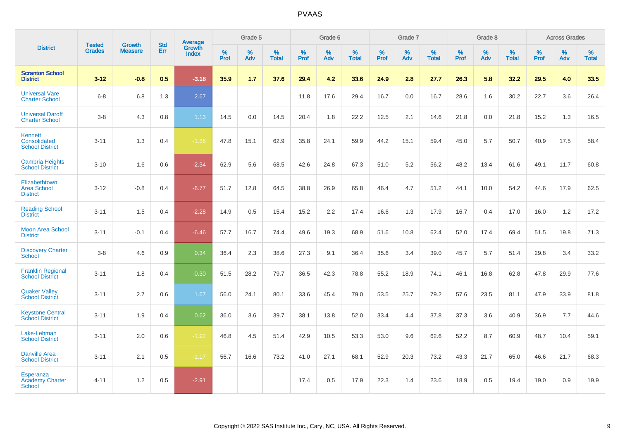|                                                          |                                |                                 | <b>Std</b> | Average                |           | Grade 5  |                   |           | Grade 6  |                   |           | Grade 7  |                   |           | Grade 8  |                   |           | <b>Across Grades</b> |                   |
|----------------------------------------------------------|--------------------------------|---------------------------------|------------|------------------------|-----------|----------|-------------------|-----------|----------|-------------------|-----------|----------|-------------------|-----------|----------|-------------------|-----------|----------------------|-------------------|
| <b>District</b>                                          | <b>Tested</b><br><b>Grades</b> | <b>Growth</b><br><b>Measure</b> | Err        | Growth<br><b>Index</b> | %<br>Prof | %<br>Adv | %<br><b>Total</b> | %<br>Prof | %<br>Adv | %<br><b>Total</b> | %<br>Prof | %<br>Adv | %<br><b>Total</b> | %<br>Prof | %<br>Adv | %<br><b>Total</b> | %<br>Prof | %<br>Adv             | %<br><b>Total</b> |
| <b>Scranton School</b><br><b>District</b>                | $3 - 12$                       | $-0.8$                          | 0.5        | $-3.18$                | 35.9      | 1.7      | 37.6              | 29.4      | 4.2      | 33.6              | 24.9      | 2.8      | 27.7              | 26.3      | 5.8      | 32.2              | 29.5      | 4.0                  | 33.5              |
| <b>Universal Vare</b><br><b>Charter School</b>           | $6 - 8$                        | 6.8                             | 1.3        | 2.67                   |           |          |                   | 11.8      | 17.6     | 29.4              | 16.7      | 0.0      | 16.7              | 28.6      | 1.6      | 30.2              | 22.7      | 3.6                  | 26.4              |
| <b>Universal Daroff</b><br><b>Charter School</b>         | $3-8$                          | 4.3                             | 0.8        | 1.13                   | 14.5      | 0.0      | 14.5              | 20.4      | 1.8      | 22.2              | 12.5      | 2.1      | 14.6              | 21.8      | 0.0      | 21.8              | 15.2      | 1.3                  | 16.5              |
| <b>Kennett</b><br>Consolidated<br><b>School District</b> | $3 - 11$                       | 1.3                             | 0.4        | $-1.36$                | 47.8      | 15.1     | 62.9              | 35.8      | 24.1     | 59.9              | 44.2      | 15.1     | 59.4              | 45.0      | 5.7      | 50.7              | 40.9      | 17.5                 | 58.4              |
| <b>Cambria Heights</b><br><b>School District</b>         | $3 - 10$                       | 1.6                             | 0.6        | $-2.34$                | 62.9      | 5.6      | 68.5              | 42.6      | 24.8     | 67.3              | 51.0      | 5.2      | 56.2              | 48.2      | 13.4     | 61.6              | 49.1      | 11.7                 | 60.8              |
| Elizabethtown<br><b>Area School</b><br><b>District</b>   | $3 - 12$                       | $-0.8$                          | 0.4        | $-6.77$                | 51.7      | 12.8     | 64.5              | 38.8      | 26.9     | 65.8              | 46.4      | 4.7      | 51.2              | 44.1      | 10.0     | 54.2              | 44.6      | 17.9                 | 62.5              |
| <b>Reading School</b><br><b>District</b>                 | $3 - 11$                       | 1.5                             | 0.4        | $-2.28$                | 14.9      | 0.5      | 15.4              | 15.2      | 2.2      | 17.4              | 16.6      | 1.3      | 17.9              | 16.7      | 0.4      | 17.0              | 16.0      | 1.2                  | 17.2              |
| <b>Moon Area School</b><br><b>District</b>               | $3 - 11$                       | $-0.1$                          | 0.4        | $-6.46$                | 57.7      | 16.7     | 74.4              | 49.6      | 19.3     | 68.9              | 51.6      | 10.8     | 62.4              | 52.0      | 17.4     | 69.4              | 51.5      | 19.8                 | 71.3              |
| <b>Discovery Charter</b><br><b>School</b>                | $3 - 8$                        | 4.6                             | 0.9        | 0.34                   | 36.4      | 2.3      | 38.6              | 27.3      | 9.1      | 36.4              | 35.6      | 3.4      | 39.0              | 45.7      | 5.7      | 51.4              | 29.8      | 3.4                  | 33.2              |
| <b>Franklin Regional</b><br><b>School District</b>       | $3 - 11$                       | 1.8                             | 0.4        | $-0.30$                | 51.5      | 28.2     | 79.7              | 36.5      | 42.3     | 78.8              | 55.2      | 18.9     | 74.1              | 46.1      | 16.8     | 62.8              | 47.8      | 29.9                 | 77.6              |
| <b>Quaker Valley</b><br><b>School District</b>           | $3 - 11$                       | 2.7                             | 0.6        | 1.67                   | 56.0      | 24.1     | 80.1              | 33.6      | 45.4     | 79.0              | 53.5      | 25.7     | 79.2              | 57.6      | 23.5     | 81.1              | 47.9      | 33.9                 | 81.8              |
| <b>Keystone Central</b><br><b>School District</b>        | $3 - 11$                       | 1.9                             | 0.4        | 0.62                   | 36.0      | 3.6      | 39.7              | 38.1      | 13.8     | 52.0              | 33.4      | 4.4      | 37.8              | 37.3      | 3.6      | 40.9              | 36.9      | 7.7                  | 44.6              |
| Lake-Lehman<br><b>School District</b>                    | $3 - 11$                       | 2.0                             | 0.6        | $-1.92$                | 46.8      | 4.5      | 51.4              | 42.9      | 10.5     | 53.3              | 53.0      | 9.6      | 62.6              | 52.2      | 8.7      | 60.9              | 48.7      | 10.4                 | 59.1              |
| <b>Danville Area</b><br><b>School District</b>           | $3 - 11$                       | 2.1                             | 0.5        | $-1.17$                | 56.7      | 16.6     | 73.2              | 41.0      | 27.1     | 68.1              | 52.9      | 20.3     | 73.2              | 43.3      | 21.7     | 65.0              | 46.6      | 21.7                 | 68.3              |
| Esperanza<br><b>Academy Charter</b><br><b>School</b>     | $4 - 11$                       | 1.2                             | 0.5        | $-2.91$                |           |          |                   | 17.4      | 0.5      | 17.9              | 22.3      | 1.4      | 23.6              | 18.9      | 0.5      | 19.4              | 19.0      | 0.9                  | 19.9              |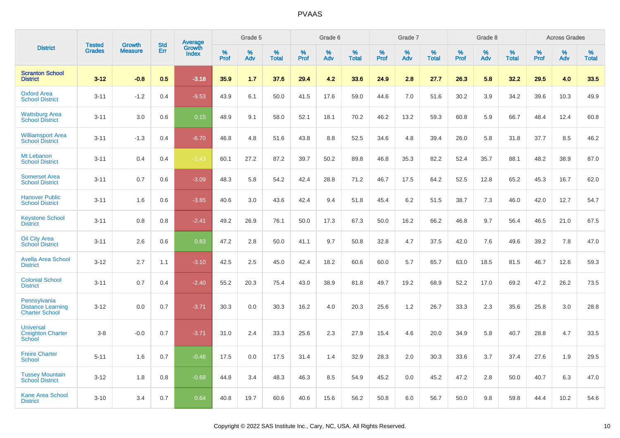|                                                                   | <b>Tested</b> | <b>Growth</b>  | <b>Std</b> |                                          |                     | Grade 5  |                   |              | Grade 6  |                   |              | Grade 7  |                   |              | Grade 8  |                   |           | <b>Across Grades</b> |                   |
|-------------------------------------------------------------------|---------------|----------------|------------|------------------------------------------|---------------------|----------|-------------------|--------------|----------|-------------------|--------------|----------|-------------------|--------------|----------|-------------------|-----------|----------------------|-------------------|
| <b>District</b>                                                   | <b>Grades</b> | <b>Measure</b> | Err        | <b>Average</b><br>Growth<br><b>Index</b> | $\%$<br><b>Prof</b> | %<br>Adv | %<br><b>Total</b> | $\%$<br>Prof | %<br>Adv | %<br><b>Total</b> | $\%$<br>Prof | %<br>Adv | %<br><b>Total</b> | $\%$<br>Prof | %<br>Adv | %<br><b>Total</b> | %<br>Prof | %<br>Adv             | %<br><b>Total</b> |
| <b>Scranton School</b><br><b>District</b>                         | $3 - 12$      | $-0.8$         | 0.5        | $-3.18$                                  | 35.9                | 1.7      | 37.6              | 29.4         | 4.2      | 33.6              | 24.9         | 2.8      | 27.7              | 26.3         | 5.8      | 32.2              | 29.5      | 4.0                  | 33.5              |
| <b>Oxford Area</b><br><b>School District</b>                      | $3 - 11$      | $-1.2$         | 0.4        | $-9.53$                                  | 43.9                | 6.1      | 50.0              | 41.5         | 17.6     | 59.0              | 44.6         | 7.0      | 51.6              | 30.2         | 3.9      | 34.2              | 39.6      | 10.3                 | 49.9              |
| <b>Wattsburg Area</b><br><b>School District</b>                   | $3 - 11$      | 3.0            | 0.6        | 0.15                                     | 48.9                | 9.1      | 58.0              | 52.1         | 18.1     | 70.2              | 46.2         | 13.2     | 59.3              | 60.8         | 5.9      | 66.7              | 48.4      | 12.4                 | 60.8              |
| <b>Williamsport Area</b><br><b>School District</b>                | $3 - 11$      | $-1.3$         | 0.4        | $-6.70$                                  | 46.8                | 4.8      | 51.6              | 43.8         | 8.8      | 52.5              | 34.6         | 4.8      | 39.4              | 26.0         | 5.8      | 31.8              | 37.7      | 8.5                  | 46.2              |
| Mt Lebanon<br><b>School District</b>                              | $3 - 11$      | 0.4            | 0.4        | $-1.43$                                  | 60.1                | 27.2     | 87.2              | 39.7         | 50.2     | 89.8              | 46.8         | 35.3     | 82.2              | 52.4         | 35.7     | 88.1              | 48.2      | 38.9                 | 87.0              |
| <b>Somerset Area</b><br><b>School District</b>                    | $3 - 11$      | 0.7            | 0.6        | $-3.09$                                  | 48.3                | 5.8      | 54.2              | 42.4         | 28.8     | 71.2              | 46.7         | 17.5     | 64.2              | 52.5         | 12.8     | 65.2              | 45.3      | 16.7                 | 62.0              |
| <b>Hanover Public</b><br><b>School District</b>                   | $3 - 11$      | 1.6            | 0.6        | $-3.85$                                  | 40.6                | 3.0      | 43.6              | 42.4         | 9.4      | 51.8              | 45.4         | 6.2      | 51.5              | 38.7         | 7.3      | 46.0              | 42.0      | 12.7                 | 54.7              |
| <b>Keystone School</b><br><b>District</b>                         | $3 - 11$      | 0.8            | 0.8        | $-2.41$                                  | 49.2                | 26.9     | 76.1              | 50.0         | 17.3     | 67.3              | 50.0         | 16.2     | 66.2              | 46.8         | 9.7      | 56.4              | 46.5      | 21.0                 | 67.5              |
| <b>Oil City Area</b><br><b>School District</b>                    | $3 - 11$      | 2.6            | 0.6        | 0.83                                     | 47.2                | 2.8      | 50.0              | 41.1         | 9.7      | 50.8              | 32.8         | 4.7      | 37.5              | 42.0         | 7.6      | 49.6              | 39.2      | 7.8                  | 47.0              |
| <b>Avella Area School</b><br><b>District</b>                      | $3 - 12$      | 2.7            | 1.1        | $-3.10$                                  | 42.5                | 2.5      | 45.0              | 42.4         | 18.2     | 60.6              | 60.0         | 5.7      | 65.7              | 63.0         | 18.5     | 81.5              | 46.7      | 12.6                 | 59.3              |
| <b>Colonial School</b><br><b>District</b>                         | $3 - 11$      | 0.7            | 0.4        | $-2.40$                                  | 55.2                | 20.3     | 75.4              | 43.0         | 38.9     | 81.8              | 49.7         | 19.2     | 68.9              | 52.2         | 17.0     | 69.2              | 47.2      | 26.2                 | 73.5              |
| Pennsylvania<br><b>Distance Learning</b><br><b>Charter School</b> | $3 - 12$      | 0.0            | 0.7        | $-3.71$                                  | 30.3                | 0.0      | 30.3              | 16.2         | 4.0      | 20.3              | 25.6         | 1.2      | 26.7              | 33.3         | 2.3      | 35.6              | 25.8      | 3.0                  | 28.8              |
| <b>Universal</b><br><b>Creighton Charter</b><br><b>School</b>     | $3-8$         | $-0.0$         | 0.7        | $-3.71$                                  | 31.0                | 2.4      | 33.3              | 25.6         | 2.3      | 27.9              | 15.4         | 4.6      | 20.0              | 34.9         | 5.8      | 40.7              | 28.8      | 4.7                  | 33.5              |
| <b>Freire Charter</b><br><b>School</b>                            | $5 - 11$      | 1.6            | 0.7        | $-0.46$                                  | 17.5                | 0.0      | 17.5              | 31.4         | 1.4      | 32.9              | 28.3         | 2.0      | 30.3              | 33.6         | 3.7      | 37.4              | 27.6      | 1.9                  | 29.5              |
| <b>Tussey Mountain</b><br><b>School District</b>                  | $3 - 12$      | 1.8            | 0.8        | $-0.68$                                  | 44.8                | 3.4      | 48.3              | 46.3         | 8.5      | 54.9              | 45.2         | 0.0      | 45.2              | 47.2         | 2.8      | 50.0              | 40.7      | 6.3                  | 47.0              |
| <b>Kane Area School</b><br><b>District</b>                        | $3 - 10$      | 3.4            | 0.7        | 0.64                                     | 40.8                | 19.7     | 60.6              | 40.6         | 15.6     | 56.2              | 50.8         | 6.0      | 56.7              | 50.0         | 9.8      | 59.8              | 44.4      | 10.2                 | 54.6              |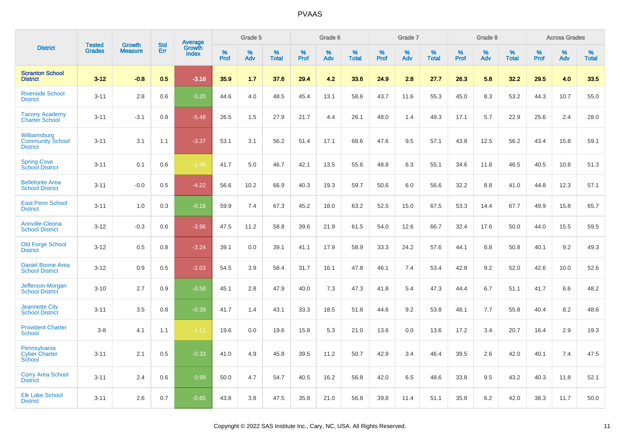| <b>District</b>                                            | <b>Tested</b> | <b>Growth</b>  | <b>Std</b> | Average                |              | Grade 5  |                   |              | Grade 6  |                   |              | Grade 7  |                   |              | Grade 8  |                   |              | <b>Across Grades</b> |                   |
|------------------------------------------------------------|---------------|----------------|------------|------------------------|--------------|----------|-------------------|--------------|----------|-------------------|--------------|----------|-------------------|--------------|----------|-------------------|--------------|----------------------|-------------------|
|                                                            | <b>Grades</b> | <b>Measure</b> | Err        | Growth<br><b>Index</b> | $\%$<br>Prof | %<br>Adv | %<br><b>Total</b> | $\%$<br>Prof | %<br>Adv | %<br><b>Total</b> | $\%$<br>Prof | %<br>Adv | %<br><b>Total</b> | $\%$<br>Prof | %<br>Adv | %<br><b>Total</b> | $\%$<br>Prof | %<br>Adv             | %<br><b>Total</b> |
| <b>Scranton School</b><br><b>District</b>                  | $3 - 12$      | $-0.8$         | 0.5        | $-3.18$                | 35.9         | 1.7      | 37.6              | 29.4         | 4.2      | 33.6              | 24.9         | 2.8      | 27.7              | 26.3         | 5.8      | 32.2              | 29.5         | 4.0                  | 33.5              |
| <b>Riverside School</b><br><b>District</b>                 | $3 - 11$      | 2.8            | 0.6        | 0.20                   | 44.6         | 4.0      | 48.5              | 45.4         | 13.1     | 58.6              | 43.7         | 11.6     | 55.3              | 45.0         | 8.3      | 53.2              | 44.3         | 10.7                 | 55.0              |
| <b>Tacony Academy</b><br><b>Charter School</b>             | $3 - 11$      | $-3.1$         | 0.8        | $-5.48$                | 26.5         | 1.5      | 27.9              | 21.7         | 4.4      | 26.1              | 48.0         | 1.4      | 49.3              | 17.1         | 5.7      | 22.9              | 25.6         | 2.4                  | 28.0              |
| Williamsburg<br><b>Community School</b><br><b>District</b> | $3 - 11$      | 3.1            | 1.1        | $-3.37$                | 53.1         | 3.1      | 56.2              | 51.4         | 17.1     | 68.6              | 47.6         | 9.5      | 57.1              | 43.8         | 12.5     | 56.2              | 43.4         | 15.8                 | 59.1              |
| <b>Spring Cove</b><br>School District                      | $3 - 11$      | 0.1            | 0.6        | $-1.56$                | 41.7         | 5.0      | 46.7              | 42.1         | 13.5     | 55.6              | 48.8         | 6.3      | 55.1              | 34.6         | 11.8     | 46.5              | 40.5         | 10.8                 | 51.3              |
| <b>Bellefonte Area</b><br><b>School District</b>           | $3 - 11$      | $-0.0$         | 0.5        | $-4.22$                | 56.6         | 10.2     | 66.9              | 40.3         | 19.3     | 59.7              | 50.6         | 6.0      | 56.6              | 32.2         | 8.8      | 41.0              | 44.8         | 12.3                 | 57.1              |
| <b>East Penn School</b><br><b>District</b>                 | $3 - 11$      | 1.0            | 0.3        | $-0.16$                | 59.9         | 7.4      | 67.3              | 45.2         | 18.0     | 63.2              | 52.5         | 15.0     | 67.5              | 53.3         | 14.4     | 67.7              | 49.9         | 15.8                 | 65.7              |
| <b>Annville-Cleona</b><br><b>School District</b>           | $3 - 12$      | $-0.3$         | 0.6        | $-3.96$                | 47.5         | 11.2     | 58.8              | 39.6         | 21.9     | 61.5              | 54.0         | 12.6     | 66.7              | 32.4         | 17.6     | 50.0              | 44.0         | 15.5                 | 59.5              |
| <b>Old Forge School</b><br><b>District</b>                 | $3 - 12$      | 0.5            | 0.8        | $-3.24$                | 39.1         | 0.0      | 39.1              | 41.1         | 17.9     | 58.9              | 33.3         | 24.2     | 57.6              | 44.1         | 6.8      | 50.8              | 40.1         | 9.2                  | 49.3              |
| <b>Daniel Boone Area</b><br><b>School District</b>         | $3 - 12$      | 0.9            | 0.5        | $-2.03$                | 54.5         | 3.9      | 58.4              | 31.7         | 16.1     | 47.8              | 46.1         | 7.4      | 53.4              | 42.8         | 9.2      | 52.0              | 42.6         | 10.0                 | 52.6              |
| Jefferson-Morgan<br><b>School District</b>                 | $3 - 10$      | 2.7            | 0.9        | $-0.58$                | 45.1         | 2.8      | 47.9              | 40.0         | 7.3      | 47.3              | 41.8         | 5.4      | 47.3              | 44.4         | 6.7      | 51.1              | 41.7         | 6.6                  | 48.2              |
| <b>Jeannette City</b><br><b>School District</b>            | $3 - 11$      | 3.5            | 0.8        | $-0.39$                | 41.7         | 1.4      | 43.1              | 33.3         | 18.5     | 51.8              | 44.6         | 9.2      | 53.8              | 48.1         | 7.7      | 55.8              | 40.4         | 8.2                  | 48.6              |
| <b>Provident Charter</b><br><b>School</b>                  | $3 - 8$       | 4.1            | 1.1        | $-1.11$                | 19.6         | 0.0      | 19.6              | 15.8         | 5.3      | 21.0              | 13.6         | 0.0      | 13.6              | 17.2         | 3.4      | 20.7              | 16.4         | 2.9                  | 19.3              |
| Pennsylvania<br><b>Cyber Charter</b><br>School             | $3 - 11$      | 2.1            | 0.5        | $-0.33$                | 41.0         | 4.9      | 45.8              | 39.5         | 11.2     | 50.7              | 42.9         | 3.4      | 46.4              | 39.5         | 2.6      | 42.0              | 40.1         | 7.4                  | 47.5              |
| <b>Corry Area School</b><br><b>District</b>                | $3 - 11$      | 2.4            | 0.6        | 0.99                   | 50.0         | 4.7      | 54.7              | 40.5         | 16.2     | 56.8              | 42.0         | 6.5      | 48.6              | 33.8         | 9.5      | 43.2              | 40.3         | 11.8                 | 52.1              |
| <b>Elk Lake School</b><br><b>District</b>                  | $3 - 11$      | 2.6            | 0.7        | $-0.65$                | 43.8         | 3.8      | 47.5              | 35.8         | 21.0     | 56.8              | 39.8         | 11.4     | 51.1              | 35.8         | 6.2      | 42.0              | 38.3         | 11.7                 | 50.0              |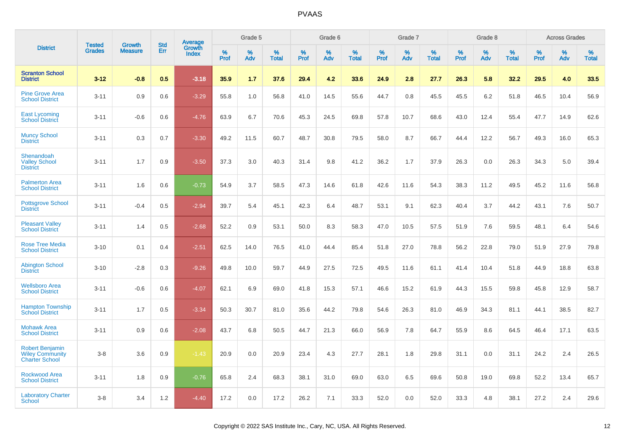|                                                                           |                                |                                 | <b>Std</b> | Average                |                     | Grade 5  |                      |              | Grade 6  |                   |              | Grade 7  |                      |              | Grade 8  |                      |              | <b>Across Grades</b> |                      |
|---------------------------------------------------------------------------|--------------------------------|---------------------------------|------------|------------------------|---------------------|----------|----------------------|--------------|----------|-------------------|--------------|----------|----------------------|--------------|----------|----------------------|--------------|----------------------|----------------------|
| <b>District</b>                                                           | <b>Tested</b><br><b>Grades</b> | <b>Growth</b><br><b>Measure</b> | Err        | Growth<br><b>Index</b> | $\%$<br><b>Prof</b> | %<br>Adv | $\%$<br><b>Total</b> | $\%$<br>Prof | %<br>Adv | %<br><b>Total</b> | $\%$<br>Prof | %<br>Adv | $\%$<br><b>Total</b> | $\%$<br>Prof | %<br>Adv | $\%$<br><b>Total</b> | $\%$<br>Prof | %<br>Adv             | $\%$<br><b>Total</b> |
| <b>Scranton School</b><br><b>District</b>                                 | $3 - 12$                       | $-0.8$                          | 0.5        | $-3.18$                | 35.9                | 1.7      | 37.6                 | 29.4         | 4.2      | 33.6              | 24.9         | 2.8      | 27.7                 | 26.3         | 5.8      | 32.2                 | 29.5         | 4.0                  | 33.5                 |
| <b>Pine Grove Area</b><br><b>School District</b>                          | $3 - 11$                       | 0.9                             | 0.6        | $-3.29$                | 55.8                | 1.0      | 56.8                 | 41.0         | 14.5     | 55.6              | 44.7         | 0.8      | 45.5                 | 45.5         | 6.2      | 51.8                 | 46.5         | 10.4                 | 56.9                 |
| <b>East Lycoming</b><br><b>School District</b>                            | $3 - 11$                       | $-0.6$                          | 0.6        | $-4.76$                | 63.9                | 6.7      | 70.6                 | 45.3         | 24.5     | 69.8              | 57.8         | 10.7     | 68.6                 | 43.0         | 12.4     | 55.4                 | 47.7         | 14.9                 | 62.6                 |
| <b>Muncy School</b><br><b>District</b>                                    | $3 - 11$                       | 0.3                             | 0.7        | $-3.30$                | 49.2                | 11.5     | 60.7                 | 48.7         | 30.8     | 79.5              | 58.0         | 8.7      | 66.7                 | 44.4         | 12.2     | 56.7                 | 49.3         | 16.0                 | 65.3                 |
| Shenandoah<br><b>Valley School</b><br><b>District</b>                     | $3 - 11$                       | 1.7                             | 0.9        | $-3.50$                | 37.3                | 3.0      | 40.3                 | 31.4         | 9.8      | 41.2              | 36.2         | 1.7      | 37.9                 | 26.3         | 0.0      | 26.3                 | 34.3         | 5.0                  | 39.4                 |
| <b>Palmerton Area</b><br><b>School District</b>                           | $3 - 11$                       | 1.6                             | 0.6        | $-0.73$                | 54.9                | 3.7      | 58.5                 | 47.3         | 14.6     | 61.8              | 42.6         | 11.6     | 54.3                 | 38.3         | 11.2     | 49.5                 | 45.2         | 11.6                 | 56.8                 |
| <b>Pottsgrove School</b><br><b>District</b>                               | $3 - 11$                       | $-0.4$                          | 0.5        | $-2.94$                | 39.7                | 5.4      | 45.1                 | 42.3         | 6.4      | 48.7              | 53.1         | 9.1      | 62.3                 | 40.4         | 3.7      | 44.2                 | 43.1         | 7.6                  | 50.7                 |
| <b>Pleasant Valley</b><br><b>School District</b>                          | $3 - 11$                       | 1.4                             | 0.5        | $-2.68$                | 52.2                | 0.9      | 53.1                 | 50.0         | 8.3      | 58.3              | 47.0         | 10.5     | 57.5                 | 51.9         | 7.6      | 59.5                 | 48.1         | 6.4                  | 54.6                 |
| <b>Rose Tree Media</b><br><b>School District</b>                          | $3 - 10$                       | 0.1                             | 0.4        | $-2.51$                | 62.5                | 14.0     | 76.5                 | 41.0         | 44.4     | 85.4              | 51.8         | 27.0     | 78.8                 | 56.2         | 22.8     | 79.0                 | 51.9         | 27.9                 | 79.8                 |
| <b>Abington School</b><br><b>District</b>                                 | $3 - 10$                       | $-2.8$                          | 0.3        | $-9.26$                | 49.8                | 10.0     | 59.7                 | 44.9         | 27.5     | 72.5              | 49.5         | 11.6     | 61.1                 | 41.4         | 10.4     | 51.8                 | 44.9         | 18.8                 | 63.8                 |
| <b>Wellsboro Area</b><br><b>School District</b>                           | $3 - 11$                       | $-0.6$                          | 0.6        | $-4.07$                | 62.1                | 6.9      | 69.0                 | 41.8         | 15.3     | 57.1              | 46.6         | 15.2     | 61.9                 | 44.3         | 15.5     | 59.8                 | 45.8         | 12.9                 | 58.7                 |
| <b>Hampton Township</b><br><b>School District</b>                         | $3 - 11$                       | 1.7                             | 0.5        | $-3.34$                | 50.3                | 30.7     | 81.0                 | 35.6         | 44.2     | 79.8              | 54.6         | 26.3     | 81.0                 | 46.9         | 34.3     | 81.1                 | 44.1         | 38.5                 | 82.7                 |
| <b>Mohawk Area</b><br><b>School District</b>                              | $3 - 11$                       | 0.9                             | 0.6        | $-2.08$                | 43.7                | 6.8      | 50.5                 | 44.7         | 21.3     | 66.0              | 56.9         | 7.8      | 64.7                 | 55.9         | 8.6      | 64.5                 | 46.4         | 17.1                 | 63.5                 |
| <b>Robert Benjamin</b><br><b>Wiley Community</b><br><b>Charter School</b> | $3-8$                          | 3.6                             | 0.9        | $-1.43$                | 20.9                | 0.0      | 20.9                 | 23.4         | 4.3      | 27.7              | 28.1         | 1.8      | 29.8                 | 31.1         | 0.0      | 31.1                 | 24.2         | 2.4                  | 26.5                 |
| <b>Rockwood Area</b><br><b>School District</b>                            | $3 - 11$                       | 1.8                             | 0.9        | $-0.76$                | 65.8                | 2.4      | 68.3                 | 38.1         | 31.0     | 69.0              | 63.0         | 6.5      | 69.6                 | 50.8         | 19.0     | 69.8                 | 52.2         | 13.4                 | 65.7                 |
| <b>Laboratory Charter</b><br><b>School</b>                                | $3-8$                          | 3.4                             | 1.2        | $-4.40$                | 17.2                | 0.0      | 17.2                 | 26.2         | 7.1      | 33.3              | 52.0         | 0.0      | 52.0                 | 33.3         | 4.8      | 38.1                 | 27.2         | 2.4                  | 29.6                 |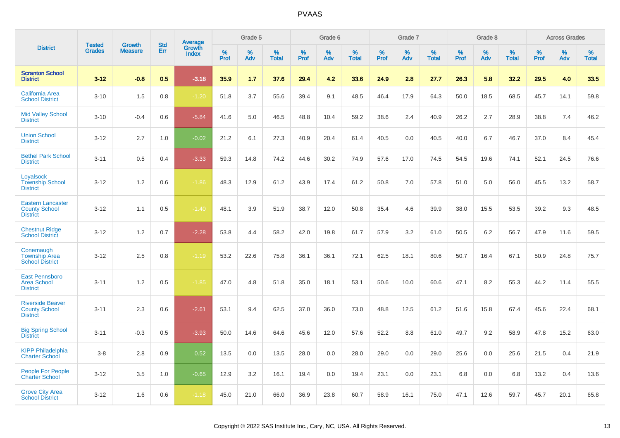|                                                                     |                                |                                 | <b>Std</b> | Average         |           | Grade 5  |                   |           | Grade 6  |                   |           | Grade 7  |                   |           | Grade 8  |                   |                  | <b>Across Grades</b> |                   |
|---------------------------------------------------------------------|--------------------------------|---------------------------------|------------|-----------------|-----------|----------|-------------------|-----------|----------|-------------------|-----------|----------|-------------------|-----------|----------|-------------------|------------------|----------------------|-------------------|
| <b>District</b>                                                     | <b>Tested</b><br><b>Grades</b> | <b>Growth</b><br><b>Measure</b> | Err        | Growth<br>Index | %<br>Prof | %<br>Adv | %<br><b>Total</b> | %<br>Prof | %<br>Adv | %<br><b>Total</b> | %<br>Prof | %<br>Adv | %<br><b>Total</b> | %<br>Prof | %<br>Adv | %<br><b>Total</b> | %<br><b>Prof</b> | $\%$<br>Adv          | %<br><b>Total</b> |
| <b>Scranton School</b><br><b>District</b>                           | $3 - 12$                       | $-0.8$                          | 0.5        | $-3.18$         | 35.9      | 1.7      | 37.6              | 29.4      | 4.2      | 33.6              | 24.9      | 2.8      | 27.7              | 26.3      | 5.8      | 32.2              | 29.5             | 4.0                  | 33.5              |
| <b>California Area</b><br><b>School District</b>                    | $3 - 10$                       | 1.5                             | 0.8        | $-1.20$         | 51.8      | 3.7      | 55.6              | 39.4      | 9.1      | 48.5              | 46.4      | 17.9     | 64.3              | 50.0      | 18.5     | 68.5              | 45.7             | 14.1                 | 59.8              |
| <b>Mid Valley School</b><br><b>District</b>                         | $3 - 10$                       | $-0.4$                          | 0.6        | $-5.84$         | 41.6      | 5.0      | 46.5              | 48.8      | 10.4     | 59.2              | 38.6      | 2.4      | 40.9              | 26.2      | 2.7      | 28.9              | 38.8             | 7.4                  | 46.2              |
| <b>Union School</b><br><b>District</b>                              | $3 - 12$                       | 2.7                             | 1.0        | $-0.02$         | 21.2      | 6.1      | 27.3              | 40.9      | 20.4     | 61.4              | 40.5      | 0.0      | 40.5              | 40.0      | 6.7      | 46.7              | 37.0             | 8.4                  | 45.4              |
| <b>Bethel Park School</b><br><b>District</b>                        | $3 - 11$                       | 0.5                             | 0.4        | $-3.33$         | 59.3      | 14.8     | 74.2              | 44.6      | 30.2     | 74.9              | 57.6      | 17.0     | 74.5              | 54.5      | 19.6     | 74.1              | 52.1             | 24.5                 | 76.6              |
| Loyalsock<br><b>Township School</b><br><b>District</b>              | $3 - 12$                       | 1.2                             | 0.6        | $-1.86$         | 48.3      | 12.9     | 61.2              | 43.9      | 17.4     | 61.2              | 50.8      | 7.0      | 57.8              | 51.0      | 5.0      | 56.0              | 45.5             | 13.2                 | 58.7              |
| <b>Eastern Lancaster</b><br><b>County School</b><br><b>District</b> | $3 - 12$                       | 1.1                             | 0.5        | $-1.40$         | 48.1      | 3.9      | 51.9              | 38.7      | 12.0     | 50.8              | 35.4      | 4.6      | 39.9              | 38.0      | 15.5     | 53.5              | 39.2             | 9.3                  | 48.5              |
| <b>Chestnut Ridge</b><br><b>School District</b>                     | $3 - 12$                       | 1.2                             | 0.7        | $-2.28$         | 53.8      | 4.4      | 58.2              | 42.0      | 19.8     | 61.7              | 57.9      | 3.2      | 61.0              | 50.5      | 6.2      | 56.7              | 47.9             | 11.6                 | 59.5              |
| Conemaugh<br><b>Township Area</b><br><b>School District</b>         | $3 - 12$                       | 2.5                             | 0.8        | $-1.19$         | 53.2      | 22.6     | 75.8              | 36.1      | 36.1     | 72.1              | 62.5      | 18.1     | 80.6              | 50.7      | 16.4     | 67.1              | 50.9             | 24.8                 | 75.7              |
| <b>East Pennsboro</b><br><b>Area School</b><br><b>District</b>      | $3 - 11$                       | 1.2                             | 0.5        | $-1.85$         | 47.0      | 4.8      | 51.8              | 35.0      | 18.1     | 53.1              | 50.6      | 10.0     | 60.6              | 47.1      | 8.2      | 55.3              | 44.2             | 11.4                 | 55.5              |
| <b>Riverside Beaver</b><br><b>County School</b><br><b>District</b>  | $3 - 11$                       | 2.3                             | 0.6        | $-2.61$         | 53.1      | 9.4      | 62.5              | 37.0      | 36.0     | 73.0              | 48.8      | 12.5     | 61.2              | 51.6      | 15.8     | 67.4              | 45.6             | 22.4                 | 68.1              |
| <b>Big Spring School</b><br><b>District</b>                         | $3 - 11$                       | $-0.3$                          | 0.5        | $-3.93$         | 50.0      | 14.6     | 64.6              | 45.6      | 12.0     | 57.6              | 52.2      | 8.8      | 61.0              | 49.7      | 9.2      | 58.9              | 47.8             | 15.2                 | 63.0              |
| <b>KIPP Philadelphia</b><br><b>Charter School</b>                   | $3 - 8$                        | 2.8                             | 0.9        | 0.52            | 13.5      | 0.0      | 13.5              | 28.0      | 0.0      | 28.0              | 29.0      | 0.0      | 29.0              | 25.6      | 0.0      | 25.6              | 21.5             | 0.4                  | 21.9              |
| <b>People For People</b><br><b>Charter School</b>                   | $3 - 12$                       | 3.5                             | 1.0        | $-0.65$         | 12.9      | 3.2      | 16.1              | 19.4      | 0.0      | 19.4              | 23.1      | 0.0      | 23.1              | 6.8       | 0.0      | 6.8               | 13.2             | 0.4                  | 13.6              |
| <b>Grove City Area</b><br><b>School District</b>                    | $3 - 12$                       | 1.6                             | 0.6        | $-1.18$         | 45.0      | 21.0     | 66.0              | 36.9      | 23.8     | 60.7              | 58.9      | 16.1     | 75.0              | 47.1      | 12.6     | 59.7              | 45.7             | 20.1                 | 65.8              |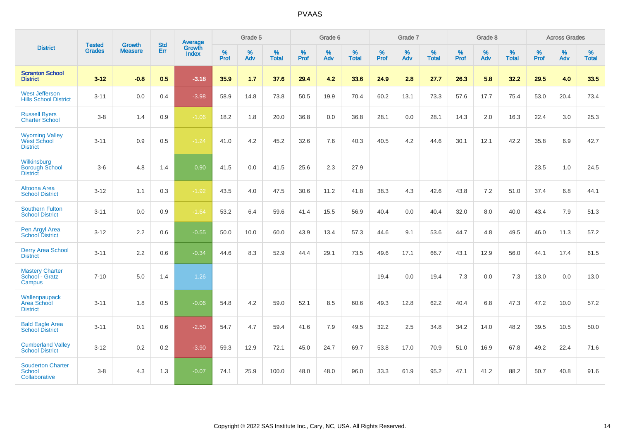|                                                                | <b>Tested</b> | <b>Growth</b>  | <b>Std</b> | Average                |                     | Grade 5  |                   |                     | Grade 6  |                   |              | Grade 7  |                   |                     | Grade 8  |                   |                     | <b>Across Grades</b> |                   |
|----------------------------------------------------------------|---------------|----------------|------------|------------------------|---------------------|----------|-------------------|---------------------|----------|-------------------|--------------|----------|-------------------|---------------------|----------|-------------------|---------------------|----------------------|-------------------|
| <b>District</b>                                                | <b>Grades</b> | <b>Measure</b> | Err        | Growth<br><b>Index</b> | $\%$<br><b>Prof</b> | %<br>Adv | %<br><b>Total</b> | $\%$<br><b>Prof</b> | %<br>Adv | %<br><b>Total</b> | $\%$<br>Prof | %<br>Adv | %<br><b>Total</b> | $\%$<br><b>Prof</b> | %<br>Adv | %<br><b>Total</b> | $\%$<br><b>Prof</b> | %<br>Adv             | %<br><b>Total</b> |
| <b>Scranton School</b><br><b>District</b>                      | $3 - 12$      | $-0.8$         | 0.5        | $-3.18$                | 35.9                | 1.7      | 37.6              | 29.4                | 4.2      | 33.6              | 24.9         | 2.8      | 27.7              | 26.3                | 5.8      | 32.2              | 29.5                | 4.0                  | 33.5              |
| <b>West Jefferson</b><br><b>Hills School District</b>          | $3 - 11$      | 0.0            | 0.4        | $-3.98$                | 58.9                | 14.8     | 73.8              | 50.5                | 19.9     | 70.4              | 60.2         | 13.1     | 73.3              | 57.6                | 17.7     | 75.4              | 53.0                | 20.4                 | 73.4              |
| <b>Russell Byers</b><br><b>Charter School</b>                  | $3 - 8$       | 1.4            | 0.9        | $-1.06$                | 18.2                | 1.8      | 20.0              | 36.8                | 0.0      | 36.8              | 28.1         | 0.0      | 28.1              | 14.3                | 2.0      | 16.3              | 22.4                | 3.0                  | 25.3              |
| <b>Wyoming Valley</b><br><b>West School</b><br><b>District</b> | $3 - 11$      | 0.9            | 0.5        | $-1.24$                | 41.0                | 4.2      | 45.2              | 32.6                | 7.6      | 40.3              | 40.5         | 4.2      | 44.6              | 30.1                | 12.1     | 42.2              | 35.8                | 6.9                  | 42.7              |
| Wilkinsburg<br><b>Borough School</b><br><b>District</b>        | $3-6$         | 4.8            | 1.4        | 0.90                   | 41.5                | 0.0      | 41.5              | 25.6                | 2.3      | 27.9              |              |          |                   |                     |          |                   | 23.5                | 1.0                  | 24.5              |
| Altoona Area<br><b>School District</b>                         | $3 - 12$      | 1.1            | 0.3        | $-1.92$                | 43.5                | 4.0      | 47.5              | 30.6                | 11.2     | 41.8              | 38.3         | 4.3      | 42.6              | 43.8                | 7.2      | 51.0              | 37.4                | 6.8                  | 44.1              |
| <b>Southern Fulton</b><br><b>School District</b>               | $3 - 11$      | 0.0            | 0.9        | $-1.64$                | 53.2                | 6.4      | 59.6              | 41.4                | 15.5     | 56.9              | 40.4         | 0.0      | 40.4              | 32.0                | $8.0\,$  | 40.0              | 43.4                | 7.9                  | 51.3              |
| Pen Argyl Area<br><b>School District</b>                       | $3 - 12$      | 2.2            | 0.6        | $-0.55$                | 50.0                | 10.0     | 60.0              | 43.9                | 13.4     | 57.3              | 44.6         | 9.1      | 53.6              | 44.7                | 4.8      | 49.5              | 46.0                | 11.3                 | 57.2              |
| <b>Derry Area School</b><br><b>District</b>                    | $3 - 11$      | 2.2            | 0.6        | $-0.34$                | 44.6                | 8.3      | 52.9              | 44.4                | 29.1     | 73.5              | 49.6         | 17.1     | 66.7              | 43.1                | 12.9     | 56.0              | 44.1                | 17.4                 | 61.5              |
| <b>Mastery Charter</b><br>School - Gratz<br>Campus             | $7 - 10$      | 5.0            | 1.4        | 1.26                   |                     |          |                   |                     |          |                   | 19.4         | 0.0      | 19.4              | 7.3                 | 0.0      | 7.3               | 13.0                | 0.0                  | 13.0              |
| Wallenpaupack<br>Area School<br><b>District</b>                | $3 - 11$      | 1.8            | 0.5        | $-0.06$                | 54.8                | 4.2      | 59.0              | 52.1                | 8.5      | 60.6              | 49.3         | 12.8     | 62.2              | 40.4                | 6.8      | 47.3              | 47.2                | 10.0                 | 57.2              |
| <b>Bald Eagle Area</b><br><b>School District</b>               | $3 - 11$      | 0.1            | 0.6        | $-2.50$                | 54.7                | 4.7      | 59.4              | 41.6                | 7.9      | 49.5              | 32.2         | 2.5      | 34.8              | 34.2                | 14.0     | 48.2              | 39.5                | 10.5                 | 50.0              |
| <b>Cumberland Valley</b><br><b>School District</b>             | $3 - 12$      | 0.2            | 0.2        | $-3.90$                | 59.3                | 12.9     | 72.1              | 45.0                | 24.7     | 69.7              | 53.8         | 17.0     | 70.9              | 51.0                | 16.9     | 67.8              | 49.2                | 22.4                 | 71.6              |
| <b>Souderton Charter</b><br><b>School</b><br>Collaborative     | $3 - 8$       | 4.3            | 1.3        | $-0.07$                | 74.1                | 25.9     | 100.0             | 48.0                | 48.0     | 96.0              | 33.3         | 61.9     | 95.2              | 47.1                | 41.2     | 88.2              | 50.7                | 40.8                 | 91.6              |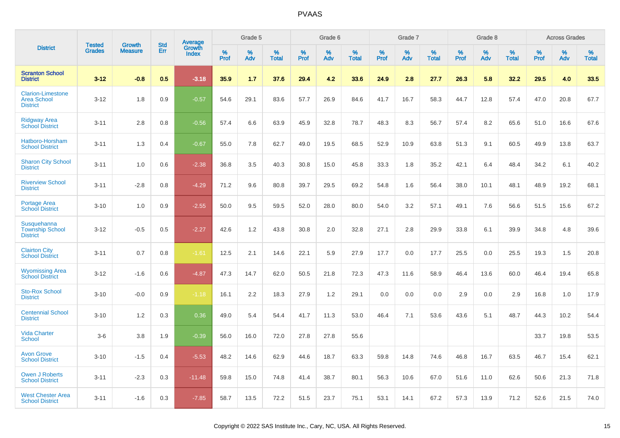|                                                                   | <b>Tested</b> | <b>Growth</b>  | <b>Std</b> | Average                |              | Grade 5  |                   |              | Grade 6  |                   |              | Grade 7  |                   |              | Grade 8  |                   |              | <b>Across Grades</b> |                   |
|-------------------------------------------------------------------|---------------|----------------|------------|------------------------|--------------|----------|-------------------|--------------|----------|-------------------|--------------|----------|-------------------|--------------|----------|-------------------|--------------|----------------------|-------------------|
| <b>District</b>                                                   | <b>Grades</b> | <b>Measure</b> | Err        | Growth<br><b>Index</b> | $\%$<br>Prof | %<br>Adv | %<br><b>Total</b> | $\%$<br>Prof | %<br>Adv | %<br><b>Total</b> | $\%$<br>Prof | %<br>Adv | %<br><b>Total</b> | $\%$<br>Prof | %<br>Adv | %<br><b>Total</b> | $\%$<br>Prof | %<br>Adv             | %<br><b>Total</b> |
| <b>Scranton School</b><br><b>District</b>                         | $3 - 12$      | $-0.8$         | 0.5        | $-3.18$                | 35.9         | 1.7      | 37.6              | 29.4         | 4.2      | 33.6              | 24.9         | 2.8      | 27.7              | 26.3         | 5.8      | 32.2              | 29.5         | 4.0                  | 33.5              |
| <b>Clarion-Limestone</b><br><b>Area School</b><br><b>District</b> | $3 - 12$      | 1.8            | 0.9        | $-0.57$                | 54.6         | 29.1     | 83.6              | 57.7         | 26.9     | 84.6              | 41.7         | 16.7     | 58.3              | 44.7         | 12.8     | 57.4              | 47.0         | 20.8                 | 67.7              |
| <b>Ridgway Area</b><br><b>School District</b>                     | $3 - 11$      | 2.8            | 0.8        | $-0.56$                | 57.4         | 6.6      | 63.9              | 45.9         | 32.8     | 78.7              | 48.3         | 8.3      | 56.7              | 57.4         | 8.2      | 65.6              | 51.0         | 16.6                 | 67.6              |
| Hatboro-Horsham<br><b>School District</b>                         | $3 - 11$      | 1.3            | 0.4        | $-0.67$                | 55.0         | 7.8      | 62.7              | 49.0         | 19.5     | 68.5              | 52.9         | 10.9     | 63.8              | 51.3         | 9.1      | 60.5              | 49.9         | 13.8                 | 63.7              |
| <b>Sharon City School</b><br><b>District</b>                      | $3 - 11$      | 1.0            | 0.6        | $-2.38$                | 36.8         | 3.5      | 40.3              | 30.8         | 15.0     | 45.8              | 33.3         | 1.8      | 35.2              | 42.1         | 6.4      | 48.4              | 34.2         | 6.1                  | 40.2              |
| <b>Riverview School</b><br><b>District</b>                        | $3 - 11$      | $-2.8$         | 0.8        | $-4.29$                | 71.2         | 9.6      | 80.8              | 39.7         | 29.5     | 69.2              | 54.8         | 1.6      | 56.4              | 38.0         | 10.1     | 48.1              | 48.9         | 19.2                 | 68.1              |
| <b>Portage Area</b><br><b>School District</b>                     | $3 - 10$      | 1.0            | 0.9        | $-2.55$                | 50.0         | 9.5      | 59.5              | 52.0         | 28.0     | 80.0              | 54.0         | 3.2      | 57.1              | 49.1         | 7.6      | 56.6              | 51.5         | 15.6                 | 67.2              |
| Susquehanna<br><b>Township School</b><br><b>District</b>          | $3 - 12$      | $-0.5$         | 0.5        | $-2.27$                | 42.6         | 1.2      | 43.8              | 30.8         | 2.0      | 32.8              | 27.1         | 2.8      | 29.9              | 33.8         | 6.1      | 39.9              | 34.8         | 4.8                  | 39.6              |
| <b>Clairton City</b><br><b>School District</b>                    | $3 - 11$      | 0.7            | 0.8        | $-1.61$                | 12.5         | 2.1      | 14.6              | 22.1         | 5.9      | 27.9              | 17.7         | 0.0      | 17.7              | 25.5         | 0.0      | 25.5              | 19.3         | 1.5                  | 20.8              |
| <b>Wyomissing Area</b><br><b>School District</b>                  | $3 - 12$      | $-1.6$         | 0.6        | $-4.87$                | 47.3         | 14.7     | 62.0              | 50.5         | 21.8     | 72.3              | 47.3         | 11.6     | 58.9              | 46.4         | 13.6     | 60.0              | 46.4         | 19.4                 | 65.8              |
| <b>Sto-Rox School</b><br><b>District</b>                          | $3 - 10$      | $-0.0$         | 0.9        | $-1.18$                | 16.1         | 2.2      | 18.3              | 27.9         | 1.2      | 29.1              | 0.0          | 0.0      | 0.0               | 2.9          | 0.0      | 2.9               | 16.8         | 1.0                  | 17.9              |
| <b>Centennial School</b><br><b>District</b>                       | $3 - 10$      | 1.2            | 0.3        | 0.36                   | 49.0         | 5.4      | 54.4              | 41.7         | 11.3     | 53.0              | 46.4         | 7.1      | 53.6              | 43.6         | 5.1      | 48.7              | 44.3         | 10.2                 | 54.4              |
| <b>Vida Charter</b><br><b>School</b>                              | $3-6$         | 3.8            | 1.9        | $-0.39$                | 56.0         | 16.0     | 72.0              | 27.8         | 27.8     | 55.6              |              |          |                   |              |          |                   | 33.7         | 19.8                 | 53.5              |
| <b>Avon Grove</b><br><b>School District</b>                       | $3 - 10$      | $-1.5$         | 0.4        | $-5.53$                | 48.2         | 14.6     | 62.9              | 44.6         | 18.7     | 63.3              | 59.8         | 14.8     | 74.6              | 46.8         | 16.7     | 63.5              | 46.7         | 15.4                 | 62.1              |
| <b>Owen J Roberts</b><br><b>School District</b>                   | $3 - 11$      | $-2.3$         | 0.3        | $-11.48$               | 59.8         | 15.0     | 74.8              | 41.4         | 38.7     | 80.1              | 56.3         | 10.6     | 67.0              | 51.6         | 11.0     | 62.6              | 50.6         | 21.3                 | 71.8              |
| <b>West Chester Area</b><br><b>School District</b>                | $3 - 11$      | $-1.6$         | 0.3        | $-7.85$                | 58.7         | 13.5     | 72.2              | 51.5         | 23.7     | 75.1              | 53.1         | 14.1     | 67.2              | 57.3         | 13.9     | 71.2              | 52.6         | 21.5                 | 74.0              |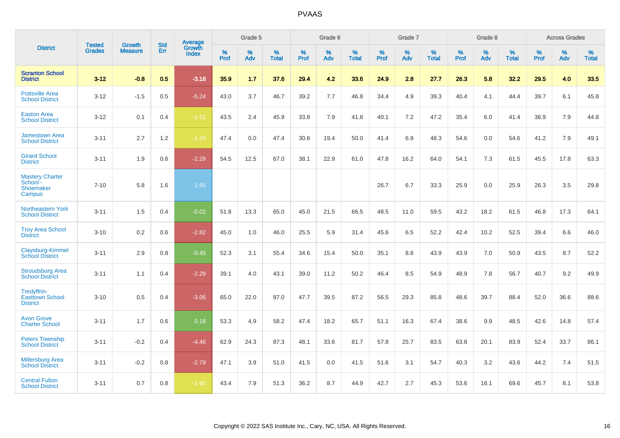|                                                           | <b>Tested</b> | <b>Growth</b>  | <b>Std</b> | <b>Average</b>         |           | Grade 5  |                   |           | Grade 6  |                   |           | Grade 7  |                   |           | Grade 8  |                   |           | <b>Across Grades</b> |                   |
|-----------------------------------------------------------|---------------|----------------|------------|------------------------|-----------|----------|-------------------|-----------|----------|-------------------|-----------|----------|-------------------|-----------|----------|-------------------|-----------|----------------------|-------------------|
| <b>District</b>                                           | <b>Grades</b> | <b>Measure</b> | Err        | Growth<br><b>Index</b> | %<br>Prof | %<br>Adv | %<br><b>Total</b> | %<br>Prof | %<br>Adv | %<br><b>Total</b> | %<br>Prof | %<br>Adv | %<br><b>Total</b> | %<br>Prof | %<br>Adv | %<br><b>Total</b> | %<br>Prof | %<br>Adv             | %<br><b>Total</b> |
| <b>Scranton School</b><br><b>District</b>                 | $3 - 12$      | $-0.8$         | 0.5        | $-3.18$                | 35.9      | 1.7      | 37.6              | 29.4      | 4.2      | 33.6              | 24.9      | 2.8      | 27.7              | 26.3      | 5.8      | 32.2              | 29.5      | 4.0                  | 33.5              |
| <b>Pottsville Area</b><br><b>School District</b>          | $3 - 12$      | $-1.5$         | 0.5        | $-5.24$                | 43.0      | 3.7      | 46.7              | 39.2      | 7.7      | 46.8              | 34.4      | 4.9      | 39.3              | 40.4      | 4.1      | 44.4              | 39.7      | 6.1                  | 45.8              |
| <b>Easton Area</b><br><b>School District</b>              | $3 - 12$      | 0.1            | 0.4        | $-1.51$                | 43.5      | 2.4      | 45.9              | 33.8      | 7.9      | 41.8              | 40.1      | 7.2      | 47.2              | 35.4      | 6.0      | 41.4              | 36.9      | 7.9                  | 44.8              |
| <b>Jamestown Area</b><br><b>School District</b>           | $3 - 11$      | 2.7            | 1.2        | $-1.24$                | 47.4      | 0.0      | 47.4              | 30.6      | 19.4     | 50.0              | 41.4      | 6.9      | 48.3              | 54.6      | 0.0      | 54.6              | 41.2      | 7.9                  | 49.1              |
| <b>Girard School</b><br><b>District</b>                   | $3 - 11$      | 1.9            | 0.6        | $-2.29$                | 54.5      | 12.5     | 67.0              | 38.1      | 22.9     | 61.0              | 47.8      | 16.2     | 64.0              | 54.1      | 7.3      | 61.5              | 45.5      | 17.8                 | 63.3              |
| <b>Mastery Charter</b><br>School -<br>Shoemaker<br>Campus | $7 - 10$      | 5.8            | 1.6        | 1.55                   |           |          |                   |           |          |                   | 26.7      | 6.7      | 33.3              | 25.9      | 0.0      | 25.9              | 26.3      | 3.5                  | 29.8              |
| Northeastern York<br><b>School District</b>               | $3 - 11$      | 1.5            | 0.4        | $-0.02$                | 51.8      | 13.3     | 65.0              | 45.0      | 21.5     | 66.5              | 48.5      | 11.0     | 59.5              | 43.2      | 18.2     | 61.5              | 46.8      | 17.3                 | 64.1              |
| <b>Troy Area School</b><br><b>District</b>                | $3 - 10$      | 0.2            | 0.6        | $-2.82$                | 45.0      | 1.0      | 46.0              | 25.5      | 5.9      | 31.4              | 45.6      | 6.5      | 52.2              | 42.4      | 10.2     | 52.5              | 39.4      | 6.6                  | 46.0              |
| Claysburg-Kimmel<br><b>School District</b>                | $3 - 11$      | 2.9            | 0.8        | $-0.45$                | 52.3      | 3.1      | 55.4              | 34.6      | 15.4     | 50.0              | 35.1      | 8.8      | 43.9              | 43.9      | 7.0      | 50.9              | 43.5      | 8.7                  | 52.2              |
| <b>Stroudsburg Area</b><br><b>School District</b>         | $3 - 11$      | 1.1            | 0.4        | $-2.29$                | 39.1      | 4.0      | 43.1              | 39.0      | 11.2     | 50.2              | 46.4      | 8.5      | 54.9              | 48.9      | 7.8      | 56.7              | 40.7      | 9.2                  | 49.9              |
| Tredyffrin-<br><b>Easttown School</b><br><b>District</b>  | $3 - 10$      | 0.5            | 0.4        | $-3.06$                | 65.0      | 22.0     | 87.0              | 47.7      | 39.5     | 87.2              | 56.5      | 29.3     | 85.8              | 48.6      | 39.7     | 88.4              | 52.0      | 36.6                 | 88.6              |
| <b>Avon Grove</b><br><b>Charter School</b>                | $3 - 11$      | 1.7            | 0.6        | 0.18                   | 53.3      | 4.9      | 58.2              | 47.4      | 18.2     | 65.7              | 51.1      | 16.3     | 67.4              | 38.6      | 9.9      | 48.5              | 42.6      | 14.8                 | 57.4              |
| <b>Peters Township</b><br><b>School District</b>          | $3 - 11$      | $-0.2$         | 0.4        | $-4.46$                | 62.9      | 24.3     | 87.3              | 48.1      | 33.6     | 81.7              | 57.8      | 25.7     | 83.5              | 63.8      | 20.1     | 83.9              | 52.4      | 33.7                 | 86.1              |
| <b>Millersburg Area</b><br><b>School District</b>         | $3 - 11$      | $-0.2$         | 0.8        | $-2.79$                | 47.1      | 3.9      | 51.0              | 41.5      | 0.0      | 41.5              | 51.6      | 3.1      | 54.7              | 40.3      | 3.2      | 43.6              | 44.2      | 7.4                  | 51.5              |
| <b>Central Fulton</b><br><b>School District</b>           | $3 - 11$      | 0.7            | 0.8        | $-1.60$                | 43.4      | 7.9      | 51.3              | 36.2      | 8.7      | 44.9              | 42.7      | 2.7      | 45.3              | 53.6      | 16.1     | 69.6              | 45.7      | 8.1                  | 53.8              |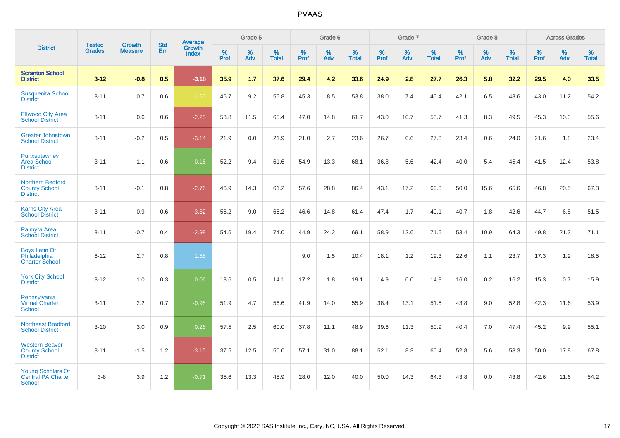|                                                                    |                                |                                 | <b>Std</b> | <b>Average</b>         |           | Grade 5  |                   |           | Grade 6  |                   |           | Grade 7  |                   |           | Grade 8  |                   |           | <b>Across Grades</b> |                   |
|--------------------------------------------------------------------|--------------------------------|---------------------------------|------------|------------------------|-----------|----------|-------------------|-----------|----------|-------------------|-----------|----------|-------------------|-----------|----------|-------------------|-----------|----------------------|-------------------|
| <b>District</b>                                                    | <b>Tested</b><br><b>Grades</b> | <b>Growth</b><br><b>Measure</b> | Err        | Growth<br><b>Index</b> | %<br>Prof | %<br>Adv | %<br><b>Total</b> | %<br>Prof | %<br>Adv | %<br><b>Total</b> | %<br>Prof | %<br>Adv | %<br><b>Total</b> | %<br>Prof | %<br>Adv | %<br><b>Total</b> | %<br>Prof | %<br>Adv             | %<br><b>Total</b> |
| <b>Scranton School</b><br><b>District</b>                          | $3 - 12$                       | $-0.8$                          | 0.5        | $-3.18$                | 35.9      | 1.7      | 37.6              | 29.4      | 4.2      | 33.6              | 24.9      | 2.8      | 27.7              | 26.3      | 5.8      | 32.2              | 29.5      | 4.0                  | 33.5              |
| <b>Susquenita School</b><br><b>District</b>                        | $3 - 11$                       | 0.7                             | 0.6        | $-1.50$                | 46.7      | 9.2      | 55.8              | 45.3      | 8.5      | 53.8              | 38.0      | 7.4      | 45.4              | 42.1      | 6.5      | 48.6              | 43.0      | 11.2                 | 54.2              |
| <b>Ellwood City Area</b><br><b>School District</b>                 | $3 - 11$                       | 0.6                             | 0.6        | $-2.25$                | 53.8      | 11.5     | 65.4              | 47.0      | 14.8     | 61.7              | 43.0      | 10.7     | 53.7              | 41.3      | 8.3      | 49.5              | 45.3      | 10.3                 | 55.6              |
| <b>Greater Johnstown</b><br><b>School District</b>                 | $3 - 11$                       | $-0.2$                          | 0.5        | $-3.14$                | 21.9      | 0.0      | 21.9              | 21.0      | 2.7      | 23.6              | 26.7      | 0.6      | 27.3              | 23.4      | 0.6      | 24.0              | 21.6      | 1.8                  | 23.4              |
| Punxsutawney<br><b>Area School</b><br><b>District</b>              | $3 - 11$                       | 1.1                             | 0.6        | $-0.16$                | 52.2      | 9.4      | 61.6              | 54.9      | 13.3     | 68.1              | 36.8      | 5.6      | 42.4              | 40.0      | 5.4      | 45.4              | 41.5      | 12.4                 | 53.8              |
| <b>Northern Bedford</b><br><b>County School</b><br><b>District</b> | $3 - 11$                       | $-0.1$                          | 0.8        | $-2.76$                | 46.9      | 14.3     | 61.2              | 57.6      | 28.8     | 86.4              | 43.1      | 17.2     | 60.3              | 50.0      | 15.6     | 65.6              | 46.8      | 20.5                 | 67.3              |
| <b>Karns City Area</b><br><b>School District</b>                   | $3 - 11$                       | $-0.9$                          | 0.6        | $-3.82$                | 56.2      | 9.0      | 65.2              | 46.6      | 14.8     | 61.4              | 47.4      | 1.7      | 49.1              | 40.7      | 1.8      | 42.6              | 44.7      | 6.8                  | 51.5              |
| Palmyra Area<br><b>School District</b>                             | $3 - 11$                       | $-0.7$                          | 0.4        | $-2.98$                | 54.6      | 19.4     | 74.0              | 44.9      | 24.2     | 69.1              | 58.9      | 12.6     | 71.5              | 53.4      | 10.9     | 64.3              | 49.8      | 21.3                 | 71.1              |
| <b>Boys Latin Of</b><br>Philadelphia<br><b>Charter School</b>      | $6 - 12$                       | 2.7                             | 0.8        | 1.58                   |           |          |                   | 9.0       | 1.5      | 10.4              | 18.1      | 1.2      | 19.3              | 22.6      | 1.1      | 23.7              | 17.3      | 1.2                  | 18.5              |
| <b>York City School</b><br><b>District</b>                         | $3 - 12$                       | 1.0                             | 0.3        | 0.06                   | 13.6      | 0.5      | 14.1              | 17.2      | 1.8      | 19.1              | 14.9      | 0.0      | 14.9              | 16.0      | 0.2      | 16.2              | 15.3      | 0.7                  | 15.9              |
| Pennsylvania<br>Virtual Charter<br><b>School</b>                   | $3 - 11$                       | 2.2                             | 0.7        | $-0.98$                | 51.9      | 4.7      | 56.6              | 41.9      | 14.0     | 55.9              | 38.4      | 13.1     | 51.5              | 43.8      | 9.0      | 52.8              | 42.3      | 11.6                 | 53.9              |
| <b>Northeast Bradford</b><br><b>School District</b>                | $3 - 10$                       | 3.0                             | 0.9        | 0.26                   | 57.5      | 2.5      | 60.0              | 37.8      | 11.1     | 48.9              | 39.6      | 11.3     | 50.9              | 40.4      | 7.0      | 47.4              | 45.2      | 9.9                  | 55.1              |
| <b>Western Beaver</b><br><b>County School</b><br><b>District</b>   | $3 - 11$                       | $-1.5$                          | 1.2        | $-3.15$                | 37.5      | 12.5     | 50.0              | 57.1      | 31.0     | 88.1              | 52.1      | 8.3      | 60.4              | 52.8      | 5.6      | 58.3              | 50.0      | 17.8                 | 67.8              |
| <b>Young Scholars Of</b><br><b>Central PA Charter</b><br>School    | $3 - 8$                        | 3.9                             | 1.2        | $-0.71$                | 35.6      | 13.3     | 48.9              | 28.0      | 12.0     | 40.0              | 50.0      | 14.3     | 64.3              | 43.8      | 0.0      | 43.8              | 42.6      | 11.6                 | 54.2              |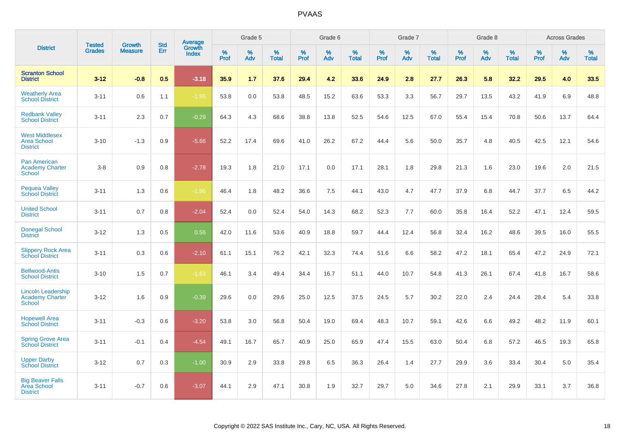|                                                                      |                                |                                 | <b>Std</b> | Average         |           | Grade 5  |                   |           | Grade 6  |                   |           | Grade 7  |                   |           | Grade 8  |                   |           | <b>Across Grades</b> |                   |
|----------------------------------------------------------------------|--------------------------------|---------------------------------|------------|-----------------|-----------|----------|-------------------|-----------|----------|-------------------|-----------|----------|-------------------|-----------|----------|-------------------|-----------|----------------------|-------------------|
| <b>District</b>                                                      | <b>Tested</b><br><b>Grades</b> | <b>Growth</b><br><b>Measure</b> | Err        | Growth<br>Index | %<br>Prof | %<br>Adv | %<br><b>Total</b> | %<br>Prof | %<br>Adv | %<br><b>Total</b> | %<br>Prof | %<br>Adv | %<br><b>Total</b> | %<br>Prof | %<br>Adv | %<br><b>Total</b> | %<br>Prof | %<br>Adv             | %<br><b>Total</b> |
| <b>Scranton School</b><br><b>District</b>                            | $3 - 12$                       | $-0.8$                          | 0.5        | $-3.18$         | 35.9      | 1.7      | 37.6              | 29.4      | 4.2      | 33.6              | 24.9      | 2.8      | 27.7              | 26.3      | 5.8      | 32.2              | 29.5      | 4.0                  | 33.5              |
| <b>Weatherly Area</b><br><b>School District</b>                      | $3 - 11$                       | 0.6                             | 1.1        | $-1.95$         | 53.8      | 0.0      | 53.8              | 48.5      | 15.2     | 63.6              | 53.3      | 3.3      | 56.7              | 29.7      | 13.5     | 43.2              | 41.9      | 6.9                  | 48.8              |
| <b>Redbank Valley</b><br><b>School District</b>                      | $3 - 11$                       | 2.3                             | 0.7        | $-0.29$         | 64.3      | 4.3      | 68.6              | 38.8      | 13.8     | 52.5              | 54.6      | 12.5     | 67.0              | 55.4      | 15.4     | 70.8              | 50.6      | 13.7                 | 64.4              |
| <b>West Middlesex</b><br><b>Area School</b><br><b>District</b>       | $3 - 10$                       | $-1.3$                          | 0.9        | $-5.66$         | 52.2      | 17.4     | 69.6              | 41.0      | 26.2     | 67.2              | 44.4      | 5.6      | 50.0              | 35.7      | 4.8      | 40.5              | 42.5      | 12.1                 | 54.6              |
| <b>Pan American</b><br><b>Academy Charter</b><br><b>School</b>       | $3 - 8$                        | 0.9                             | 0.8        | $-2.78$         | 19.3      | 1.8      | 21.0              | 17.1      | 0.0      | 17.1              | 28.1      | 1.8      | 29.8              | 21.3      | 1.6      | 23.0              | 19.6      | 2.0                  | 21.5              |
| <b>Pequea Valley</b><br><b>School District</b>                       | $3 - 11$                       | 1.3                             | 0.6        | $-1.96$         | 46.4      | 1.8      | 48.2              | 36.6      | 7.5      | 44.1              | 43.0      | 4.7      | 47.7              | 37.9      | 6.8      | 44.7              | 37.7      | 6.5                  | 44.2              |
| <b>United School</b><br><b>District</b>                              | $3 - 11$                       | 0.7                             | 0.8        | $-2.04$         | 52.4      | 0.0      | 52.4              | 54.0      | 14.3     | 68.2              | 52.3      | 7.7      | 60.0              | 35.8      | 16.4     | 52.2              | 47.1      | 12.4                 | 59.5              |
| <b>Donegal School</b><br><b>District</b>                             | $3 - 12$                       | 1.3                             | 0.5        | 0.56            | 42.0      | 11.6     | 53.6              | 40.9      | 18.8     | 59.7              | 44.4      | 12.4     | 56.8              | 32.4      | 16.2     | 48.6              | 39.5      | 16.0                 | 55.5              |
| <b>Slippery Rock Area</b><br><b>School District</b>                  | $3 - 11$                       | 0.3                             | 0.6        | $-2.10$         | 61.1      | 15.1     | 76.2              | 42.1      | 32.3     | 74.4              | 51.6      | 6.6      | 58.2              | 47.2      | 18.1     | 65.4              | 47.2      | 24.9                 | 72.1              |
| <b>Bellwood-Antis</b><br><b>School District</b>                      | $3 - 10$                       | 1.5                             | 0.7        | $-1.63$         | 46.1      | 3.4      | 49.4              | 34.4      | 16.7     | 51.1              | 44.0      | 10.7     | 54.8              | 41.3      | 26.1     | 67.4              | 41.8      | 16.7                 | 58.6              |
| <b>Lincoln Leadership</b><br><b>Academy Charter</b><br><b>School</b> | $3 - 12$                       | 1.6                             | 0.9        | $-0.39$         | 29.6      | 0.0      | 29.6              | 25.0      | 12.5     | 37.5              | 24.5      | 5.7      | 30.2              | 22.0      | 2.4      | 24.4              | 28.4      | 5.4                  | 33.8              |
| <b>Hopewell Area</b><br><b>School District</b>                       | $3 - 11$                       | $-0.3$                          | 0.6        | $-3.20$         | 53.8      | 3.0      | 56.8              | 50.4      | 19.0     | 69.4              | 48.3      | 10.7     | 59.1              | 42.6      | 6.6      | 49.2              | 48.2      | 11.9                 | 60.1              |
| <b>Spring Grove Area</b><br><b>School District</b>                   | $3 - 11$                       | $-0.1$                          | 0.4        | $-4.54$         | 49.1      | 16.7     | 65.7              | 40.9      | 25.0     | 65.9              | 47.4      | 15.5     | 63.0              | 50.4      | 6.8      | 57.2              | 46.5      | 19.3                 | 65.8              |
| <b>Upper Darby</b><br><b>School District</b>                         | $3 - 12$                       | 0.7                             | 0.3        | $-1.00$         | 30.9      | 2.9      | 33.8              | 29.8      | 6.5      | 36.3              | 26.4      | 1.4      | 27.7              | 29.9      | 3.6      | 33.4              | 30.4      | 5.0                  | 35.4              |
| <b>Big Beaver Falls</b><br>Area School<br><b>District</b>            | $3 - 11$                       | $-0.7$                          | 0.6        | $-3.07$         | 44.1      | 2.9      | 47.1              | 30.8      | 1.9      | 32.7              | 29.7      | 5.0      | 34.6              | 27.8      | 2.1      | 29.9              | 33.1      | 3.7                  | 36.8              |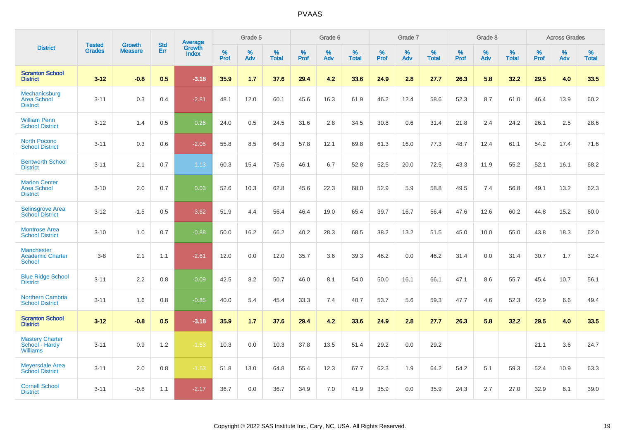|                                                               |                                | <b>Growth</b>  | <b>Std</b> |                                   |              | Grade 5  |                   |           | Grade 6  |                   |           | Grade 7  |                   |              | Grade 8  |                   |              | <b>Across Grades</b> |                   |
|---------------------------------------------------------------|--------------------------------|----------------|------------|-----------------------------------|--------------|----------|-------------------|-----------|----------|-------------------|-----------|----------|-------------------|--------------|----------|-------------------|--------------|----------------------|-------------------|
| <b>District</b>                                               | <b>Tested</b><br><b>Grades</b> | <b>Measure</b> | <b>Err</b> | <b>Average</b><br>Growth<br>Index | $\%$<br>Prof | %<br>Adv | %<br><b>Total</b> | %<br>Prof | %<br>Adv | %<br><b>Total</b> | %<br>Prof | %<br>Adv | %<br><b>Total</b> | $\%$<br>Prof | %<br>Adv | %<br><b>Total</b> | $\%$<br>Prof | %<br>Adv             | %<br><b>Total</b> |
| <b>Scranton School</b><br><b>District</b>                     | $3 - 12$                       | $-0.8$         | 0.5        | $-3.18$                           | 35.9         | 1.7      | 37.6              | 29.4      | 4.2      | 33.6              | 24.9      | 2.8      | 27.7              | 26.3         | 5.8      | 32.2              | 29.5         | 4.0                  | 33.5              |
| Mechanicsburg<br><b>Area School</b><br><b>District</b>        | $3 - 11$                       | 0.3            | 0.4        | $-2.81$                           | 48.1         | 12.0     | 60.1              | 45.6      | 16.3     | 61.9              | 46.2      | 12.4     | 58.6              | 52.3         | 8.7      | 61.0              | 46.4         | 13.9                 | 60.2              |
| <b>William Penn</b><br><b>School District</b>                 | $3 - 12$                       | 1.4            | 0.5        | 0.26                              | 24.0         | 0.5      | 24.5              | 31.6      | 2.8      | 34.5              | 30.8      | 0.6      | 31.4              | 21.8         | 2.4      | 24.2              | 26.1         | 2.5                  | 28.6              |
| <b>North Pocono</b><br><b>School District</b>                 | $3 - 11$                       | 0.3            | 0.6        | $-2.05$                           | 55.8         | 8.5      | 64.3              | 57.8      | 12.1     | 69.8              | 61.3      | 16.0     | 77.3              | 48.7         | 12.4     | 61.1              | 54.2         | 17.4                 | 71.6              |
| <b>Bentworth School</b><br><b>District</b>                    | $3 - 11$                       | 2.1            | 0.7        | 1.13                              | 60.3         | 15.4     | 75.6              | 46.1      | 6.7      | 52.8              | 52.5      | 20.0     | 72.5              | 43.3         | 11.9     | 55.2              | 52.1         | 16.1                 | 68.2              |
| <b>Marion Center</b><br><b>Area School</b><br><b>District</b> | $3 - 10$                       | 2.0            | 0.7        | 0.03                              | 52.6         | 10.3     | 62.8              | 45.6      | 22.3     | 68.0              | 52.9      | 5.9      | 58.8              | 49.5         | 7.4      | 56.8              | 49.1         | 13.2                 | 62.3              |
| Selinsgrove Area<br><b>School District</b>                    | $3 - 12$                       | $-1.5$         | 0.5        | $-3.62$                           | 51.9         | 4.4      | 56.4              | 46.4      | 19.0     | 65.4              | 39.7      | 16.7     | 56.4              | 47.6         | 12.6     | 60.2              | 44.8         | 15.2                 | 60.0              |
| <b>Montrose Area</b><br><b>School District</b>                | $3 - 10$                       | 1.0            | 0.7        | $-0.88$                           | 50.0         | 16.2     | 66.2              | 40.2      | 28.3     | 68.5              | 38.2      | 13.2     | 51.5              | 45.0         | 10.0     | 55.0              | 43.8         | 18.3                 | 62.0              |
| <b>Manchester</b><br><b>Academic Charter</b><br>School        | $3 - 8$                        | 2.1            | 1.1        | $-2.61$                           | 12.0         | 0.0      | 12.0              | 35.7      | 3.6      | 39.3              | 46.2      | 0.0      | 46.2              | 31.4         | 0.0      | 31.4              | 30.7         | 1.7                  | 32.4              |
| <b>Blue Ridge School</b><br><b>District</b>                   | $3 - 11$                       | 2.2            | 0.8        | $-0.09$                           | 42.5         | 8.2      | 50.7              | 46.0      | 8.1      | 54.0              | 50.0      | 16.1     | 66.1              | 47.1         | 8.6      | 55.7              | 45.4         | 10.7                 | 56.1              |
| <b>Northern Cambria</b><br><b>School District</b>             | $3 - 11$                       | 1.6            | 0.8        | $-0.85$                           | 40.0         | 5.4      | 45.4              | 33.3      | 7.4      | 40.7              | 53.7      | 5.6      | 59.3              | 47.7         | 4.6      | 52.3              | 42.9         | 6.6                  | 49.4              |
| <b>Scranton School</b><br><b>District</b>                     | $3 - 12$                       | $-0.8$         | 0.5        | $-3.18$                           | 35.9         | 1.7      | 37.6              | 29.4      | 4.2      | 33.6              | 24.9      | 2.8      | 27.7              | 26.3         | 5.8      | 32.2              | 29.5         | 4.0                  | 33.5              |
| <b>Mastery Charter</b><br>School - Hardy<br><b>Williams</b>   | $3 - 11$                       | 0.9            | 1.2        | $-1.53$                           | 10.3         | 0.0      | 10.3              | 37.8      | 13.5     | 51.4              | 29.2      | 0.0      | 29.2              |              |          |                   | 21.1         | 3.6                  | 24.7              |
| <b>Meyersdale Area</b><br><b>School District</b>              | $3 - 11$                       | 2.0            | 0.8        | $-1.63$                           | 51.8         | 13.0     | 64.8              | 55.4      | 12.3     | 67.7              | 62.3      | 1.9      | 64.2              | 54.2         | 5.1      | 59.3              | 52.4         | 10.9                 | 63.3              |
| <b>Cornell School</b><br><b>District</b>                      | $3 - 11$                       | $-0.8$         | 1.1        | $-2.17$                           | 36.7         | 0.0      | 36.7              | 34.9      | 7.0      | 41.9              | 35.9      | 0.0      | 35.9              | 24.3         | 2.7      | 27.0              | 32.9         | 6.1                  | 39.0              |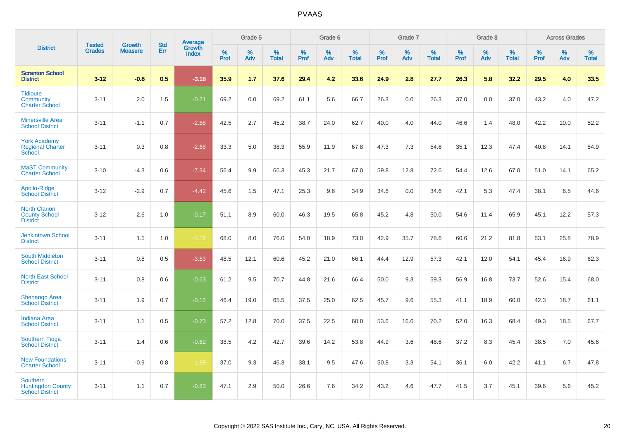|                                                                       |                                | <b>Growth</b>  | <b>Std</b> |                                          |                  | Grade 5  |                   |                  | Grade 6  |                   |                  | Grade 7  |                   |           | Grade 8  |                   |                  | <b>Across Grades</b> |                   |
|-----------------------------------------------------------------------|--------------------------------|----------------|------------|------------------------------------------|------------------|----------|-------------------|------------------|----------|-------------------|------------------|----------|-------------------|-----------|----------|-------------------|------------------|----------------------|-------------------|
| <b>District</b>                                                       | <b>Tested</b><br><b>Grades</b> | <b>Measure</b> | Err        | <b>Average</b><br>Growth<br><b>Index</b> | %<br><b>Prof</b> | %<br>Adv | %<br><b>Total</b> | %<br><b>Prof</b> | %<br>Adv | %<br><b>Total</b> | %<br><b>Prof</b> | %<br>Adv | %<br><b>Total</b> | %<br>Prof | %<br>Adv | %<br><b>Total</b> | %<br><b>Prof</b> | %<br>Adv             | %<br><b>Total</b> |
| <b>Scranton School</b><br><b>District</b>                             | $3 - 12$                       | $-0.8$         | 0.5        | $-3.18$                                  | 35.9             | 1.7      | 37.6              | 29.4             | 4.2      | 33.6              | 24.9             | 2.8      | 27.7              | 26.3      | 5.8      | 32.2              | 29.5             | 4.0                  | 33.5              |
| <b>Tidioute</b><br>Community<br><b>Charter School</b>                 | $3 - 11$                       | 2.0            | 1.5        | $-0.21$                                  | 69.2             | 0.0      | 69.2              | 61.1             | 5.6      | 66.7              | 26.3             | 0.0      | 26.3              | 37.0      | 0.0      | 37.0              | 43.2             | 4.0                  | 47.2              |
| <b>Minersville Area</b><br><b>School District</b>                     | $3 - 11$                       | $-1.1$         | 0.7        | $-2.58$                                  | 42.5             | 2.7      | 45.2              | 38.7             | 24.0     | 62.7              | 40.0             | 4.0      | 44.0              | 46.6      | 1.4      | 48.0              | 42.2             | 10.0                 | 52.2              |
| <b>York Academy</b><br><b>Regional Charter</b><br>School              | $3 - 11$                       | 0.3            | 0.8        | $-2.68$                                  | 33.3             | 5.0      | 38.3              | 55.9             | 11.9     | 67.8              | 47.3             | 7.3      | 54.6              | 35.1      | 12.3     | 47.4              | 40.8             | 14.1                 | 54.9              |
| <b>MaST Community</b><br><b>Charter School</b>                        | $3 - 10$                       | $-4.3$         | 0.6        | $-7.34$                                  | 56.4             | 9.9      | 66.3              | 45.3             | 21.7     | 67.0              | 59.8             | 12.8     | 72.6              | 54.4      | 12.6     | 67.0              | 51.0             | 14.1                 | 65.2              |
| Apollo-Ridge<br><b>School District</b>                                | $3 - 12$                       | $-2.9$         | 0.7        | $-4.42$                                  | 45.6             | 1.5      | 47.1              | 25.3             | 9.6      | 34.9              | 34.6             | 0.0      | 34.6              | 42.1      | 5.3      | 47.4              | 38.1             | 6.5                  | 44.6              |
| <b>North Clarion</b><br><b>County School</b><br><b>District</b>       | $3 - 12$                       | 2.6            | 1.0        | $-0.17$                                  | 51.1             | 8.9      | 60.0              | 46.3             | 19.5     | 65.8              | 45.2             | 4.8      | 50.0              | 54.6      | 11.4     | 65.9              | 45.1             | 12.2                 | 57.3              |
| <b>Jenkintown School</b><br><b>District</b>                           | $3 - 11$                       | 1.5            | 1.0        | $-1.16$                                  | 68.0             | 8.0      | 76.0              | 54.0             | 18.9     | 73.0              | 42.9             | 35.7     | 78.6              | 60.6      | 21.2     | 81.8              | 53.1             | 25.8                 | 78.9              |
| <b>South Middleton</b><br><b>School District</b>                      | $3 - 11$                       | 0.8            | 0.5        | $-3.53$                                  | 48.5             | 12.1     | 60.6              | 45.2             | 21.0     | 66.1              | 44.4             | 12.9     | 57.3              | 42.1      | 12.0     | 54.1              | 45.4             | 16.9                 | 62.3              |
| <b>North East School</b><br><b>District</b>                           | $3 - 11$                       | 0.8            | 0.6        | $-0.63$                                  | 61.2             | 9.5      | 70.7              | 44.8             | 21.6     | 66.4              | 50.0             | 9.3      | 59.3              | 56.9      | 16.8     | 73.7              | 52.6             | 15.4                 | 68.0              |
| <b>Shenango Area</b><br><b>School District</b>                        | $3 - 11$                       | 1.9            | 0.7        | $-0.12$                                  | 46.4             | 19.0     | 65.5              | 37.5             | 25.0     | 62.5              | 45.7             | 9.6      | 55.3              | 41.1      | 18.9     | 60.0              | 42.3             | 18.7                 | 61.1              |
| <b>Indiana Area</b><br><b>School District</b>                         | $3 - 11$                       | 1.1            | 0.5        | $-0.73$                                  | 57.2             | 12.8     | 70.0              | 37.5             | 22.5     | 60.0              | 53.6             | 16.6     | 70.2              | 52.0      | 16.3     | 68.4              | 49.3             | 18.5                 | 67.7              |
| <b>Southern Tioga</b><br><b>School District</b>                       | $3 - 11$                       | 1.4            | 0.6        | $-0.62$                                  | 38.5             | 4.2      | 42.7              | 39.6             | 14.2     | 53.8              | 44.9             | 3.6      | 48.6              | 37.2      | 8.3      | 45.4              | 38.5             | 7.0                  | 45.6              |
| <b>New Foundations</b><br><b>Charter School</b>                       | $3 - 11$                       | $-0.9$         | 0.8        | $-1.98$                                  | 37.0             | 9.3      | 46.3              | 38.1             | 9.5      | 47.6              | 50.8             | 3.3      | 54.1              | 36.1      | 6.0      | 42.2              | 41.1             | 6.7                  | 47.8              |
| <b>Southern</b><br><b>Huntingdon County</b><br><b>School District</b> | $3 - 11$                       | 1.1            | 0.7        | $-0.83$                                  | 47.1             | 2.9      | 50.0              | 26.6             | 7.6      | 34.2              | 43.2             | 4.6      | 47.7              | 41.5      | 3.7      | 45.1              | 39.6             | 5.6                  | 45.2              |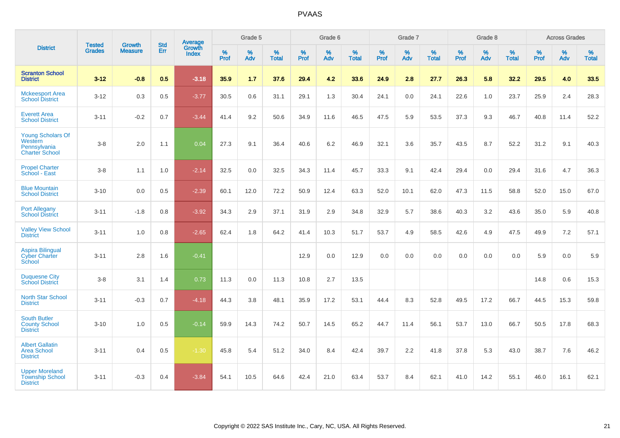|                                                                              |                                |                                 | <b>Std</b> | Average                |           | Grade 5  |                   |           | Grade 6  |                   |           | Grade 7  |                   |           | Grade 8  |                   |           | <b>Across Grades</b> |                   |
|------------------------------------------------------------------------------|--------------------------------|---------------------------------|------------|------------------------|-----------|----------|-------------------|-----------|----------|-------------------|-----------|----------|-------------------|-----------|----------|-------------------|-----------|----------------------|-------------------|
| <b>District</b>                                                              | <b>Tested</b><br><b>Grades</b> | <b>Growth</b><br><b>Measure</b> | Err        | Growth<br><b>Index</b> | %<br>Prof | %<br>Adv | %<br><b>Total</b> | %<br>Prof | %<br>Adv | %<br><b>Total</b> | %<br>Prof | %<br>Adv | %<br><b>Total</b> | %<br>Prof | %<br>Adv | %<br><b>Total</b> | %<br>Prof | %<br>Adv             | %<br><b>Total</b> |
| <b>Scranton School</b><br><b>District</b>                                    | $3 - 12$                       | $-0.8$                          | 0.5        | $-3.18$                | 35.9      | 1.7      | 37.6              | 29.4      | 4.2      | 33.6              | 24.9      | 2.8      | 27.7              | 26.3      | 5.8      | 32.2              | 29.5      | 4.0                  | 33.5              |
| <b>Mckeesport Area</b><br><b>School District</b>                             | $3 - 12$                       | 0.3                             | 0.5        | $-3.77$                | 30.5      | 0.6      | 31.1              | 29.1      | 1.3      | 30.4              | 24.1      | 0.0      | 24.1              | 22.6      | 1.0      | 23.7              | 25.9      | 2.4                  | 28.3              |
| <b>Everett Area</b><br><b>School District</b>                                | $3 - 11$                       | $-0.2$                          | 0.7        | $-3.44$                | 41.4      | 9.2      | 50.6              | 34.9      | 11.6     | 46.5              | 47.5      | 5.9      | 53.5              | 37.3      | 9.3      | 46.7              | 40.8      | 11.4                 | 52.2              |
| <b>Young Scholars Of</b><br>Western<br>Pennsylvania<br><b>Charter School</b> | $3-8$                          | 2.0                             | 1.1        | 0.04                   | 27.3      | 9.1      | 36.4              | 40.6      | 6.2      | 46.9              | 32.1      | 3.6      | 35.7              | 43.5      | 8.7      | 52.2              | 31.2      | 9.1                  | 40.3              |
| <b>Propel Charter</b><br>School - East                                       | $3-8$                          | 1.1                             | 1.0        | $-2.14$                | 32.5      | 0.0      | 32.5              | 34.3      | 11.4     | 45.7              | 33.3      | 9.1      | 42.4              | 29.4      | 0.0      | 29.4              | 31.6      | 4.7                  | 36.3              |
| <b>Blue Mountain</b><br><b>School District</b>                               | $3 - 10$                       | 0.0                             | 0.5        | $-2.39$                | 60.1      | 12.0     | 72.2              | 50.9      | 12.4     | 63.3              | 52.0      | 10.1     | 62.0              | 47.3      | 11.5     | 58.8              | 52.0      | 15.0                 | 67.0              |
| <b>Port Allegany</b><br><b>School District</b>                               | $3 - 11$                       | $-1.8$                          | 0.8        | $-3.92$                | 34.3      | 2.9      | 37.1              | 31.9      | 2.9      | 34.8              | 32.9      | 5.7      | 38.6              | 40.3      | 3.2      | 43.6              | 35.0      | 5.9                  | 40.8              |
| <b>Valley View School</b><br><b>District</b>                                 | $3 - 11$                       | 1.0                             | 0.8        | $-2.65$                | 62.4      | 1.8      | 64.2              | 41.4      | 10.3     | 51.7              | 53.7      | 4.9      | 58.5              | 42.6      | 4.9      | 47.5              | 49.9      | 7.2                  | 57.1              |
| <b>Aspira Bilingual</b><br><b>Cyber Charter</b><br>School                    | $3 - 11$                       | 2.8                             | 1.6        | $-0.41$                |           |          |                   | 12.9      | 0.0      | 12.9              | 0.0       | 0.0      | 0.0               | 0.0       | 0.0      | 0.0               | 5.9       | 0.0                  | 5.9               |
| <b>Duquesne City</b><br><b>School District</b>                               | $3-8$                          | 3.1                             | 1.4        | 0.73                   | 11.3      | 0.0      | 11.3              | 10.8      | 2.7      | 13.5              |           |          |                   |           |          |                   | 14.8      | 0.6                  | 15.3              |
| North Star School<br><b>District</b>                                         | $3 - 11$                       | $-0.3$                          | 0.7        | $-4.18$                | 44.3      | 3.8      | 48.1              | 35.9      | 17.2     | 53.1              | 44.4      | 8.3      | 52.8              | 49.5      | 17.2     | 66.7              | 44.5      | 15.3                 | 59.8              |
| <b>South Butler</b><br><b>County School</b><br><b>District</b>               | $3 - 10$                       | 1.0                             | 0.5        | $-0.14$                | 59.9      | 14.3     | 74.2              | 50.7      | 14.5     | 65.2              | 44.7      | 11.4     | 56.1              | 53.7      | 13.0     | 66.7              | 50.5      | 17.8                 | 68.3              |
| <b>Albert Gallatin</b><br><b>Area School</b><br><b>District</b>              | $3 - 11$                       | 0.4                             | 0.5        | $-1.30$                | 45.8      | 5.4      | 51.2              | 34.0      | 8.4      | 42.4              | 39.7      | 2.2      | 41.8              | 37.8      | 5.3      | 43.0              | 38.7      | 7.6                  | 46.2              |
| <b>Upper Moreland</b><br><b>Township School</b><br><b>District</b>           | $3 - 11$                       | $-0.3$                          | 0.4        | $-3.84$                | 54.1      | 10.5     | 64.6              | 42.4      | 21.0     | 63.4              | 53.7      | 8.4      | 62.1              | 41.0      | 14.2     | 55.1              | 46.0      | 16.1                 | 62.1              |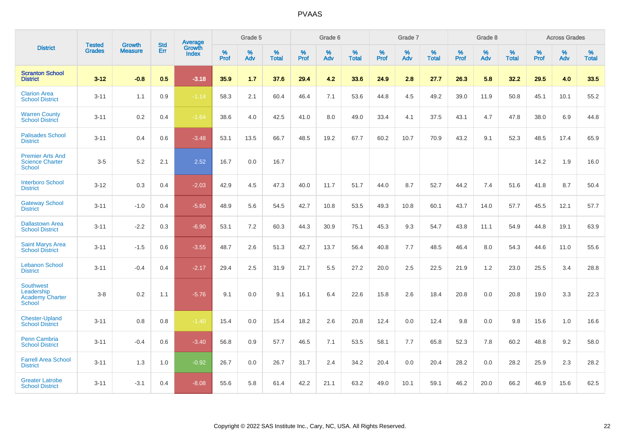|                                                                           |                                |                                 | <b>Std</b> | <b>Average</b>                |           | Grade 5  |                   |           | Grade 6  |                   |           | Grade 7  |                   |           | Grade 8  |                   |           | <b>Across Grades</b> |                   |
|---------------------------------------------------------------------------|--------------------------------|---------------------------------|------------|-------------------------------|-----------|----------|-------------------|-----------|----------|-------------------|-----------|----------|-------------------|-----------|----------|-------------------|-----------|----------------------|-------------------|
| <b>District</b>                                                           | <b>Tested</b><br><b>Grades</b> | <b>Growth</b><br><b>Measure</b> | Err        | <b>Growth</b><br><b>Index</b> | %<br>Prof | %<br>Adv | %<br><b>Total</b> | %<br>Prof | %<br>Adv | %<br><b>Total</b> | %<br>Prof | %<br>Adv | %<br><b>Total</b> | %<br>Prof | %<br>Adv | %<br><b>Total</b> | %<br>Prof | %<br>Adv             | %<br><b>Total</b> |
| <b>Scranton School</b><br><b>District</b>                                 | $3 - 12$                       | $-0.8$                          | 0.5        | $-3.18$                       | 35.9      | 1.7      | 37.6              | 29.4      | 4.2      | 33.6              | 24.9      | 2.8      | 27.7              | 26.3      | 5.8      | 32.2              | 29.5      | 4.0                  | 33.5              |
| <b>Clarion Area</b><br><b>School District</b>                             | $3 - 11$                       | 1.1                             | 0.9        | $-1.14$                       | 58.3      | 2.1      | 60.4              | 46.4      | 7.1      | 53.6              | 44.8      | 4.5      | 49.2              | 39.0      | 11.9     | 50.8              | 45.1      | 10.1                 | 55.2              |
| <b>Warren County</b><br><b>School District</b>                            | $3 - 11$                       | $0.2\,$                         | 0.4        | $-1.64$                       | 38.6      | 4.0      | 42.5              | 41.0      | 8.0      | 49.0              | 33.4      | 4.1      | 37.5              | 43.1      | 4.7      | 47.8              | 38.0      | 6.9                  | 44.8              |
| <b>Palisades School</b><br><b>District</b>                                | $3 - 11$                       | 0.4                             | 0.6        | $-3.48$                       | 53.1      | 13.5     | 66.7              | 48.5      | 19.2     | 67.7              | 60.2      | 10.7     | 70.9              | 43.2      | 9.1      | 52.3              | 48.5      | 17.4                 | 65.9              |
| <b>Premier Arts And</b><br><b>Science Charter</b><br><b>School</b>        | $3-5$                          | 5.2                             | 2.1        | 2.52                          | 16.7      | 0.0      | 16.7              |           |          |                   |           |          |                   |           |          |                   | 14.2      | 1.9                  | 16.0              |
| <b>Interboro School</b><br><b>District</b>                                | $3 - 12$                       | 0.3                             | 0.4        | $-2.03$                       | 42.9      | 4.5      | 47.3              | 40.0      | 11.7     | 51.7              | 44.0      | 8.7      | 52.7              | 44.2      | 7.4      | 51.6              | 41.8      | 8.7                  | 50.4              |
| <b>Gateway School</b><br><b>District</b>                                  | $3 - 11$                       | $-1.0$                          | 0.4        | $-5.60$                       | 48.9      | 5.6      | 54.5              | 42.7      | 10.8     | 53.5              | 49.3      | 10.8     | 60.1              | 43.7      | 14.0     | 57.7              | 45.5      | 12.1                 | 57.7              |
| <b>Dallastown Area</b><br><b>School District</b>                          | $3 - 11$                       | $-2.2$                          | 0.3        | $-6.90$                       | 53.1      | 7.2      | 60.3              | 44.3      | 30.9     | 75.1              | 45.3      | 9.3      | 54.7              | 43.8      | 11.1     | 54.9              | 44.8      | 19.1                 | 63.9              |
| <b>Saint Marys Area</b><br><b>School District</b>                         | $3 - 11$                       | $-1.5$                          | 0.6        | $-3.55$                       | 48.7      | 2.6      | 51.3              | 42.7      | 13.7     | 56.4              | 40.8      | 7.7      | 48.5              | 46.4      | 8.0      | 54.3              | 44.6      | 11.0                 | 55.6              |
| <b>Lebanon School</b><br><b>District</b>                                  | $3 - 11$                       | $-0.4$                          | 0.4        | $-2.17$                       | 29.4      | 2.5      | 31.9              | 21.7      | 5.5      | 27.2              | 20.0      | 2.5      | 22.5              | 21.9      | 1.2      | 23.0              | 25.5      | 3.4                  | 28.8              |
| <b>Southwest</b><br>Leadership<br><b>Academy Charter</b><br><b>School</b> | $3 - 8$                        | 0.2                             | 1.1        | $-5.76$                       | 9.1       | 0.0      | 9.1               | 16.1      | 6.4      | 22.6              | 15.8      | 2.6      | 18.4              | 20.8      | 0.0      | 20.8              | 19.0      | 3.3                  | 22.3              |
| <b>Chester-Upland</b><br><b>School District</b>                           | $3 - 11$                       | 0.8                             | 0.8        | $-1.40$                       | 15.4      | 0.0      | 15.4              | 18.2      | 2.6      | 20.8              | 12.4      | 0.0      | 12.4              | 9.8       | 0.0      | 9.8               | 15.6      | 1.0                  | 16.6              |
| Penn Cambria<br><b>School District</b>                                    | $3 - 11$                       | $-0.4$                          | 0.6        | $-3.40$                       | 56.8      | 0.9      | 57.7              | 46.5      | 7.1      | 53.5              | 58.1      | 7.7      | 65.8              | 52.3      | 7.8      | 60.2              | 48.8      | 9.2                  | 58.0              |
| <b>Farrell Area School</b><br><b>District</b>                             | $3 - 11$                       | 1.3                             | 1.0        | $-0.92$                       | 26.7      | 0.0      | 26.7              | 31.7      | 2.4      | 34.2              | 20.4      | 0.0      | 20.4              | 28.2      | 0.0      | 28.2              | 25.9      | 2.3                  | 28.2              |
| <b>Greater Latrobe</b><br><b>School District</b>                          | $3 - 11$                       | $-3.1$                          | 0.4        | $-8.08$                       | 55.6      | 5.8      | 61.4              | 42.2      | 21.1     | 63.2              | 49.0      | 10.1     | 59.1              | 46.2      | 20.0     | 66.2              | 46.9      | 15.6                 | 62.5              |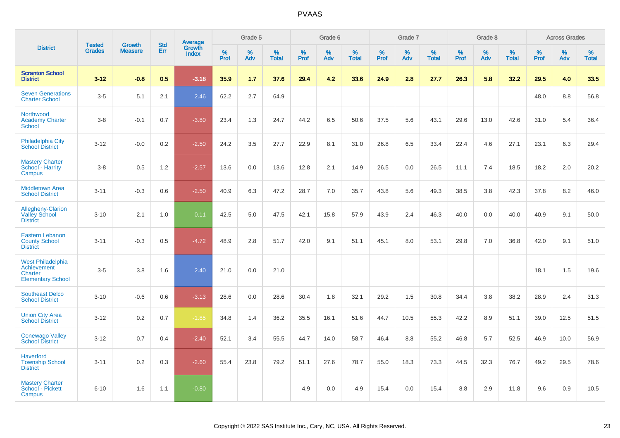|                                                                         |                                |                                 | <b>Std</b> | Average                |              | Grade 5     |                      |              | Grade 6  |                      |              | Grade 7  |                   |              | Grade 8  |                   |              | <b>Across Grades</b> |            |
|-------------------------------------------------------------------------|--------------------------------|---------------------------------|------------|------------------------|--------------|-------------|----------------------|--------------|----------|----------------------|--------------|----------|-------------------|--------------|----------|-------------------|--------------|----------------------|------------|
| <b>District</b>                                                         | <b>Tested</b><br><b>Grades</b> | <b>Growth</b><br><b>Measure</b> | Err        | Growth<br><b>Index</b> | $\%$<br>Prof | $\%$<br>Adv | $\%$<br><b>Total</b> | $\%$<br>Prof | %<br>Adv | $\%$<br><b>Total</b> | $\%$<br>Prof | %<br>Adv | %<br><b>Total</b> | $\%$<br>Prof | %<br>Adv | %<br><b>Total</b> | $\%$<br>Prof | %<br>Adv             | %<br>Total |
| <b>Scranton School</b><br><b>District</b>                               | $3 - 12$                       | $-0.8$                          | 0.5        | $-3.18$                | 35.9         | 1.7         | 37.6                 | 29.4         | 4.2      | 33.6                 | 24.9         | 2.8      | 27.7              | 26.3         | 5.8      | 32.2              | 29.5         | 4.0                  | 33.5       |
| <b>Seven Generations</b><br><b>Charter School</b>                       | $3-5$                          | 5.1                             | 2.1        | 2.46                   | 62.2         | 2.7         | 64.9                 |              |          |                      |              |          |                   |              |          |                   | 48.0         | $8.8\,$              | 56.8       |
| Northwood<br><b>Academy Charter</b><br>School                           | $3-8$                          | $-0.1$                          | 0.7        | $-3.80$                | 23.4         | 1.3         | 24.7                 | 44.2         | 6.5      | 50.6                 | 37.5         | 5.6      | 43.1              | 29.6         | 13.0     | 42.6              | 31.0         | 5.4                  | 36.4       |
| Philadelphia City<br><b>School District</b>                             | $3 - 12$                       | $-0.0$                          | 0.2        | $-2.50$                | 24.2         | 3.5         | 27.7                 | 22.9         | 8.1      | 31.0                 | 26.8         | 6.5      | 33.4              | 22.4         | 4.6      | 27.1              | 23.1         | 6.3                  | 29.4       |
| <b>Mastery Charter</b><br>School - Harrity<br>Campus                    | $3-8$                          | 0.5                             | 1.2        | $-2.57$                | 13.6         | 0.0         | 13.6                 | 12.8         | 2.1      | 14.9                 | 26.5         | 0.0      | 26.5              | 11.1         | 7.4      | 18.5              | 18.2         | 2.0                  | 20.2       |
| <b>Middletown Area</b><br><b>School District</b>                        | $3 - 11$                       | $-0.3$                          | 0.6        | $-2.50$                | 40.9         | 6.3         | 47.2                 | 28.7         | 7.0      | 35.7                 | 43.8         | 5.6      | 49.3              | 38.5         | 3.8      | 42.3              | 37.8         | 8.2                  | 46.0       |
| Allegheny-Clarion<br><b>Valley School</b><br><b>District</b>            | $3 - 10$                       | 2.1                             | 1.0        | 0.11                   | 42.5         | 5.0         | 47.5                 | 42.1         | 15.8     | 57.9                 | 43.9         | 2.4      | 46.3              | 40.0         | 0.0      | 40.0              | 40.9         | 9.1                  | 50.0       |
| <b>Eastern Lebanon</b><br><b>County School</b><br><b>District</b>       | $3 - 11$                       | $-0.3$                          | 0.5        | $-4.72$                | 48.9         | 2.8         | 51.7                 | 42.0         | 9.1      | 51.1                 | 45.1         | 8.0      | 53.1              | 29.8         | 7.0      | 36.8              | 42.0         | 9.1                  | 51.0       |
| West Philadelphia<br>Achievement<br>Charter<br><b>Elementary School</b> | $3-5$                          | 3.8                             | 1.6        | 2.40                   | 21.0         | 0.0         | 21.0                 |              |          |                      |              |          |                   |              |          |                   | 18.1         | 1.5                  | 19.6       |
| <b>Southeast Delco</b><br><b>School District</b>                        | $3 - 10$                       | $-0.6$                          | 0.6        | $-3.13$                | 28.6         | 0.0         | 28.6                 | 30.4         | 1.8      | 32.1                 | 29.2         | 1.5      | 30.8              | 34.4         | 3.8      | 38.2              | 28.9         | 2.4                  | 31.3       |
| <b>Union City Area</b><br><b>School District</b>                        | $3 - 12$                       | 0.2                             | 0.7        | $-1.85$                | 34.8         | 1.4         | 36.2                 | 35.5         | 16.1     | 51.6                 | 44.7         | 10.5     | 55.3              | 42.2         | 8.9      | 51.1              | 39.0         | 12.5                 | 51.5       |
| <b>Conewago Valley</b><br><b>School District</b>                        | $3-12$                         | 0.7                             | 0.4        | $-2.40$                | 52.1         | 3.4         | 55.5                 | 44.7         | 14.0     | 58.7                 | 46.4         | 8.8      | 55.2              | 46.8         | 5.7      | 52.5              | 46.9         | 10.0                 | 56.9       |
| <b>Haverford</b><br><b>Township School</b><br><b>District</b>           | $3 - 11$                       | 0.2                             | 0.3        | $-2.60$                | 55.4         | 23.8        | 79.2                 | 51.1         | 27.6     | 78.7                 | 55.0         | 18.3     | 73.3              | 44.5         | 32.3     | 76.7              | 49.2         | 29.5                 | 78.6       |
| <b>Mastery Charter</b><br>School - Pickett<br>Campus                    | $6 - 10$                       | 1.6                             | 1.1        | $-0.80$                |              |             |                      | 4.9          | 0.0      | 4.9                  | 15.4         | 0.0      | 15.4              | 8.8          | 2.9      | 11.8              | 9.6          | 0.9                  | 10.5       |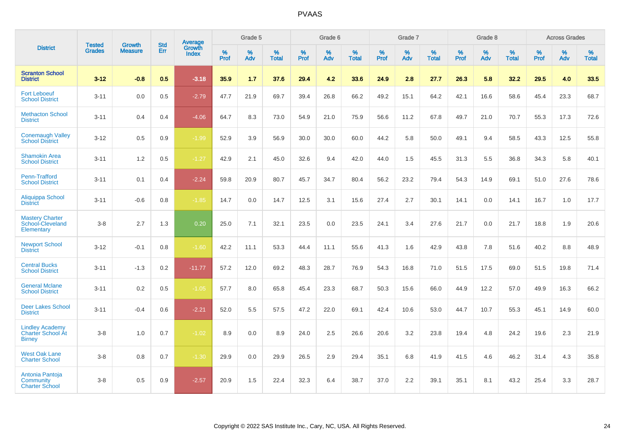|                                                                     | <b>Tested</b> | <b>Growth</b>  | <b>Std</b> | <b>Average</b>         |              | Grade 5  |                   |           | Grade 6  |                   |           | Grade 7  |                   |           | Grade 8  |                   |           | <b>Across Grades</b> |                   |
|---------------------------------------------------------------------|---------------|----------------|------------|------------------------|--------------|----------|-------------------|-----------|----------|-------------------|-----------|----------|-------------------|-----------|----------|-------------------|-----------|----------------------|-------------------|
| <b>District</b>                                                     | <b>Grades</b> | <b>Measure</b> | Err        | Growth<br><b>Index</b> | $\%$<br>Prof | %<br>Adv | %<br><b>Total</b> | %<br>Prof | %<br>Adv | %<br><b>Total</b> | %<br>Prof | %<br>Adv | %<br><b>Total</b> | %<br>Prof | %<br>Adv | %<br><b>Total</b> | %<br>Prof | %<br>Adv             | %<br><b>Total</b> |
| <b>Scranton School</b><br><b>District</b>                           | $3 - 12$      | $-0.8$         | 0.5        | $-3.18$                | 35.9         | 1.7      | 37.6              | 29.4      | 4.2      | 33.6              | 24.9      | 2.8      | 27.7              | 26.3      | 5.8      | 32.2              | 29.5      | 4.0                  | 33.5              |
| <b>Fort Leboeuf</b><br><b>School District</b>                       | $3 - 11$      | 0.0            | 0.5        | $-2.79$                | 47.7         | 21.9     | 69.7              | 39.4      | 26.8     | 66.2              | 49.2      | 15.1     | 64.2              | 42.1      | 16.6     | 58.6              | 45.4      | 23.3                 | 68.7              |
| <b>Methacton School</b><br><b>District</b>                          | $3 - 11$      | 0.4            | 0.4        | $-4.06$                | 64.7         | 8.3      | 73.0              | 54.9      | 21.0     | 75.9              | 56.6      | 11.2     | 67.8              | 49.7      | 21.0     | 70.7              | 55.3      | 17.3                 | 72.6              |
| <b>Conemaugh Valley</b><br><b>School District</b>                   | $3 - 12$      | 0.5            | 0.9        | $-1.99$                | 52.9         | 3.9      | 56.9              | 30.0      | 30.0     | 60.0              | 44.2      | 5.8      | 50.0              | 49.1      | 9.4      | 58.5              | 43.3      | 12.5                 | 55.8              |
| <b>Shamokin Area</b><br><b>School District</b>                      | $3 - 11$      | 1.2            | 0.5        | $-1.27$                | 42.9         | 2.1      | 45.0              | 32.6      | 9.4      | 42.0              | 44.0      | 1.5      | 45.5              | 31.3      | 5.5      | 36.8              | 34.3      | 5.8                  | 40.1              |
| Penn-Trafford<br><b>School District</b>                             | $3 - 11$      | 0.1            | 0.4        | $-2.24$                | 59.8         | 20.9     | 80.7              | 45.7      | 34.7     | 80.4              | 56.2      | 23.2     | 79.4              | 54.3      | 14.9     | 69.1              | 51.0      | 27.6                 | 78.6              |
| Aliquippa School<br><b>District</b>                                 | $3 - 11$      | $-0.6$         | 0.8        | $-1.85$                | 14.7         | 0.0      | 14.7              | 12.5      | 3.1      | 15.6              | 27.4      | 2.7      | 30.1              | 14.1      | 0.0      | 14.1              | 16.7      | 1.0                  | 17.7              |
| <b>Mastery Charter</b><br>School-Cleveland<br>Elementary            | $3-8$         | 2.7            | 1.3        | 0.20                   | 25.0         | 7.1      | 32.1              | 23.5      | 0.0      | 23.5              | 24.1      | 3.4      | 27.6              | 21.7      | 0.0      | 21.7              | 18.8      | 1.9                  | 20.6              |
| <b>Newport School</b><br><b>District</b>                            | $3 - 12$      | $-0.1$         | 0.8        | $-1.60$                | 42.2         | 11.1     | 53.3              | 44.4      | 11.1     | 55.6              | 41.3      | 1.6      | 42.9              | 43.8      | 7.8      | 51.6              | 40.2      | 8.8                  | 48.9              |
| <b>Central Bucks</b><br><b>School District</b>                      | $3 - 11$      | $-1.3$         | 0.2        | $-11.77$               | 57.2         | 12.0     | 69.2              | 48.3      | 28.7     | 76.9              | 54.3      | 16.8     | 71.0              | 51.5      | 17.5     | 69.0              | 51.5      | 19.8                 | 71.4              |
| <b>General Mclane</b><br><b>School District</b>                     | $3 - 11$      | 0.2            | 0.5        | $-1.05$                | 57.7         | 8.0      | 65.8              | 45.4      | 23.3     | 68.7              | 50.3      | 15.6     | 66.0              | 44.9      | 12.2     | 57.0              | 49.9      | 16.3                 | 66.2              |
| <b>Deer Lakes School</b><br><b>District</b>                         | $3 - 11$      | $-0.4$         | 0.6        | $-2.21$                | 52.0         | 5.5      | 57.5              | 47.2      | 22.0     | 69.1              | 42.4      | 10.6     | 53.0              | 44.7      | 10.7     | 55.3              | 45.1      | 14.9                 | 60.0              |
| <b>Lindley Academy</b><br><b>Charter School At</b><br><b>Birney</b> | $3-8$         | 1.0            | 0.7        | $-1.02$                | 8.9          | 0.0      | 8.9               | 24.0      | 2.5      | 26.6              | 20.6      | 3.2      | 23.8              | 19.4      | 4.8      | 24.2              | 19.6      | 2.3                  | 21.9              |
| <b>West Oak Lane</b><br><b>Charter School</b>                       | $3-8$         | 0.8            | 0.7        | $-1.30$                | 29.9         | 0.0      | 29.9              | 26.5      | 2.9      | 29.4              | 35.1      | 6.8      | 41.9              | 41.5      | 4.6      | 46.2              | 31.4      | 4.3                  | 35.8              |
| Antonia Pantoja<br>Community<br><b>Charter School</b>               | $3-8$         | 0.5            | 0.9        | $-2.57$                | 20.9         | 1.5      | 22.4              | 32.3      | 6.4      | 38.7              | 37.0      | 2.2      | 39.1              | 35.1      | 8.1      | 43.2              | 25.4      | 3.3                  | 28.7              |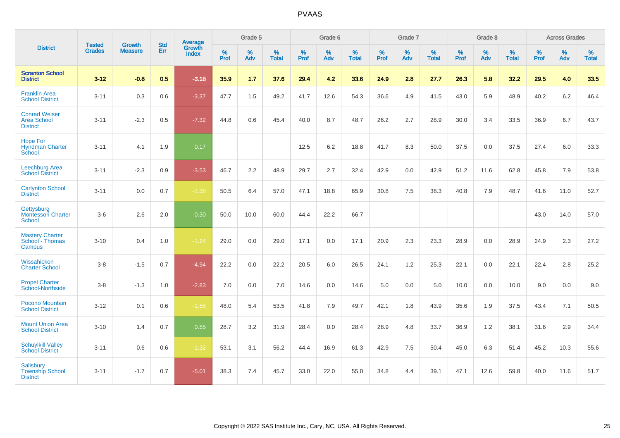|                                                               | <b>Tested</b> | <b>Growth</b>  | <b>Std</b> | Average                |                     | Grade 5     |                   |                     | Grade 6  |                   |                     | Grade 7  |                   |              | Grade 8  |                   |                     | <b>Across Grades</b> |                   |
|---------------------------------------------------------------|---------------|----------------|------------|------------------------|---------------------|-------------|-------------------|---------------------|----------|-------------------|---------------------|----------|-------------------|--------------|----------|-------------------|---------------------|----------------------|-------------------|
| <b>District</b>                                               | <b>Grades</b> | <b>Measure</b> | Err        | Growth<br><b>Index</b> | $\%$<br><b>Prof</b> | $\%$<br>Adv | %<br><b>Total</b> | $\%$<br><b>Prof</b> | %<br>Adv | %<br><b>Total</b> | $\%$<br><b>Prof</b> | %<br>Adv | %<br><b>Total</b> | $\%$<br>Prof | %<br>Adv | %<br><b>Total</b> | $\%$<br><b>Prof</b> | %<br>Adv             | %<br><b>Total</b> |
| <b>Scranton School</b><br><b>District</b>                     | $3 - 12$      | $-0.8$         | 0.5        | $-3.18$                | 35.9                | 1.7         | 37.6              | 29.4                | 4.2      | 33.6              | 24.9                | 2.8      | 27.7              | 26.3         | 5.8      | 32.2              | 29.5                | 4.0                  | 33.5              |
| <b>Franklin Area</b><br><b>School District</b>                | $3 - 11$      | 0.3            | 0.6        | $-3.37$                | 47.7                | 1.5         | 49.2              | 41.7                | 12.6     | 54.3              | 36.6                | 4.9      | 41.5              | 43.0         | 5.9      | 48.9              | 40.2                | 6.2                  | 46.4              |
| <b>Conrad Weiser</b><br>Area School<br><b>District</b>        | $3 - 11$      | $-2.3$         | 0.5        | $-7.32$                | 44.8                | 0.6         | 45.4              | 40.0                | 8.7      | 48.7              | 26.2                | 2.7      | 28.9              | 30.0         | 3.4      | 33.5              | 36.9                | 6.7                  | 43.7              |
| <b>Hope For</b><br><b>Hyndman Charter</b><br>School           | $3 - 11$      | 4.1            | 1.9        | 0.17                   |                     |             |                   | 12.5                | 6.2      | 18.8              | 41.7                | 8.3      | 50.0              | 37.5         | 0.0      | 37.5              | 27.4                | 6.0                  | 33.3              |
| Leechburg Area<br><b>School District</b>                      | $3 - 11$      | $-2.3$         | 0.9        | $-3.53$                | 46.7                | 2.2         | 48.9              | 29.7                | 2.7      | 32.4              | 42.9                | 0.0      | 42.9              | 51.2         | 11.6     | 62.8              | 45.8                | 7.9                  | 53.8              |
| <b>Carlynton School</b><br><b>District</b>                    | $3 - 11$      | 0.0            | 0.7        | $-1.38$                | 50.5                | 6.4         | 57.0              | 47.1                | 18.8     | 65.9              | 30.8                | 7.5      | 38.3              | 40.8         | 7.9      | 48.7              | 41.6                | 11.0                 | 52.7              |
| Gettysburg<br><b>Montessori Charter</b><br>School             | $3-6$         | 2.6            | 2.0        | $-0.30$                | 50.0                | 10.0        | 60.0              | 44.4                | 22.2     | 66.7              |                     |          |                   |              |          |                   | 43.0                | 14.0                 | 57.0              |
| <b>Mastery Charter</b><br>School - Thomas<br>Campus           | $3 - 10$      | 0.4            | 1.0        | $-1.24$                | 29.0                | 0.0         | 29.0              | 17.1                | 0.0      | 17.1              | 20.9                | 2.3      | 23.3              | 28.9         | 0.0      | 28.9              | 24.9                | 2.3                  | 27.2              |
| Wissahickon<br><b>Charter School</b>                          | $3-8$         | $-1.5$         | 0.7        | $-4.94$                | 22.2                | 0.0         | 22.2              | 20.5                | 6.0      | 26.5              | 24.1                | 1.2      | 25.3              | 22.1         | 0.0      | 22.1              | 22.4                | 2.8                  | 25.2              |
| <b>Propel Charter</b><br>School-Northside                     | $3-8$         | $-1.3$         | 1.0        | $-2.83$                | 7.0                 | 0.0         | 7.0               | 14.6                | 0.0      | 14.6              | 5.0                 | 0.0      | 5.0               | 10.0         | 0.0      | 10.0              | 9.0                 | 0.0                  | 9.0               |
| Pocono Mountain<br><b>School District</b>                     | $3 - 12$      | 0.1            | 0.6        | $-1.58$                | 48.0                | 5.4         | 53.5              | 41.8                | 7.9      | 49.7              | 42.1                | 1.8      | 43.9              | 35.6         | 1.9      | 37.5              | 43.4                | 7.1                  | 50.5              |
| <b>Mount Union Area</b><br><b>School District</b>             | $3 - 10$      | 1.4            | 0.7        | 0.55                   | 28.7                | 3.2         | 31.9              | 28.4                | 0.0      | 28.4              | 28.9                | 4.8      | 33.7              | 36.9         | 1.2      | 38.1              | 31.6                | 2.9                  | 34.4              |
| <b>Schuylkill Valley</b><br><b>School District</b>            | $3 - 11$      | 0.6            | 0.6        | $-1.32$                | 53.1                | 3.1         | 56.2              | 44.4                | 16.9     | 61.3              | 42.9                | 7.5      | 50.4              | 45.0         | 6.3      | 51.4              | 45.2                | 10.3                 | 55.6              |
| <b>Salisbury</b><br><b>Township School</b><br><b>District</b> | $3 - 11$      | $-1.7$         | 0.7        | $-5.01$                | 38.3                | 7.4         | 45.7              | 33.0                | 22.0     | 55.0              | 34.8                | 4.4      | 39.1              | 47.1         | 12.6     | 59.8              | 40.0                | 11.6                 | 51.7              |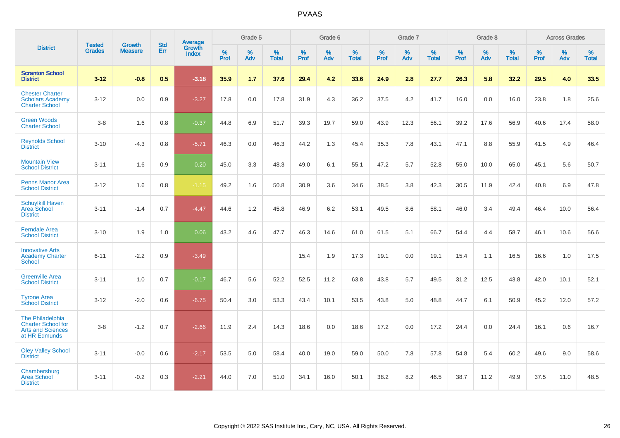|                                                                                     |                                |                                 | <b>Std</b> | Average                |           | Grade 5  |                   |           | Grade 6  |                   |           | Grade 7  |                   |           | Grade 8  |                   |           | <b>Across Grades</b> |                   |
|-------------------------------------------------------------------------------------|--------------------------------|---------------------------------|------------|------------------------|-----------|----------|-------------------|-----------|----------|-------------------|-----------|----------|-------------------|-----------|----------|-------------------|-----------|----------------------|-------------------|
| <b>District</b>                                                                     | <b>Tested</b><br><b>Grades</b> | <b>Growth</b><br><b>Measure</b> | Err        | Growth<br><b>Index</b> | %<br>Prof | %<br>Adv | %<br><b>Total</b> | %<br>Prof | %<br>Adv | %<br><b>Total</b> | %<br>Prof | %<br>Adv | %<br><b>Total</b> | %<br>Prof | %<br>Adv | %<br><b>Total</b> | %<br>Prof | %<br>Adv             | %<br><b>Total</b> |
| <b>Scranton School</b><br><b>District</b>                                           | $3 - 12$                       | $-0.8$                          | 0.5        | $-3.18$                | 35.9      | 1.7      | 37.6              | 29.4      | 4.2      | 33.6              | 24.9      | 2.8      | 27.7              | 26.3      | 5.8      | 32.2              | 29.5      | 4.0                  | 33.5              |
| <b>Chester Charter</b><br><b>Scholars Academy</b><br><b>Charter School</b>          | $3 - 12$                       | 0.0                             | 0.9        | $-3.27$                | 17.8      | 0.0      | 17.8              | 31.9      | 4.3      | 36.2              | 37.5      | 4.2      | 41.7              | 16.0      | 0.0      | 16.0              | 23.8      | 1.8                  | 25.6              |
| <b>Green Woods</b><br><b>Charter School</b>                                         | $3 - 8$                        | 1.6                             | 0.8        | $-0.37$                | 44.8      | 6.9      | 51.7              | 39.3      | 19.7     | 59.0              | 43.9      | 12.3     | 56.1              | 39.2      | 17.6     | 56.9              | 40.6      | 17.4                 | 58.0              |
| <b>Reynolds School</b><br><b>District</b>                                           | $3 - 10$                       | $-4.3$                          | 0.8        | $-5.71$                | 46.3      | 0.0      | 46.3              | 44.2      | 1.3      | 45.4              | 35.3      | 7.8      | 43.1              | 47.1      | 8.8      | 55.9              | 41.5      | 4.9                  | 46.4              |
| <b>Mountain View</b><br><b>School District</b>                                      | $3 - 11$                       | 1.6                             | 0.9        | 0.20                   | 45.0      | 3.3      | 48.3              | 49.0      | 6.1      | 55.1              | 47.2      | 5.7      | 52.8              | 55.0      | 10.0     | 65.0              | 45.1      | 5.6                  | 50.7              |
| <b>Penns Manor Area</b><br><b>School District</b>                                   | $3 - 12$                       | 1.6                             | 0.8        | $-1.15$                | 49.2      | 1.6      | 50.8              | 30.9      | 3.6      | 34.6              | 38.5      | 3.8      | 42.3              | 30.5      | 11.9     | 42.4              | 40.8      | 6.9                  | 47.8              |
| <b>Schuylkill Haven</b><br><b>Area School</b><br><b>District</b>                    | $3 - 11$                       | $-1.4$                          | 0.7        | $-4.47$                | 44.6      | 1.2      | 45.8              | 46.9      | 6.2      | 53.1              | 49.5      | 8.6      | 58.1              | 46.0      | 3.4      | 49.4              | 46.4      | 10.0                 | 56.4              |
| <b>Ferndale Area</b><br><b>School District</b>                                      | $3 - 10$                       | 1.9                             | 1.0        | 0.06                   | 43.2      | 4.6      | 47.7              | 46.3      | 14.6     | 61.0              | 61.5      | 5.1      | 66.7              | 54.4      | 4.4      | 58.7              | 46.1      | 10.6                 | 56.6              |
| <b>Innovative Arts</b><br><b>Academy Charter</b><br><b>School</b>                   | $6 - 11$                       | $-2.2$                          | 0.9        | $-3.49$                |           |          |                   | 15.4      | 1.9      | 17.3              | 19.1      | 0.0      | 19.1              | 15.4      | 1.1      | 16.5              | 16.6      | 1.0                  | 17.5              |
| <b>Greenville Area</b><br><b>School District</b>                                    | $3 - 11$                       | 1.0                             | 0.7        | $-0.17$                | 46.7      | 5.6      | 52.2              | 52.5      | 11.2     | 63.8              | 43.8      | 5.7      | 49.5              | 31.2      | 12.5     | 43.8              | 42.0      | 10.1                 | 52.1              |
| <b>Tyrone Area</b><br><b>School District</b>                                        | $3 - 12$                       | $-2.0$                          | 0.6        | $-6.75$                | 50.4      | 3.0      | 53.3              | 43.4      | 10.1     | 53.5              | 43.8      | 5.0      | 48.8              | 44.7      | 6.1      | 50.9              | 45.2      | 12.0                 | 57.2              |
| The Philadelphia<br>Charter School for<br><b>Arts and Sciences</b><br>at HR Edmunds | $3-8$                          | $-1.2$                          | 0.7        | $-2.66$                | 11.9      | 2.4      | 14.3              | 18.6      | 0.0      | 18.6              | 17.2      | 0.0      | 17.2              | 24.4      | 0.0      | 24.4              | 16.1      | 0.6                  | 16.7              |
| <b>Oley Valley School</b><br><b>District</b>                                        | $3 - 11$                       | $-0.0$                          | 0.6        | $-2.17$                | 53.5      | 5.0      | 58.4              | 40.0      | 19.0     | 59.0              | 50.0      | 7.8      | 57.8              | 54.8      | 5.4      | 60.2              | 49.6      | 9.0                  | 58.6              |
| Chambersburg<br><b>Area School</b><br><b>District</b>                               | $3 - 11$                       | $-0.2$                          | 0.3        | $-2.21$                | 44.0      | 7.0      | 51.0              | 34.1      | 16.0     | 50.1              | 38.2      | 8.2      | 46.5              | 38.7      | 11.2     | 49.9              | 37.5      | 11.0                 | 48.5              |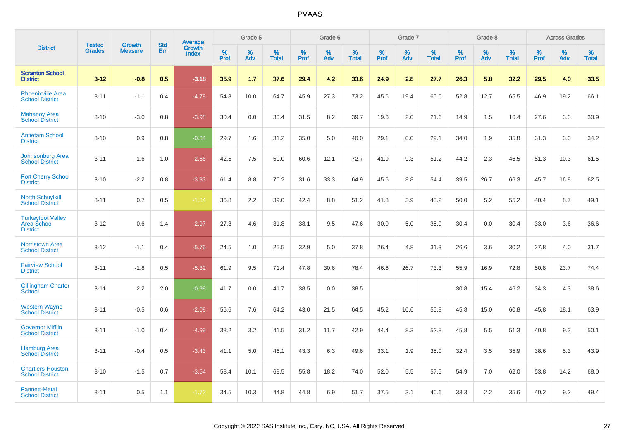|                                                            | <b>Tested</b> | <b>Growth</b>  | <b>Std</b> | Average                |              | Grade 5     |                      |                     | Grade 6  |                      |              | Grade 7  |                      |              | Grade 8  |                      |                     | <b>Across Grades</b> |                      |
|------------------------------------------------------------|---------------|----------------|------------|------------------------|--------------|-------------|----------------------|---------------------|----------|----------------------|--------------|----------|----------------------|--------------|----------|----------------------|---------------------|----------------------|----------------------|
| <b>District</b>                                            | <b>Grades</b> | <b>Measure</b> | Err        | Growth<br><b>Index</b> | $\%$<br>Prof | $\%$<br>Adv | $\%$<br><b>Total</b> | $\%$<br><b>Prof</b> | %<br>Adv | $\%$<br><b>Total</b> | $\%$<br>Prof | %<br>Adv | $\%$<br><b>Total</b> | $\%$<br>Prof | %<br>Adv | $\%$<br><b>Total</b> | $\%$<br><b>Prof</b> | %<br>Adv             | $\%$<br><b>Total</b> |
| <b>Scranton School</b><br><b>District</b>                  | $3 - 12$      | $-0.8$         | 0.5        | $-3.18$                | 35.9         | 1.7         | 37.6                 | 29.4                | 4.2      | 33.6                 | 24.9         | 2.8      | 27.7                 | 26.3         | 5.8      | 32.2                 | 29.5                | 4.0                  | 33.5                 |
| <b>Phoenixville Area</b><br><b>School District</b>         | $3 - 11$      | $-1.1$         | 0.4        | $-4.78$                | 54.8         | 10.0        | 64.7                 | 45.9                | 27.3     | 73.2                 | 45.6         | 19.4     | 65.0                 | 52.8         | 12.7     | 65.5                 | 46.9                | 19.2                 | 66.1                 |
| <b>Mahanoy Area</b><br><b>School District</b>              | $3 - 10$      | $-3.0$         | 0.8        | $-3.98$                | 30.4         | 0.0         | 30.4                 | 31.5                | 8.2      | 39.7                 | 19.6         | 2.0      | 21.6                 | 14.9         | 1.5      | 16.4                 | 27.6                | 3.3                  | 30.9                 |
| <b>Antietam School</b><br><b>District</b>                  | $3 - 10$      | 0.9            | 0.8        | $-0.34$                | 29.7         | 1.6         | 31.2                 | 35.0                | 5.0      | 40.0                 | 29.1         | 0.0      | 29.1                 | 34.0         | 1.9      | 35.8                 | 31.3                | 3.0                  | 34.2                 |
| Johnsonburg Area<br><b>School District</b>                 | $3 - 11$      | $-1.6$         | 1.0        | $-2.56$                | 42.5         | 7.5         | 50.0                 | 60.6                | 12.1     | 72.7                 | 41.9         | 9.3      | 51.2                 | 44.2         | 2.3      | 46.5                 | 51.3                | 10.3                 | 61.5                 |
| <b>Fort Cherry School</b><br><b>District</b>               | $3 - 10$      | $-2.2$         | 0.8        | $-3.33$                | 61.4         | 8.8         | 70.2                 | 31.6                | 33.3     | 64.9                 | 45.6         | 8.8      | 54.4                 | 39.5         | 26.7     | 66.3                 | 45.7                | 16.8                 | 62.5                 |
| <b>North Schuylkill</b><br><b>School District</b>          | $3 - 11$      | 0.7            | 0.5        | $-1.34$                | 36.8         | 2.2         | 39.0                 | 42.4                | 8.8      | 51.2                 | 41.3         | 3.9      | 45.2                 | 50.0         | 5.2      | 55.2                 | 40.4                | 8.7                  | 49.1                 |
| <b>Turkeyfoot Valley</b><br>Area School<br><b>District</b> | $3 - 12$      | 0.6            | 1.4        | $-2.97$                | 27.3         | 4.6         | 31.8                 | 38.1                | 9.5      | 47.6                 | 30.0         | 5.0      | 35.0                 | 30.4         | 0.0      | 30.4                 | 33.0                | 3.6                  | 36.6                 |
| <b>Norristown Area</b><br><b>School District</b>           | $3 - 12$      | $-1.1$         | 0.4        | $-5.76$                | 24.5         | 1.0         | 25.5                 | 32.9                | 5.0      | 37.8                 | 26.4         | 4.8      | 31.3                 | 26.6         | 3.6      | 30.2                 | 27.8                | 4.0                  | 31.7                 |
| <b>Fairview School</b><br><b>District</b>                  | $3 - 11$      | $-1.8$         | 0.5        | $-5.32$                | 61.9         | 9.5         | 71.4                 | 47.8                | 30.6     | 78.4                 | 46.6         | 26.7     | 73.3                 | 55.9         | 16.9     | 72.8                 | 50.8                | 23.7                 | 74.4                 |
| <b>Gillingham Charter</b><br>School                        | $3 - 11$      | 2.2            | 2.0        | $-0.98$                | 41.7         | 0.0         | 41.7                 | 38.5                | 0.0      | 38.5                 |              |          |                      | 30.8         | 15.4     | 46.2                 | 34.3                | 4.3                  | 38.6                 |
| <b>Western Wayne</b><br><b>School District</b>             | $3 - 11$      | $-0.5$         | 0.6        | $-2.08$                | 56.6         | 7.6         | 64.2                 | 43.0                | 21.5     | 64.5                 | 45.2         | 10.6     | 55.8                 | 45.8         | 15.0     | 60.8                 | 45.8                | 18.1                 | 63.9                 |
| <b>Governor Mifflin</b><br><b>School District</b>          | $3 - 11$      | $-1.0$         | 0.4        | $-4.99$                | 38.2         | 3.2         | 41.5                 | 31.2                | 11.7     | 42.9                 | 44.4         | 8.3      | 52.8                 | 45.8         | 5.5      | 51.3                 | 40.8                | 9.3                  | 50.1                 |
| <b>Hamburg Area</b><br><b>School District</b>              | $3 - 11$      | $-0.4$         | 0.5        | $-3.43$                | 41.1         | 5.0         | 46.1                 | 43.3                | 6.3      | 49.6                 | 33.1         | 1.9      | 35.0                 | 32.4         | 3.5      | 35.9                 | 38.6                | 5.3                  | 43.9                 |
| <b>Chartiers-Houston</b><br><b>School District</b>         | $3 - 10$      | $-1.5$         | 0.7        | $-3.54$                | 58.4         | 10.1        | 68.5                 | 55.8                | 18.2     | 74.0                 | 52.0         | 5.5      | 57.5                 | 54.9         | 7.0      | 62.0                 | 53.8                | 14.2                 | 68.0                 |
| <b>Fannett-Metal</b><br><b>School District</b>             | $3 - 11$      | 0.5            | 1.1        | $-1.72$                | 34.5         | 10.3        | 44.8                 | 44.8                | 6.9      | 51.7                 | 37.5         | 3.1      | 40.6                 | 33.3         | 2.2      | 35.6                 | 40.2                | 9.2                  | 49.4                 |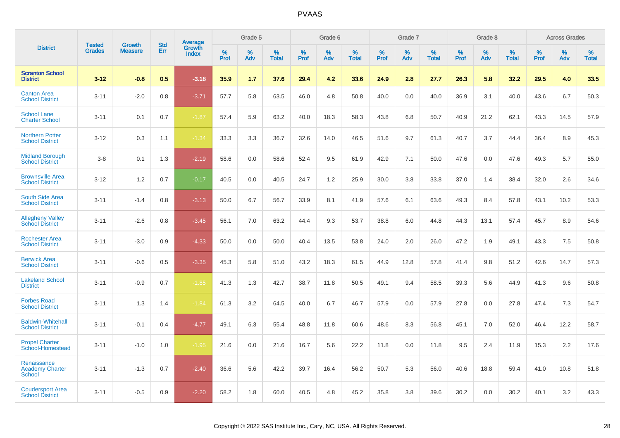|                                                        | <b>Tested</b> | <b>Growth</b>  | <b>Std</b> | Average                |                     | Grade 5  |                      |                  | Grade 6  |                   |              | Grade 7  |                   |              | Grade 8  |                      |                     | <b>Across Grades</b> |                      |
|--------------------------------------------------------|---------------|----------------|------------|------------------------|---------------------|----------|----------------------|------------------|----------|-------------------|--------------|----------|-------------------|--------------|----------|----------------------|---------------------|----------------------|----------------------|
| <b>District</b>                                        | <b>Grades</b> | <b>Measure</b> | Err        | Growth<br><b>Index</b> | $\%$<br><b>Prof</b> | %<br>Adv | $\%$<br><b>Total</b> | %<br><b>Prof</b> | %<br>Adv | %<br><b>Total</b> | $\%$<br>Prof | %<br>Adv | %<br><b>Total</b> | $\%$<br>Prof | %<br>Adv | $\%$<br><b>Total</b> | $\%$<br><b>Prof</b> | %<br>Adv             | $\%$<br><b>Total</b> |
| <b>Scranton School</b><br><b>District</b>              | $3 - 12$      | $-0.8$         | 0.5        | $-3.18$                | 35.9                | 1.7      | 37.6                 | 29.4             | 4.2      | 33.6              | 24.9         | 2.8      | 27.7              | 26.3         | 5.8      | 32.2                 | 29.5                | 4.0                  | 33.5                 |
| <b>Canton Area</b><br><b>School District</b>           | $3 - 11$      | $-2.0$         | 0.8        | $-3.71$                | 57.7                | 5.8      | 63.5                 | 46.0             | 4.8      | 50.8              | 40.0         | 0.0      | 40.0              | 36.9         | 3.1      | 40.0                 | 43.6                | 6.7                  | 50.3                 |
| <b>School Lane</b><br><b>Charter School</b>            | $3 - 11$      | 0.1            | 0.7        | $-1.87$                | 57.4                | 5.9      | 63.2                 | 40.0             | 18.3     | 58.3              | 43.8         | 6.8      | 50.7              | 40.9         | 21.2     | 62.1                 | 43.3                | 14.5                 | 57.9                 |
| <b>Northern Potter</b><br><b>School District</b>       | $3 - 12$      | 0.3            | 1.1        | $-1.34$                | 33.3                | 3.3      | 36.7                 | 32.6             | 14.0     | 46.5              | 51.6         | 9.7      | 61.3              | 40.7         | 3.7      | 44.4                 | 36.4                | 8.9                  | 45.3                 |
| <b>Midland Borough</b><br><b>School District</b>       | $3-8$         | 0.1            | 1.3        | $-2.19$                | 58.6                | 0.0      | 58.6                 | 52.4             | 9.5      | 61.9              | 42.9         | 7.1      | 50.0              | 47.6         | 0.0      | 47.6                 | 49.3                | 5.7                  | 55.0                 |
| <b>Brownsville Area</b><br><b>School District</b>      | $3 - 12$      | 1.2            | 0.7        | $-0.17$                | 40.5                | 0.0      | 40.5                 | 24.7             | 1.2      | 25.9              | 30.0         | 3.8      | 33.8              | 37.0         | 1.4      | 38.4                 | 32.0                | 2.6                  | 34.6                 |
| South Side Area<br><b>School District</b>              | $3 - 11$      | $-1.4$         | 0.8        | $-3.13$                | 50.0                | 6.7      | 56.7                 | 33.9             | 8.1      | 41.9              | 57.6         | 6.1      | 63.6              | 49.3         | 8.4      | 57.8                 | 43.1                | 10.2                 | 53.3                 |
| <b>Allegheny Valley</b><br><b>School District</b>      | $3 - 11$      | $-2.6$         | 0.8        | $-3.45$                | 56.1                | 7.0      | 63.2                 | 44.4             | 9.3      | 53.7              | 38.8         | 6.0      | 44.8              | 44.3         | 13.1     | 57.4                 | 45.7                | 8.9                  | 54.6                 |
| <b>Rochester Area</b><br><b>School District</b>        | $3 - 11$      | $-3.0$         | 0.9        | $-4.33$                | 50.0                | 0.0      | 50.0                 | 40.4             | 13.5     | 53.8              | 24.0         | 2.0      | 26.0              | 47.2         | 1.9      | 49.1                 | 43.3                | 7.5                  | 50.8                 |
| <b>Berwick Area</b><br><b>School District</b>          | $3 - 11$      | $-0.6$         | 0.5        | $-3.35$                | 45.3                | 5.8      | 51.0                 | 43.2             | 18.3     | 61.5              | 44.9         | 12.8     | 57.8              | 41.4         | 9.8      | 51.2                 | 42.6                | 14.7                 | 57.3                 |
| <b>Lakeland School</b><br><b>District</b>              | $3 - 11$      | $-0.9$         | 0.7        | $-1.85$                | 41.3                | 1.3      | 42.7                 | 38.7             | 11.8     | 50.5              | 49.1         | 9.4      | 58.5              | 39.3         | 5.6      | 44.9                 | 41.3                | 9.6                  | 50.8                 |
| <b>Forbes Road</b><br><b>School District</b>           | $3 - 11$      | 1.3            | 1.4        | $-1.84$                | 61.3                | 3.2      | 64.5                 | 40.0             | 6.7      | 46.7              | 57.9         | 0.0      | 57.9              | 27.8         | 0.0      | 27.8                 | 47.4                | 7.3                  | 54.7                 |
| <b>Baldwin-Whitehall</b><br><b>School District</b>     | $3 - 11$      | $-0.1$         | 0.4        | $-4.77$                | 49.1                | 6.3      | 55.4                 | 48.8             | 11.8     | 60.6              | 48.6         | 8.3      | 56.8              | 45.1         | 7.0      | 52.0                 | 46.4                | 12.2                 | 58.7                 |
| <b>Propel Charter</b><br>School-Homestead              | $3 - 11$      | $-1.0$         | 1.0        | $-1.95$                | 21.6                | 0.0      | 21.6                 | 16.7             | 5.6      | 22.2              | 11.8         | 0.0      | 11.8              | 9.5          | 2.4      | 11.9                 | 15.3                | 2.2                  | 17.6                 |
| Renaissance<br><b>Academy Charter</b><br><b>School</b> | $3 - 11$      | $-1.3$         | 0.7        | $-2.40$                | 36.6                | 5.6      | 42.2                 | 39.7             | 16.4     | 56.2              | 50.7         | 5.3      | 56.0              | 40.6         | 18.8     | 59.4                 | 41.0                | 10.8                 | 51.8                 |
| <b>Coudersport Area</b><br><b>School District</b>      | $3 - 11$      | $-0.5$         | 0.9        | $-2.20$                | 58.2                | 1.8      | 60.0                 | 40.5             | 4.8      | 45.2              | 35.8         | 3.8      | 39.6              | 30.2         | 0.0      | 30.2                 | 40.1                | 3.2                  | 43.3                 |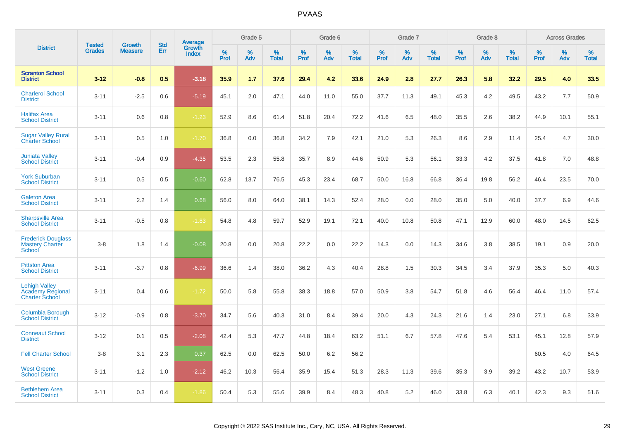|                                                                          |                                | <b>Growth</b>  | <b>Std</b> | Average                |              | Grade 5     |                      |                     | Grade 6     |                      |              | Grade 7     |                      |              | Grade 8     |                      |                     | <b>Across Grades</b> |                      |
|--------------------------------------------------------------------------|--------------------------------|----------------|------------|------------------------|--------------|-------------|----------------------|---------------------|-------------|----------------------|--------------|-------------|----------------------|--------------|-------------|----------------------|---------------------|----------------------|----------------------|
| <b>District</b>                                                          | <b>Tested</b><br><b>Grades</b> | <b>Measure</b> | Err        | Growth<br><b>Index</b> | $\%$<br>Prof | $\%$<br>Adv | $\%$<br><b>Total</b> | $\%$<br><b>Prof</b> | $\%$<br>Adv | $\%$<br><b>Total</b> | $\%$<br>Prof | $\%$<br>Adv | $\%$<br><b>Total</b> | $\%$<br>Prof | $\%$<br>Adv | $\%$<br><b>Total</b> | $\%$<br><b>Prof</b> | $\%$<br>Adv          | $\%$<br><b>Total</b> |
| <b>Scranton School</b><br><b>District</b>                                | $3 - 12$                       | $-0.8$         | 0.5        | $-3.18$                | 35.9         | 1.7         | 37.6                 | 29.4                | 4.2         | 33.6                 | 24.9         | 2.8         | 27.7                 | 26.3         | 5.8         | 32.2                 | 29.5                | 4.0                  | 33.5                 |
| <b>Charleroi School</b><br><b>District</b>                               | $3 - 11$                       | $-2.5$         | 0.6        | $-5.19$                | 45.1         | 2.0         | 47.1                 | 44.0                | 11.0        | 55.0                 | 37.7         | 11.3        | 49.1                 | 45.3         | 4.2         | 49.5                 | 43.2                | 7.7                  | 50.9                 |
| <b>Halifax Area</b><br><b>School District</b>                            | $3 - 11$                       | 0.6            | 0.8        | $-1.23$                | 52.9         | 8.6         | 61.4                 | 51.8                | 20.4        | 72.2                 | 41.6         | 6.5         | 48.0                 | 35.5         | 2.6         | 38.2                 | 44.9                | 10.1                 | 55.1                 |
| <b>Sugar Valley Rural</b><br><b>Charter School</b>                       | $3 - 11$                       | 0.5            | 1.0        | $-1.70$                | 36.8         | 0.0         | 36.8                 | 34.2                | 7.9         | 42.1                 | 21.0         | 5.3         | 26.3                 | 8.6          | 2.9         | 11.4                 | 25.4                | 4.7                  | 30.0                 |
| <b>Juniata Valley</b><br><b>School District</b>                          | $3 - 11$                       | $-0.4$         | 0.9        | $-4.35$                | 53.5         | 2.3         | 55.8                 | 35.7                | 8.9         | 44.6                 | 50.9         | 5.3         | 56.1                 | 33.3         | 4.2         | 37.5                 | 41.8                | 7.0                  | 48.8                 |
| <b>York Suburban</b><br><b>School District</b>                           | $3 - 11$                       | 0.5            | 0.5        | $-0.60$                | 62.8         | 13.7        | 76.5                 | 45.3                | 23.4        | 68.7                 | 50.0         | 16.8        | 66.8                 | 36.4         | 19.8        | 56.2                 | 46.4                | 23.5                 | 70.0                 |
| <b>Galeton Area</b><br><b>School District</b>                            | $3 - 11$                       | 2.2            | 1.4        | 0.68                   | 56.0         | 8.0         | 64.0                 | 38.1                | 14.3        | 52.4                 | 28.0         | 0.0         | 28.0                 | 35.0         | 5.0         | 40.0                 | 37.7                | 6.9                  | 44.6                 |
| <b>Sharpsville Area</b><br><b>School District</b>                        | $3 - 11$                       | $-0.5$         | 0.8        | $-1.83$                | 54.8         | 4.8         | 59.7                 | 52.9                | 19.1        | 72.1                 | 40.0         | 10.8        | 50.8                 | 47.1         | 12.9        | 60.0                 | 48.0                | 14.5                 | 62.5                 |
| <b>Frederick Douglass</b><br><b>Mastery Charter</b><br>School            | $3-8$                          | 1.8            | 1.4        | $-0.08$                | 20.8         | 0.0         | 20.8                 | 22.2                | 0.0         | 22.2                 | 14.3         | 0.0         | 14.3                 | 34.6         | 3.8         | 38.5                 | 19.1                | 0.9                  | 20.0                 |
| <b>Pittston Area</b><br><b>School District</b>                           | $3 - 11$                       | $-3.7$         | 0.8        | $-6.99$                | 36.6         | 1.4         | 38.0                 | 36.2                | 4.3         | 40.4                 | 28.8         | 1.5         | 30.3                 | 34.5         | 3.4         | 37.9                 | 35.3                | 5.0                  | 40.3                 |
| <b>Lehigh Valley</b><br><b>Academy Regional</b><br><b>Charter School</b> | $3 - 11$                       | 0.4            | 0.6        | $-1.72$                | 50.0         | 5.8         | 55.8                 | 38.3                | 18.8        | 57.0                 | 50.9         | 3.8         | 54.7                 | 51.8         | 4.6         | 56.4                 | 46.4                | 11.0                 | 57.4                 |
| <b>Columbia Borough</b><br><b>School District</b>                        | $3 - 12$                       | $-0.9$         | 0.8        | $-3.70$                | 34.7         | 5.6         | 40.3                 | 31.0                | 8.4         | 39.4                 | 20.0         | 4.3         | 24.3                 | 21.6         | 1.4         | 23.0                 | 27.1                | 6.8                  | 33.9                 |
| <b>Conneaut School</b><br><b>District</b>                                | $3 - 12$                       | 0.1            | 0.5        | $-2.08$                | 42.4         | 5.3         | 47.7                 | 44.8                | 18.4        | 63.2                 | 51.1         | 6.7         | 57.8                 | 47.6         | 5.4         | 53.1                 | 45.1                | 12.8                 | 57.9                 |
| <b>Fell Charter School</b>                                               | $3 - 8$                        | 3.1            | 2.3        | 0.37                   | 62.5         | 0.0         | 62.5                 | 50.0                | 6.2         | 56.2                 |              |             |                      |              |             |                      | 60.5                | 4.0                  | 64.5                 |
| <b>West Greene</b><br><b>School District</b>                             | $3 - 11$                       | $-1.2$         | 1.0        | $-2.12$                | 46.2         | 10.3        | 56.4                 | 35.9                | 15.4        | 51.3                 | 28.3         | 11.3        | 39.6                 | 35.3         | 3.9         | 39.2                 | 43.2                | 10.7                 | 53.9                 |
| <b>Bethlehem Area</b><br><b>School District</b>                          | $3 - 11$                       | 0.3            | 0.4        | $-1.86$                | 50.4         | 5.3         | 55.6                 | 39.9                | 8.4         | 48.3                 | 40.8         | 5.2         | 46.0                 | 33.8         | 6.3         | 40.1                 | 42.3                | 9.3                  | 51.6                 |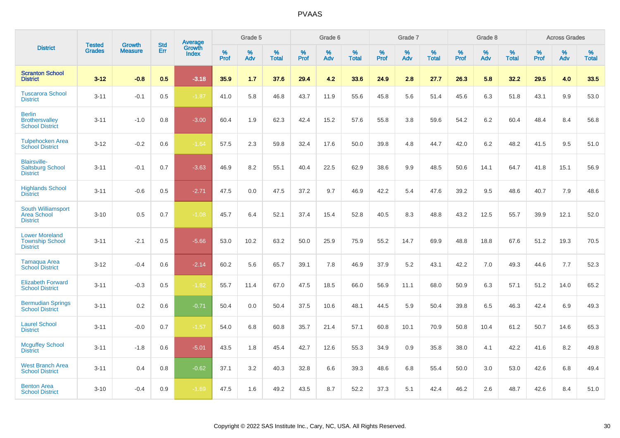|                                                                    |                                | <b>Growth</b>  | <b>Std</b> |                                   |              | Grade 5  |                   |              | Grade 6  |                   |              | Grade 7  |                   |              | Grade 8  |                   |              | <b>Across Grades</b> |                   |
|--------------------------------------------------------------------|--------------------------------|----------------|------------|-----------------------------------|--------------|----------|-------------------|--------------|----------|-------------------|--------------|----------|-------------------|--------------|----------|-------------------|--------------|----------------------|-------------------|
| <b>District</b>                                                    | <b>Tested</b><br><b>Grades</b> | <b>Measure</b> | <b>Err</b> | <b>Average</b><br>Growth<br>Index | $\%$<br>Prof | %<br>Adv | %<br><b>Total</b> | $\%$<br>Prof | %<br>Adv | %<br><b>Total</b> | $\%$<br>Prof | %<br>Adv | %<br><b>Total</b> | $\%$<br>Prof | %<br>Adv | %<br><b>Total</b> | $\%$<br>Prof | %<br>Adv             | %<br><b>Total</b> |
| <b>Scranton School</b><br><b>District</b>                          | $3 - 12$                       | $-0.8$         | 0.5        | $-3.18$                           | 35.9         | 1.7      | 37.6              | 29.4         | 4.2      | 33.6              | 24.9         | 2.8      | 27.7              | 26.3         | 5.8      | 32.2              | 29.5         | 4.0                  | 33.5              |
| <b>Tuscarora School</b><br><b>District</b>                         | $3 - 11$                       | $-0.1$         | 0.5        | $-1.87$                           | 41.0         | 5.8      | 46.8              | 43.7         | 11.9     | 55.6              | 45.8         | 5.6      | 51.4              | 45.6         | 6.3      | 51.8              | 43.1         | 9.9                  | 53.0              |
| <b>Berlin</b><br><b>Brothersvalley</b><br><b>School District</b>   | $3 - 11$                       | $-1.0$         | 0.8        | $-3.00$                           | 60.4         | 1.9      | 62.3              | 42.4         | 15.2     | 57.6              | 55.8         | 3.8      | 59.6              | 54.2         | 6.2      | 60.4              | 48.4         | 8.4                  | 56.8              |
| <b>Tulpehocken Area</b><br><b>School District</b>                  | $3 - 12$                       | $-0.2$         | 0.6        | $-1.64$                           | 57.5         | 2.3      | 59.8              | 32.4         | 17.6     | 50.0              | 39.8         | 4.8      | 44.7              | 42.0         | 6.2      | 48.2              | 41.5         | 9.5                  | 51.0              |
| <b>Blairsville-</b><br><b>Saltsburg School</b><br><b>District</b>  | $3 - 11$                       | $-0.1$         | 0.7        | $-3.63$                           | 46.9         | 8.2      | 55.1              | 40.4         | 22.5     | 62.9              | 38.6         | 9.9      | 48.5              | 50.6         | 14.1     | 64.7              | 41.8         | 15.1                 | 56.9              |
| <b>Highlands School</b><br><b>District</b>                         | $3 - 11$                       | $-0.6$         | 0.5        | $-2.71$                           | 47.5         | 0.0      | 47.5              | 37.2         | 9.7      | 46.9              | 42.2         | 5.4      | 47.6              | 39.2         | 9.5      | 48.6              | 40.7         | 7.9                  | 48.6              |
| South Williamsport<br><b>Area School</b><br><b>District</b>        | $3 - 10$                       | 0.5            | 0.7        | $-1.08$                           | 45.7         | 6.4      | 52.1              | 37.4         | 15.4     | 52.8              | 40.5         | 8.3      | 48.8              | 43.2         | 12.5     | 55.7              | 39.9         | 12.1                 | 52.0              |
| <b>Lower Moreland</b><br><b>Township School</b><br><b>District</b> | $3 - 11$                       | $-2.1$         | 0.5        | $-5.66$                           | 53.0         | 10.2     | 63.2              | 50.0         | 25.9     | 75.9              | 55.2         | 14.7     | 69.9              | 48.8         | 18.8     | 67.6              | 51.2         | 19.3                 | 70.5              |
| <b>Tamaqua Area</b><br><b>School District</b>                      | $3 - 12$                       | $-0.4$         | 0.6        | $-2.14$                           | 60.2         | 5.6      | 65.7              | 39.1         | 7.8      | 46.9              | 37.9         | 5.2      | 43.1              | 42.2         | 7.0      | 49.3              | 44.6         | 7.7                  | 52.3              |
| <b>Elizabeth Forward</b><br><b>School District</b>                 | $3 - 11$                       | $-0.3$         | 0.5        | $-1.82$                           | 55.7         | 11.4     | 67.0              | 47.5         | 18.5     | 66.0              | 56.9         | 11.1     | 68.0              | 50.9         | 6.3      | 57.1              | 51.2         | 14.0                 | 65.2              |
| <b>Bermudian Springs</b><br><b>School District</b>                 | $3 - 11$                       | 0.2            | 0.6        | $-0.71$                           | 50.4         | 0.0      | 50.4              | 37.5         | 10.6     | 48.1              | 44.5         | 5.9      | 50.4              | 39.8         | 6.5      | 46.3              | 42.4         | 6.9                  | 49.3              |
| <b>Laurel School</b><br><b>District</b>                            | $3 - 11$                       | $-0.0$         | 0.7        | $-1.57$                           | 54.0         | 6.8      | 60.8              | 35.7         | 21.4     | 57.1              | 60.8         | 10.1     | 70.9              | 50.8         | 10.4     | 61.2              | 50.7         | 14.6                 | 65.3              |
| <b>Mcguffey School</b><br><b>District</b>                          | $3 - 11$                       | $-1.8$         | 0.6        | $-5.01$                           | 43.5         | 1.8      | 45.4              | 42.7         | 12.6     | 55.3              | 34.9         | 0.9      | 35.8              | 38.0         | 4.1      | 42.2              | 41.6         | 8.2                  | 49.8              |
| <b>West Branch Area</b><br><b>School District</b>                  | $3 - 11$                       | 0.4            | 0.8        | $-0.62$                           | 37.1         | 3.2      | 40.3              | 32.8         | 6.6      | 39.3              | 48.6         | 6.8      | 55.4              | 50.0         | 3.0      | 53.0              | 42.6         | 6.8                  | 49.4              |
| <b>Benton Area</b><br><b>School District</b>                       | $3 - 10$                       | $-0.4$         | 0.9        | $-1.69$                           | 47.5         | 1.6      | 49.2              | 43.5         | 8.7      | 52.2              | 37.3         | 5.1      | 42.4              | 46.2         | 2.6      | 48.7              | 42.6         | 8.4                  | 51.0              |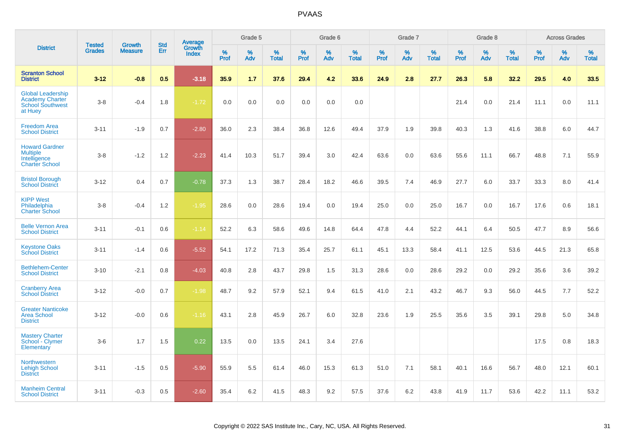|                                                                                          | <b>Tested</b> | <b>Growth</b>  | <b>Std</b> |                                   |              | Grade 5  |                   |              | Grade 6  |                   |              | Grade 7  |                   |              | Grade 8  |                   |           | <b>Across Grades</b> |                   |
|------------------------------------------------------------------------------------------|---------------|----------------|------------|-----------------------------------|--------------|----------|-------------------|--------------|----------|-------------------|--------------|----------|-------------------|--------------|----------|-------------------|-----------|----------------------|-------------------|
| <b>District</b>                                                                          | <b>Grades</b> | <b>Measure</b> | Err        | Average<br>Growth<br><b>Index</b> | $\%$<br>Prof | %<br>Adv | %<br><b>Total</b> | $\%$<br>Prof | %<br>Adv | %<br><b>Total</b> | $\%$<br>Prof | %<br>Adv | %<br><b>Total</b> | $\%$<br>Prof | %<br>Adv | %<br><b>Total</b> | %<br>Prof | %<br>Adv             | %<br><b>Total</b> |
| <b>Scranton School</b><br><b>District</b>                                                | $3 - 12$      | $-0.8$         | 0.5        | $-3.18$                           | 35.9         | 1.7      | 37.6              | 29.4         | 4.2      | 33.6              | 24.9         | 2.8      | 27.7              | 26.3         | 5.8      | 32.2              | 29.5      | 4.0                  | 33.5              |
| <b>Global Leadership</b><br><b>Academy Charter</b><br><b>School Southwest</b><br>at Huey | $3-8$         | $-0.4$         | 1.8        | $-1.72$                           | 0.0          | 0.0      | 0.0               | 0.0          | 0.0      | 0.0               |              |          |                   | 21.4         | 0.0      | 21.4              | 11.1      | 0.0                  | 11.1              |
| <b>Freedom Area</b><br><b>School District</b>                                            | $3 - 11$      | $-1.9$         | 0.7        | $-2.80$                           | 36.0         | 2.3      | 38.4              | 36.8         | 12.6     | 49.4              | 37.9         | 1.9      | 39.8              | 40.3         | 1.3      | 41.6              | 38.8      | 6.0                  | 44.7              |
| <b>Howard Gardner</b><br><b>Multiple</b><br>Intelligence<br><b>Charter School</b>        | $3 - 8$       | $-1.2$         | 1.2        | $-2.23$                           | 41.4         | 10.3     | 51.7              | 39.4         | 3.0      | 42.4              | 63.6         | 0.0      | 63.6              | 55.6         | 11.1     | 66.7              | 48.8      | 7.1                  | 55.9              |
| <b>Bristol Borough</b><br><b>School District</b>                                         | $3 - 12$      | 0.4            | 0.7        | $-0.78$                           | 37.3         | 1.3      | 38.7              | 28.4         | 18.2     | 46.6              | 39.5         | 7.4      | 46.9              | 27.7         | 6.0      | 33.7              | 33.3      | 8.0                  | 41.4              |
| <b>KIPP West</b><br>Philadelphia<br><b>Charter School</b>                                | $3-8$         | $-0.4$         | 1.2        | $-1.95$                           | 28.6         | 0.0      | 28.6              | 19.4         | 0.0      | 19.4              | 25.0         | 0.0      | 25.0              | 16.7         | 0.0      | 16.7              | 17.6      | 0.6                  | 18.1              |
| <b>Belle Vernon Area</b><br><b>School District</b>                                       | $3 - 11$      | $-0.1$         | 0.6        | $-1.14$                           | 52.2         | 6.3      | 58.6              | 49.6         | 14.8     | 64.4              | 47.8         | 4.4      | 52.2              | 44.1         | 6.4      | 50.5              | 47.7      | 8.9                  | 56.6              |
| <b>Keystone Oaks</b><br><b>School District</b>                                           | $3 - 11$      | $-1.4$         | 0.6        | $-5.52$                           | 54.1         | 17.2     | 71.3              | 35.4         | 25.7     | 61.1              | 45.1         | 13.3     | 58.4              | 41.1         | 12.5     | 53.6              | 44.5      | 21.3                 | 65.8              |
| <b>Bethlehem-Center</b><br><b>School District</b>                                        | $3 - 10$      | $-2.1$         | 0.8        | $-4.03$                           | 40.8         | 2.8      | 43.7              | 29.8         | 1.5      | 31.3              | 28.6         | 0.0      | 28.6              | 29.2         | 0.0      | 29.2              | 35.6      | 3.6                  | 39.2              |
| <b>Cranberry Area</b><br><b>School District</b>                                          | $3 - 12$      | $-0.0$         | 0.7        | $-1.98$                           | 48.7         | 9.2      | 57.9              | 52.1         | 9.4      | 61.5              | 41.0         | 2.1      | 43.2              | 46.7         | 9.3      | 56.0              | 44.5      | 7.7                  | 52.2              |
| <b>Greater Nanticoke</b><br><b>Area School</b><br><b>District</b>                        | $3 - 12$      | $-0.0$         | 0.6        | $-1.16$                           | 43.1         | 2.8      | 45.9              | 26.7         | 6.0      | 32.8              | 23.6         | 1.9      | 25.5              | 35.6         | 3.5      | 39.1              | 29.8      | 5.0                  | 34.8              |
| <b>Mastery Charter</b><br>School - Clymer<br>Elementary                                  | $3-6$         | 1.7            | 1.5        | 0.22                              | 13.5         | 0.0      | 13.5              | 24.1         | 3.4      | 27.6              |              |          |                   |              |          |                   | 17.5      | 0.8                  | 18.3              |
| <b>Northwestern</b><br><b>Lehigh School</b><br><b>District</b>                           | $3 - 11$      | $-1.5$         | 0.5        | $-5.90$                           | 55.9         | 5.5      | 61.4              | 46.0         | 15.3     | 61.3              | 51.0         | 7.1      | 58.1              | 40.1         | 16.6     | 56.7              | 48.0      | 12.1                 | 60.1              |
| <b>Manheim Central</b><br><b>School District</b>                                         | $3 - 11$      | $-0.3$         | 0.5        | $-2.60$                           | 35.4         | 6.2      | 41.5              | 48.3         | 9.2      | 57.5              | 37.6         | 6.2      | 43.8              | 41.9         | 11.7     | 53.6              | 42.2      | 11.1                 | 53.2              |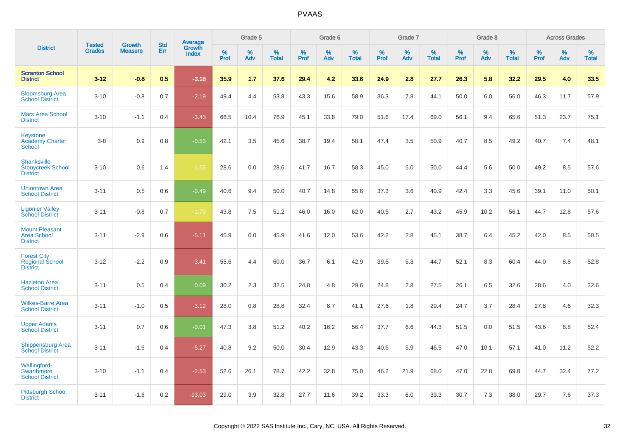|                                                                 | <b>Tested</b> | <b>Growth</b>  | <b>Std</b> |                                          |              | Grade 5  |                   |           | Grade 6  |                   |           | Grade 7  |                   |           | Grade 8  |                   |              | <b>Across Grades</b> |                   |
|-----------------------------------------------------------------|---------------|----------------|------------|------------------------------------------|--------------|----------|-------------------|-----------|----------|-------------------|-----------|----------|-------------------|-----------|----------|-------------------|--------------|----------------------|-------------------|
| <b>District</b>                                                 | <b>Grades</b> | <b>Measure</b> | <b>Err</b> | <b>Average</b><br>Growth<br><b>Index</b> | $\%$<br>Prof | %<br>Adv | %<br><b>Total</b> | %<br>Prof | %<br>Adv | %<br><b>Total</b> | %<br>Prof | %<br>Adv | %<br><b>Total</b> | %<br>Prof | %<br>Adv | %<br><b>Total</b> | $\%$<br>Prof | %<br>Adv             | %<br><b>Total</b> |
| <b>Scranton School</b><br><b>District</b>                       | $3 - 12$      | $-0.8$         | 0.5        | $-3.18$                                  | 35.9         | 1.7      | 37.6              | 29.4      | 4.2      | 33.6              | 24.9      | 2.8      | 27.7              | 26.3      | 5.8      | 32.2              | 29.5         | 4.0                  | 33.5              |
| <b>Bloomsburg Area</b><br><b>School District</b>                | $3 - 10$      | $-0.8$         | 0.7        | $-2.19$                                  | 49.4         | 4.4      | 53.8              | 43.3      | 15.6     | 58.9              | 36.3      | 7.8      | 44.1              | 50.0      | 6.0      | 56.0              | 46.3         | 11.7                 | 57.9              |
| <b>Mars Area School</b><br><b>District</b>                      | $3 - 10$      | $-1.1$         | 0.4        | $-3.43$                                  | 66.5         | 10.4     | 76.9              | 45.1      | 33.8     | 79.0              | 51.6      | 17.4     | 69.0              | 56.1      | 9.4      | 65.6              | 51.3         | 23.7                 | 75.1              |
| <b>Keystone</b><br><b>Academy Charter</b><br><b>School</b>      | $3 - 8$       | 0.9            | 0.8        | $-0.53$                                  | 42.1         | 3.5      | 45.6              | 38.7      | 19.4     | 58.1              | 47.4      | 3.5      | 50.9              | 40.7      | 8.5      | 49.2              | 40.7         | 7.4                  | 48.1              |
| Shanksville-<br><b>Stonycreek School</b><br><b>District</b>     | $3 - 10$      | 0.6            | 1.4        | $-1.55$                                  | 28.6         | 0.0      | 28.6              | 41.7      | 16.7     | 58.3              | 45.0      | 5.0      | 50.0              | 44.4      | 5.6      | 50.0              | 49.2         | 8.5                  | 57.6              |
| <b>Uniontown Area</b><br><b>School District</b>                 | $3 - 11$      | 0.5            | 0.6        | $-0.49$                                  | 40.6         | 9.4      | 50.0              | 40.7      | 14.8     | 55.6              | 37.3      | 3.6      | 40.9              | 42.4      | 3.3      | 45.6              | 39.1         | 11.0                 | 50.1              |
| <b>Ligonier Valley</b><br><b>School District</b>                | $3 - 11$      | $-0.8$         | 0.7        | $-1.79$                                  | 43.8         | 7.5      | 51.2              | 46.0      | 16.0     | 62.0              | 40.5      | 2.7      | 43.2              | 45.9      | 10.2     | 56.1              | 44.7         | 12.8                 | 57.6              |
| <b>Mount Pleasant</b><br><b>Area School</b><br><b>District</b>  | $3 - 11$      | $-2.9$         | 0.6        | $-5.11$                                  | 45.9         | 0.0      | 45.9              | 41.6      | 12.0     | 53.6              | 42.2      | 2.8      | 45.1              | 38.7      | 6.4      | 45.2              | 42.0         | 8.5                  | 50.5              |
| <b>Forest City</b><br><b>Regional School</b><br><b>District</b> | $3 - 12$      | $-2.2$         | 0.9        | $-3.41$                                  | 55.6         | 4.4      | 60.0              | 36.7      | 6.1      | 42.9              | 39.5      | 5.3      | 44.7              | 52.1      | 8.3      | 60.4              | 44.0         | 8.8                  | 52.8              |
| <b>Hazleton Area</b><br><b>School District</b>                  | $3 - 11$      | 0.5            | 0.4        | 0.09                                     | 30.2         | 2.3      | 32.5              | 24.8      | 4.8      | 29.6              | 24.8      | 2.8      | 27.5              | 26.1      | 6.5      | 32.6              | 28.6         | 4.0                  | 32.6              |
| <b>Wilkes-Barre Area</b><br><b>School District</b>              | $3 - 11$      | $-1.0$         | 0.5        | $-3.12$                                  | 28.0         | 0.8      | 28.8              | 32.4      | 8.7      | 41.1              | 27.6      | 1.8      | 29.4              | 24.7      | 3.7      | 28.4              | 27.8         | 4.6                  | 32.3              |
| <b>Upper Adams</b><br><b>School District</b>                    | $3 - 11$      | 0.7            | 0.6        | $-0.01$                                  | 47.3         | 3.8      | 51.2              | 40.2      | 16.2     | 56.4              | 37.7      | 6.6      | 44.3              | 51.5      | 0.0      | 51.5              | 43.6         | 8.8                  | 52.4              |
| <b>Shippensburg Area</b><br><b>School District</b>              | $3 - 11$      | $-1.6$         | 0.4        | $-5.27$                                  | 40.8         | 9.2      | 50.0              | 30.4      | 12.9     | 43.3              | 40.6      | 5.9      | 46.5              | 47.0      | 10.1     | 57.1              | 41.0         | 11.2                 | 52.2              |
| Wallingford-<br>Swarthmore<br><b>School District</b>            | $3 - 10$      | $-1.1$         | 0.4        | $-2.53$                                  | 52.6         | 26.1     | 78.7              | 42.2      | 32.8     | 75.0              | 46.2      | 21.9     | 68.0              | 47.0      | 22.8     | 69.8              | 44.7         | 32.4                 | 77.2              |
| <b>Pittsburgh School</b><br><b>District</b>                     | $3 - 11$      | $-1.6$         | 0.2        | $-13.03$                                 | 29.0         | 3.9      | 32.8              | 27.7      | 11.6     | 39.2              | 33.3      | 6.0      | 39.3              | 30.7      | 7.3      | 38.0              | 29.7         | 7.6                  | 37.3              |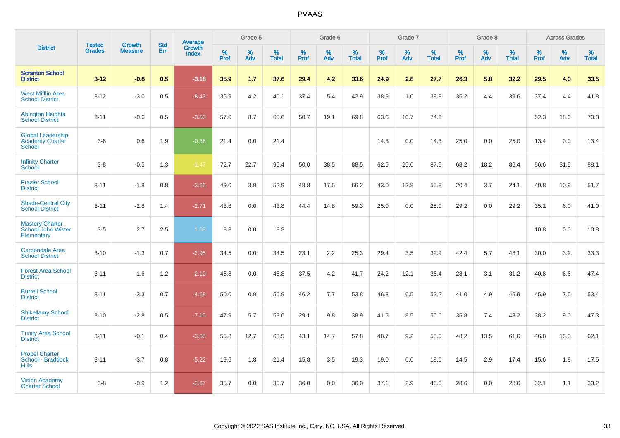|                                                                     |                                |                                 | <b>Std</b> | Average                |           | Grade 5  |                   |           | Grade 6  |                   |           | Grade 7  |                   |           | Grade 8  |                   |           | <b>Across Grades</b> |                   |
|---------------------------------------------------------------------|--------------------------------|---------------------------------|------------|------------------------|-----------|----------|-------------------|-----------|----------|-------------------|-----------|----------|-------------------|-----------|----------|-------------------|-----------|----------------------|-------------------|
| <b>District</b>                                                     | <b>Tested</b><br><b>Grades</b> | <b>Growth</b><br><b>Measure</b> | Err        | Growth<br><b>Index</b> | %<br>Prof | %<br>Adv | %<br><b>Total</b> | %<br>Prof | %<br>Adv | %<br><b>Total</b> | %<br>Prof | %<br>Adv | %<br><b>Total</b> | %<br>Prof | %<br>Adv | %<br><b>Total</b> | %<br>Prof | %<br>Adv             | %<br><b>Total</b> |
| <b>Scranton School</b><br><b>District</b>                           | $3 - 12$                       | $-0.8$                          | 0.5        | $-3.18$                | 35.9      | 1.7      | 37.6              | 29.4      | 4.2      | 33.6              | 24.9      | 2.8      | 27.7              | 26.3      | 5.8      | 32.2              | 29.5      | 4.0                  | 33.5              |
| <b>West Mifflin Area</b><br><b>School District</b>                  | $3 - 12$                       | $-3.0$                          | 0.5        | $-8.43$                | 35.9      | 4.2      | 40.1              | 37.4      | 5.4      | 42.9              | 38.9      | 1.0      | 39.8              | 35.2      | 4.4      | 39.6              | 37.4      | 4.4                  | 41.8              |
| <b>Abington Heights</b><br><b>School District</b>                   | $3 - 11$                       | $-0.6$                          | 0.5        | $-3.50$                | 57.0      | 8.7      | 65.6              | 50.7      | 19.1     | 69.8              | 63.6      | 10.7     | 74.3              |           |          |                   | 52.3      | 18.0                 | 70.3              |
| <b>Global Leadership</b><br><b>Academy Charter</b><br><b>School</b> | $3 - 8$                        | 0.6                             | 1.9        | $-0.38$                | 21.4      | 0.0      | 21.4              |           |          |                   | 14.3      | 0.0      | 14.3              | 25.0      | 0.0      | 25.0              | 13.4      | 0.0                  | 13.4              |
| <b>Infinity Charter</b><br>School                                   | $3 - 8$                        | $-0.5$                          | 1.3        | $-1.47$                | 72.7      | 22.7     | 95.4              | 50.0      | 38.5     | 88.5              | 62.5      | 25.0     | 87.5              | 68.2      | 18.2     | 86.4              | 56.6      | 31.5                 | 88.1              |
| <b>Frazier School</b><br><b>District</b>                            | $3 - 11$                       | $-1.8$                          | 0.8        | $-3.66$                | 49.0      | 3.9      | 52.9              | 48.8      | 17.5     | 66.2              | 43.0      | 12.8     | 55.8              | 20.4      | 3.7      | 24.1              | 40.8      | 10.9                 | 51.7              |
| <b>Shade-Central City</b><br><b>School District</b>                 | $3 - 11$                       | $-2.8$                          | 1.4        | $-2.71$                | 43.8      | 0.0      | 43.8              | 44.4      | 14.8     | 59.3              | 25.0      | 0.0      | 25.0              | 29.2      | 0.0      | 29.2              | 35.1      | 6.0                  | 41.0              |
| <b>Mastery Charter</b><br>School John Wister<br>Elementary          | $3-5$                          | 2.7                             | 2.5        | 1.08                   | 8.3       | 0.0      | 8.3               |           |          |                   |           |          |                   |           |          |                   | 10.8      | 0.0                  | 10.8              |
| <b>Carbondale Area</b><br><b>School District</b>                    | $3 - 10$                       | $-1.3$                          | 0.7        | $-2.95$                | 34.5      | 0.0      | 34.5              | 23.1      | 2.2      | 25.3              | 29.4      | 3.5      | 32.9              | 42.4      | 5.7      | 48.1              | 30.0      | 3.2                  | 33.3              |
| <b>Forest Area School</b><br><b>District</b>                        | $3 - 11$                       | $-1.6$                          | 1.2        | $-2.10$                | 45.8      | 0.0      | 45.8              | 37.5      | 4.2      | 41.7              | 24.2      | 12.1     | 36.4              | 28.1      | 3.1      | 31.2              | 40.8      | 6.6                  | 47.4              |
| <b>Burrell School</b><br><b>District</b>                            | $3 - 11$                       | $-3.3$                          | 0.7        | $-4.68$                | 50.0      | 0.9      | 50.9              | 46.2      | 7.7      | 53.8              | 46.8      | 6.5      | 53.2              | 41.0      | 4.9      | 45.9              | 45.9      | 7.5                  | 53.4              |
| <b>Shikellamy School</b><br><b>District</b>                         | $3 - 10$                       | $-2.8$                          | 0.5        | $-7.15$                | 47.9      | 5.7      | 53.6              | 29.1      | 9.8      | 38.9              | 41.5      | 8.5      | 50.0              | 35.8      | 7.4      | 43.2              | 38.2      | 9.0                  | 47.3              |
| <b>Trinity Area School</b><br><b>District</b>                       | $3 - 11$                       | $-0.1$                          | 0.4        | $-3.05$                | 55.8      | 12.7     | 68.5              | 43.1      | 14.7     | 57.8              | 48.7      | 9.2      | 58.0              | 48.2      | 13.5     | 61.6              | 46.8      | 15.3                 | 62.1              |
| <b>Propel Charter</b><br>School - Braddock<br><b>Hills</b>          | $3 - 11$                       | $-3.7$                          | 0.8        | $-5.22$                | 19.6      | 1.8      | 21.4              | 15.8      | 3.5      | 19.3              | 19.0      | 0.0      | 19.0              | 14.5      | 2.9      | 17.4              | 15.6      | 1.9                  | 17.5              |
| <b>Vision Academy</b><br><b>Charter School</b>                      | $3-8$                          | $-0.9$                          | 1.2        | $-2.67$                | 35.7      | 0.0      | 35.7              | 36.0      | 0.0      | 36.0              | 37.1      | 2.9      | 40.0              | 28.6      | 0.0      | 28.6              | 32.1      | 1.1                  | 33.2              |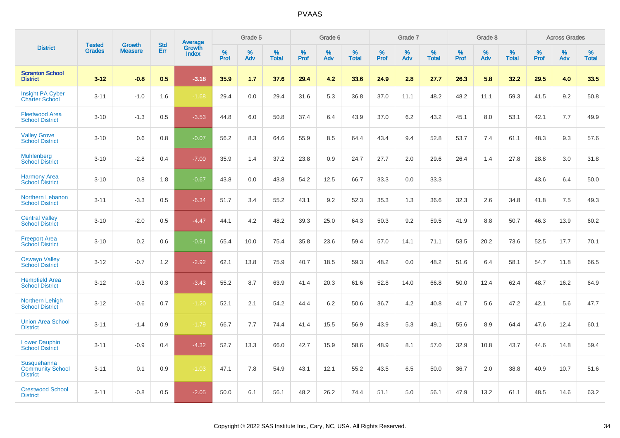|                                                           | <b>Tested</b> | <b>Growth</b>  | <b>Std</b> | Average                |                     | Grade 5  |                      |                     | Grade 6  |                   |              | Grade 7  |                   |              | Grade 8  |                      |                     | <b>Across Grades</b> |                      |
|-----------------------------------------------------------|---------------|----------------|------------|------------------------|---------------------|----------|----------------------|---------------------|----------|-------------------|--------------|----------|-------------------|--------------|----------|----------------------|---------------------|----------------------|----------------------|
| <b>District</b>                                           | <b>Grades</b> | <b>Measure</b> | Err        | Growth<br><b>Index</b> | $\%$<br><b>Prof</b> | %<br>Adv | $\%$<br><b>Total</b> | $\%$<br><b>Prof</b> | %<br>Adv | %<br><b>Total</b> | $\%$<br>Prof | %<br>Adv | %<br><b>Total</b> | $\%$<br>Prof | %<br>Adv | $\%$<br><b>Total</b> | $\%$<br><b>Prof</b> | %<br>Adv             | $\%$<br><b>Total</b> |
| <b>Scranton School</b><br><b>District</b>                 | $3 - 12$      | $-0.8$         | 0.5        | $-3.18$                | 35.9                | 1.7      | 37.6                 | 29.4                | 4.2      | 33.6              | 24.9         | 2.8      | 27.7              | 26.3         | 5.8      | 32.2                 | 29.5                | 4.0                  | 33.5                 |
| <b>Insight PA Cyber</b><br><b>Charter School</b>          | $3 - 11$      | $-1.0$         | 1.6        | $-1.68$                | 29.4                | 0.0      | 29.4                 | 31.6                | 5.3      | 36.8              | 37.0         | 11.1     | 48.2              | 48.2         | 11.1     | 59.3                 | 41.5                | 9.2                  | 50.8                 |
| <b>Fleetwood Area</b><br><b>School District</b>           | $3 - 10$      | $-1.3$         | 0.5        | $-3.53$                | 44.8                | 6.0      | 50.8                 | 37.4                | 6.4      | 43.9              | 37.0         | 6.2      | 43.2              | 45.1         | 8.0      | 53.1                 | 42.1                | 7.7                  | 49.9                 |
| <b>Valley Grove</b><br><b>School District</b>             | $3 - 10$      | 0.6            | 0.8        | $-0.07$                | 56.2                | 8.3      | 64.6                 | 55.9                | 8.5      | 64.4              | 43.4         | 9.4      | 52.8              | 53.7         | 7.4      | 61.1                 | 48.3                | 9.3                  | 57.6                 |
| <b>Muhlenberg</b><br><b>School District</b>               | $3 - 10$      | $-2.8$         | 0.4        | $-7.00$                | 35.9                | 1.4      | 37.2                 | 23.8                | 0.9      | 24.7              | 27.7         | 2.0      | 29.6              | 26.4         | 1.4      | 27.8                 | 28.8                | 3.0                  | 31.8                 |
| <b>Harmony Area</b><br><b>School District</b>             | $3 - 10$      | 0.8            | 1.8        | $-0.67$                | 43.8                | 0.0      | 43.8                 | 54.2                | 12.5     | 66.7              | 33.3         | 0.0      | 33.3              |              |          |                      | 43.6                | 6.4                  | 50.0                 |
| Northern Lebanon<br><b>School District</b>                | $3 - 11$      | $-3.3$         | 0.5        | $-6.34$                | 51.7                | 3.4      | 55.2                 | 43.1                | 9.2      | 52.3              | 35.3         | 1.3      | 36.6              | 32.3         | 2.6      | 34.8                 | 41.8                | 7.5                  | 49.3                 |
| <b>Central Valley</b><br><b>School District</b>           | $3 - 10$      | $-2.0$         | 0.5        | $-4.47$                | 44.1                | 4.2      | 48.2                 | 39.3                | 25.0     | 64.3              | 50.3         | 9.2      | 59.5              | 41.9         | 8.8      | 50.7                 | 46.3                | 13.9                 | 60.2                 |
| <b>Freeport Area</b><br><b>School District</b>            | $3 - 10$      | 0.2            | 0.6        | $-0.91$                | 65.4                | 10.0     | 75.4                 | 35.8                | 23.6     | 59.4              | 57.0         | 14.1     | 71.1              | 53.5         | 20.2     | 73.6                 | 52.5                | 17.7                 | 70.1                 |
| <b>Oswayo Valley</b><br><b>School District</b>            | $3 - 12$      | $-0.7$         | 1.2        | $-2.92$                | 62.1                | 13.8     | 75.9                 | 40.7                | 18.5     | 59.3              | 48.2         | 0.0      | 48.2              | 51.6         | 6.4      | 58.1                 | 54.7                | 11.8                 | 66.5                 |
| <b>Hempfield Area</b><br><b>School District</b>           | $3-12$        | $-0.3$         | 0.3        | $-3.43$                | 55.2                | 8.7      | 63.9                 | 41.4                | 20.3     | 61.6              | 52.8         | 14.0     | 66.8              | 50.0         | 12.4     | 62.4                 | 48.7                | 16.2                 | 64.9                 |
| <b>Northern Lehigh</b><br><b>School District</b>          | $3 - 12$      | $-0.6$         | 0.7        | $-1.20$                | 52.1                | 2.1      | 54.2                 | 44.4                | 6.2      | 50.6              | 36.7         | 4.2      | 40.8              | 41.7         | 5.6      | 47.2                 | 42.1                | 5.6                  | 47.7                 |
| <b>Union Area School</b><br><b>District</b>               | $3 - 11$      | $-1.4$         | 0.9        | $-1.79$                | 66.7                | 7.7      | 74.4                 | 41.4                | 15.5     | 56.9              | 43.9         | 5.3      | 49.1              | 55.6         | 8.9      | 64.4                 | 47.6                | 12.4                 | 60.1                 |
| <b>Lower Dauphin</b><br><b>School District</b>            | $3 - 11$      | $-0.9$         | 0.4        | $-4.32$                | 52.7                | 13.3     | 66.0                 | 42.7                | 15.9     | 58.6              | 48.9         | 8.1      | 57.0              | 32.9         | 10.8     | 43.7                 | 44.6                | 14.8                 | 59.4                 |
| Susquehanna<br><b>Community School</b><br><b>District</b> | $3 - 11$      | 0.1            | 0.9        | $-1.03$                | 47.1                | 7.8      | 54.9                 | 43.1                | 12.1     | 55.2              | 43.5         | 6.5      | 50.0              | 36.7         | 2.0      | 38.8                 | 40.9                | 10.7                 | 51.6                 |
| <b>Crestwood School</b><br><b>District</b>                | $3 - 11$      | $-0.8$         | 0.5        | $-2.05$                | 50.0                | 6.1      | 56.1                 | 48.2                | 26.2     | 74.4              | 51.1         | 5.0      | 56.1              | 47.9         | 13.2     | 61.1                 | 48.5                | 14.6                 | 63.2                 |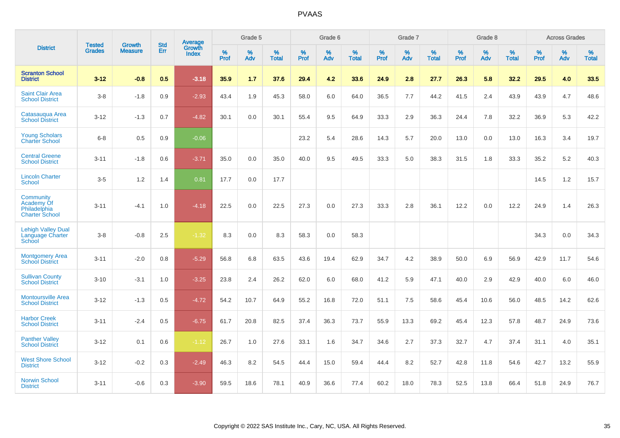|                                                                  | <b>Tested</b> | <b>Growth</b>  | <b>Std</b> | <b>Average</b>         |           | Grade 5  |                   |           | Grade 6  |                   |           | Grade 7  |                   |           | Grade 8  |                   |           | <b>Across Grades</b> |                   |
|------------------------------------------------------------------|---------------|----------------|------------|------------------------|-----------|----------|-------------------|-----------|----------|-------------------|-----------|----------|-------------------|-----------|----------|-------------------|-----------|----------------------|-------------------|
| <b>District</b>                                                  | <b>Grades</b> | <b>Measure</b> | Err        | Growth<br><b>Index</b> | %<br>Prof | %<br>Adv | %<br><b>Total</b> | %<br>Prof | %<br>Adv | %<br><b>Total</b> | %<br>Prof | %<br>Adv | %<br><b>Total</b> | %<br>Prof | %<br>Adv | %<br><b>Total</b> | %<br>Prof | %<br>Adv             | %<br><b>Total</b> |
| <b>Scranton School</b><br><b>District</b>                        | $3 - 12$      | $-0.8$         | 0.5        | $-3.18$                | 35.9      | 1.7      | 37.6              | 29.4      | 4.2      | 33.6              | 24.9      | 2.8      | 27.7              | 26.3      | 5.8      | 32.2              | 29.5      | 4.0                  | 33.5              |
| <b>Saint Clair Area</b><br><b>School District</b>                | $3 - 8$       | $-1.8$         | 0.9        | $-2.93$                | 43.4      | 1.9      | 45.3              | 58.0      | 6.0      | 64.0              | 36.5      | 7.7      | 44.2              | 41.5      | 2.4      | 43.9              | 43.9      | 4.7                  | 48.6              |
| Catasauqua Area<br><b>School District</b>                        | $3 - 12$      | $-1.3$         | 0.7        | $-4.82$                | 30.1      | 0.0      | 30.1              | 55.4      | 9.5      | 64.9              | 33.3      | 2.9      | 36.3              | 24.4      | 7.8      | 32.2              | 36.9      | 5.3                  | 42.2              |
| <b>Young Scholars</b><br><b>Charter School</b>                   | $6 - 8$       | 0.5            | 0.9        | $-0.06$                |           |          |                   | 23.2      | 5.4      | 28.6              | 14.3      | 5.7      | 20.0              | 13.0      | 0.0      | 13.0              | 16.3      | 3.4                  | 19.7              |
| <b>Central Greene</b><br><b>School District</b>                  | $3 - 11$      | $-1.8$         | 0.6        | $-3.71$                | 35.0      | 0.0      | 35.0              | 40.0      | 9.5      | 49.5              | 33.3      | 5.0      | 38.3              | 31.5      | 1.8      | 33.3              | 35.2      | 5.2                  | 40.3              |
| <b>Lincoln Charter</b><br><b>School</b>                          | $3-5$         | 1.2            | 1.4        | 0.81                   | 17.7      | 0.0      | 17.7              |           |          |                   |           |          |                   |           |          |                   | 14.5      | 1.2                  | 15.7              |
| Community<br>Academy Of<br>Philadelphia<br><b>Charter School</b> | $3 - 11$      | $-4.1$         | 1.0        | $-4.18$                | 22.5      | 0.0      | 22.5              | 27.3      | 0.0      | 27.3              | 33.3      | 2.8      | 36.1              | 12.2      | 0.0      | 12.2              | 24.9      | 1.4                  | 26.3              |
| <b>Lehigh Valley Dual</b><br>Language Charter<br>School          | $3 - 8$       | $-0.8$         | 2.5        | $-1.32$                | 8.3       | 0.0      | 8.3               | 58.3      | 0.0      | 58.3              |           |          |                   |           |          |                   | 34.3      | 0.0                  | 34.3              |
| <b>Montgomery Area</b><br><b>School District</b>                 | $3 - 11$      | $-2.0$         | 0.8        | $-5.29$                | 56.8      | 6.8      | 63.5              | 43.6      | 19.4     | 62.9              | 34.7      | 4.2      | 38.9              | 50.0      | 6.9      | 56.9              | 42.9      | 11.7                 | 54.6              |
| <b>Sullivan County</b><br><b>School District</b>                 | $3 - 10$      | $-3.1$         | 1.0        | $-3.25$                | 23.8      | 2.4      | 26.2              | 62.0      | 6.0      | 68.0              | 41.2      | 5.9      | 47.1              | 40.0      | 2.9      | 42.9              | 40.0      | 6.0                  | 46.0              |
| <b>Montoursville Area</b><br><b>School District</b>              | $3 - 12$      | $-1.3$         | 0.5        | $-4.72$                | 54.2      | 10.7     | 64.9              | 55.2      | 16.8     | 72.0              | 51.1      | 7.5      | 58.6              | 45.4      | 10.6     | 56.0              | 48.5      | 14.2                 | 62.6              |
| <b>Harbor Creek</b><br><b>School District</b>                    | $3 - 11$      | $-2.4$         | 0.5        | $-6.75$                | 61.7      | 20.8     | 82.5              | 37.4      | 36.3     | 73.7              | 55.9      | 13.3     | 69.2              | 45.4      | 12.3     | 57.8              | 48.7      | 24.9                 | 73.6              |
| <b>Panther Valley</b><br><b>School District</b>                  | $3 - 12$      | 0.1            | 0.6        | $-1.12$                | 26.7      | 1.0      | 27.6              | 33.1      | 1.6      | 34.7              | 34.6      | 2.7      | 37.3              | 32.7      | 4.7      | 37.4              | 31.1      | 4.0                  | 35.1              |
| <b>West Shore School</b><br><b>District</b>                      | $3 - 12$      | $-0.2$         | 0.3        | $-2.49$                | 46.3      | 8.2      | 54.5              | 44.4      | 15.0     | 59.4              | 44.4      | 8.2      | 52.7              | 42.8      | 11.8     | 54.6              | 42.7      | 13.2                 | 55.9              |
| <b>Norwin School</b><br><b>District</b>                          | $3 - 11$      | $-0.6$         | 0.3        | $-3.90$                | 59.5      | 18.6     | 78.1              | 40.9      | 36.6     | 77.4              | 60.2      | 18.0     | 78.3              | 52.5      | 13.8     | 66.4              | 51.8      | 24.9                 | 76.7              |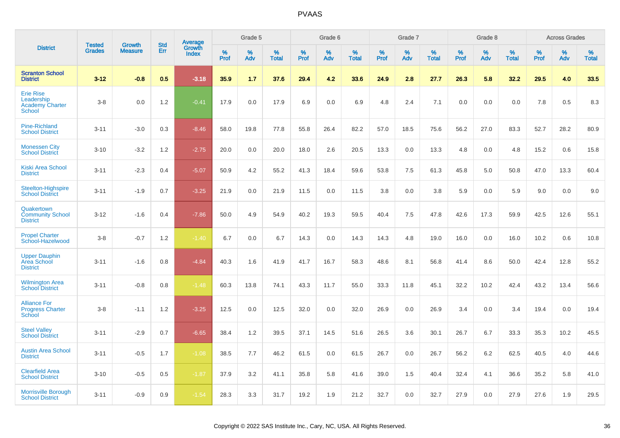|                                                                           | <b>Tested</b> | <b>Growth</b>  | <b>Std</b> | Average                |           | Grade 5  |                   |           | Grade 6  |                   |           | Grade 7  |                   |           | Grade 8  |                   |           | <b>Across Grades</b> |                   |
|---------------------------------------------------------------------------|---------------|----------------|------------|------------------------|-----------|----------|-------------------|-----------|----------|-------------------|-----------|----------|-------------------|-----------|----------|-------------------|-----------|----------------------|-------------------|
| <b>District</b>                                                           | <b>Grades</b> | <b>Measure</b> | Err        | Growth<br><b>Index</b> | %<br>Prof | %<br>Adv | %<br><b>Total</b> | %<br>Prof | %<br>Adv | %<br><b>Total</b> | %<br>Prof | %<br>Adv | %<br><b>Total</b> | %<br>Prof | %<br>Adv | %<br><b>Total</b> | %<br>Prof | %<br>Adv             | %<br><b>Total</b> |
| <b>Scranton School</b><br><b>District</b>                                 | $3 - 12$      | $-0.8$         | 0.5        | $-3.18$                | 35.9      | 1.7      | 37.6              | 29.4      | 4.2      | 33.6              | 24.9      | 2.8      | 27.7              | 26.3      | 5.8      | 32.2              | 29.5      | 4.0                  | 33.5              |
| <b>Erie Rise</b><br>Leadership<br><b>Academy Charter</b><br><b>School</b> | $3-8$         | 0.0            | 1.2        | $-0.41$                | 17.9      | 0.0      | 17.9              | 6.9       | 0.0      | 6.9               | 4.8       | 2.4      | 7.1               | 0.0       | 0.0      | 0.0               | 7.8       | 0.5                  | 8.3               |
| <b>Pine-Richland</b><br><b>School District</b>                            | $3 - 11$      | $-3.0$         | 0.3        | $-8.46$                | 58.0      | 19.8     | 77.8              | 55.8      | 26.4     | 82.2              | 57.0      | 18.5     | 75.6              | 56.2      | 27.0     | 83.3              | 52.7      | 28.2                 | 80.9              |
| <b>Monessen City</b><br><b>School District</b>                            | $3 - 10$      | $-3.2$         | 1.2        | $-2.75$                | 20.0      | 0.0      | 20.0              | 18.0      | 2.6      | 20.5              | 13.3      | 0.0      | 13.3              | 4.8       | 0.0      | 4.8               | 15.2      | 0.6                  | 15.8              |
| <b>Kiski Area School</b><br><b>District</b>                               | $3 - 11$      | $-2.3$         | 0.4        | $-5.07$                | 50.9      | 4.2      | 55.2              | 41.3      | 18.4     | 59.6              | 53.8      | 7.5      | 61.3              | 45.8      | 5.0      | 50.8              | 47.0      | 13.3                 | 60.4              |
| Steelton-Highspire<br><b>School District</b>                              | $3 - 11$      | $-1.9$         | 0.7        | $-3.25$                | 21.9      | 0.0      | 21.9              | 11.5      | 0.0      | 11.5              | 3.8       | 0.0      | 3.8               | 5.9       | 0.0      | 5.9               | 9.0       | 0.0                  | 9.0               |
| Quakertown<br><b>Community School</b><br><b>District</b>                  | $3 - 12$      | $-1.6$         | 0.4        | $-7.86$                | 50.0      | 4.9      | 54.9              | 40.2      | 19.3     | 59.5              | 40.4      | 7.5      | 47.8              | 42.6      | 17.3     | 59.9              | 42.5      | 12.6                 | 55.1              |
| <b>Propel Charter</b><br>School-Hazelwood                                 | $3-8$         | $-0.7$         | 1.2        | $-1.40$                | 6.7       | 0.0      | 6.7               | 14.3      | 0.0      | 14.3              | 14.3      | 4.8      | 19.0              | 16.0      | 0.0      | 16.0              | 10.2      | 0.6                  | 10.8              |
| <b>Upper Dauphin</b><br>Area School<br><b>District</b>                    | $3 - 11$      | $-1.6$         | 0.8        | $-4.84$                | 40.3      | 1.6      | 41.9              | 41.7      | 16.7     | 58.3              | 48.6      | 8.1      | 56.8              | 41.4      | 8.6      | 50.0              | 42.4      | 12.8                 | 55.2              |
| <b>Wilmington Area</b><br><b>School District</b>                          | $3 - 11$      | $-0.8$         | 0.8        | $-1.48$                | 60.3      | 13.8     | 74.1              | 43.3      | 11.7     | 55.0              | 33.3      | 11.8     | 45.1              | 32.2      | 10.2     | 42.4              | 43.2      | 13.4                 | 56.6              |
| <b>Alliance For</b><br><b>Progress Charter</b><br>School                  | $3-8$         | $-1.1$         | 1.2        | $-3.25$                | 12.5      | 0.0      | 12.5              | 32.0      | 0.0      | 32.0              | 26.9      | 0.0      | 26.9              | 3.4       | 0.0      | 3.4               | 19.4      | 0.0                  | 19.4              |
| <b>Steel Valley</b><br><b>School District</b>                             | $3 - 11$      | $-2.9$         | 0.7        | $-6.65$                | 38.4      | 1.2      | 39.5              | 37.1      | 14.5     | 51.6              | 26.5      | 3.6      | 30.1              | 26.7      | 6.7      | 33.3              | 35.3      | 10.2                 | 45.5              |
| <b>Austin Area School</b><br><b>District</b>                              | $3 - 11$      | $-0.5$         | 1.7        | $-1.08$                | 38.5      | 7.7      | 46.2              | 61.5      | 0.0      | 61.5              | 26.7      | 0.0      | 26.7              | 56.2      | 6.2      | 62.5              | 40.5      | 4.0                  | 44.6              |
| <b>Clearfield Area</b><br><b>School District</b>                          | $3 - 10$      | $-0.5$         | 0.5        | $-1.87$                | 37.9      | 3.2      | 41.1              | 35.8      | 5.8      | 41.6              | 39.0      | 1.5      | 40.4              | 32.4      | 4.1      | 36.6              | 35.2      | 5.8                  | 41.0              |
| <b>Morrisville Borough</b><br><b>School District</b>                      | $3 - 11$      | $-0.9$         | 0.9        | $-1.54$                | 28.3      | 3.3      | 31.7              | 19.2      | 1.9      | 21.2              | 32.7      | 0.0      | 32.7              | 27.9      | 0.0      | 27.9              | 27.6      | 1.9                  | 29.5              |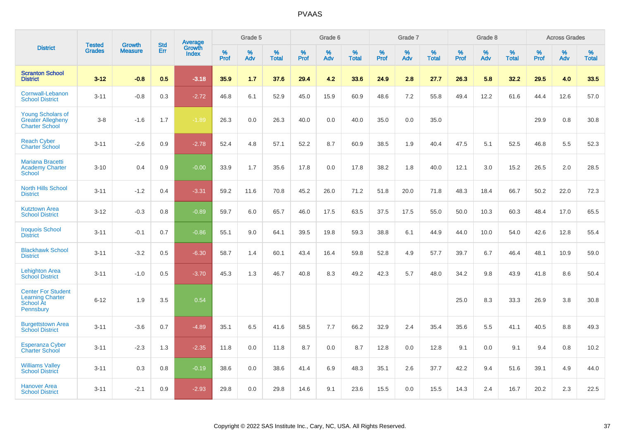|                                                                                |                                | <b>Growth</b>  | <b>Std</b> | Average         |              | Grade 5  |                   |           | Grade 6  |                   |           | Grade 7  |                   |           | Grade 8  |                   |           | <b>Across Grades</b> |                   |
|--------------------------------------------------------------------------------|--------------------------------|----------------|------------|-----------------|--------------|----------|-------------------|-----------|----------|-------------------|-----------|----------|-------------------|-----------|----------|-------------------|-----------|----------------------|-------------------|
| <b>District</b>                                                                | <b>Tested</b><br><b>Grades</b> | <b>Measure</b> | <b>Err</b> | Growth<br>Index | $\%$<br>Prof | %<br>Adv | %<br><b>Total</b> | %<br>Prof | %<br>Adv | %<br><b>Total</b> | %<br>Prof | %<br>Adv | %<br><b>Total</b> | %<br>Prof | %<br>Adv | %<br><b>Total</b> | %<br>Prof | %<br>Adv             | %<br><b>Total</b> |
| <b>Scranton School</b><br><b>District</b>                                      | $3 - 12$                       | $-0.8$         | 0.5        | $-3.18$         | 35.9         | 1.7      | 37.6              | 29.4      | 4.2      | 33.6              | 24.9      | 2.8      | 27.7              | 26.3      | 5.8      | 32.2              | 29.5      | 4.0                  | 33.5              |
| Cornwall-Lebanon<br><b>School District</b>                                     | $3 - 11$                       | $-0.8$         | 0.3        | $-2.72$         | 46.8         | 6.1      | 52.9              | 45.0      | 15.9     | 60.9              | 48.6      | 7.2      | 55.8              | 49.4      | 12.2     | 61.6              | 44.4      | 12.6                 | 57.0              |
| <b>Young Scholars of</b><br><b>Greater Allegheny</b><br><b>Charter School</b>  | $3 - 8$                        | $-1.6$         | 1.7        | $-1.89$         | 26.3         | 0.0      | 26.3              | 40.0      | 0.0      | 40.0              | 35.0      | 0.0      | 35.0              |           |          |                   | 29.9      | $0.8\,$              | 30.8              |
| <b>Reach Cyber</b><br><b>Charter School</b>                                    | $3 - 11$                       | $-2.6$         | 0.9        | $-2.78$         | 52.4         | 4.8      | 57.1              | 52.2      | 8.7      | 60.9              | 38.5      | 1.9      | 40.4              | 47.5      | 5.1      | 52.5              | 46.8      | 5.5                  | 52.3              |
| <b>Mariana Bracetti</b><br><b>Academy Charter</b><br>School                    | $3 - 10$                       | 0.4            | 0.9        | $-0.00$         | 33.9         | 1.7      | 35.6              | 17.8      | 0.0      | 17.8              | 38.2      | 1.8      | 40.0              | 12.1      | 3.0      | 15.2              | 26.5      | 2.0                  | 28.5              |
| <b>North Hills School</b><br><b>District</b>                                   | $3 - 11$                       | $-1.2$         | 0.4        | $-3.31$         | 59.2         | 11.6     | 70.8              | 45.2      | 26.0     | 71.2              | 51.8      | 20.0     | 71.8              | 48.3      | 18.4     | 66.7              | 50.2      | 22.0                 | 72.3              |
| <b>Kutztown Area</b><br><b>School District</b>                                 | $3 - 12$                       | $-0.3$         | 0.8        | $-0.89$         | 59.7         | 6.0      | 65.7              | 46.0      | 17.5     | 63.5              | 37.5      | 17.5     | 55.0              | 50.0      | 10.3     | 60.3              | 48.4      | 17.0                 | 65.5              |
| <b>Iroquois School</b><br><b>District</b>                                      | $3 - 11$                       | $-0.1$         | 0.7        | $-0.86$         | 55.1         | 9.0      | 64.1              | 39.5      | 19.8     | 59.3              | 38.8      | 6.1      | 44.9              | 44.0      | 10.0     | 54.0              | 42.6      | 12.8                 | 55.4              |
| <b>Blackhawk School</b><br><b>District</b>                                     | $3 - 11$                       | $-3.2$         | 0.5        | $-6.30$         | 58.7         | 1.4      | 60.1              | 43.4      | 16.4     | 59.8              | 52.8      | 4.9      | 57.7              | 39.7      | 6.7      | 46.4              | 48.1      | 10.9                 | 59.0              |
| <b>Lehighton Area</b><br><b>School District</b>                                | $3 - 11$                       | $-1.0$         | 0.5        | $-3.70$         | 45.3         | 1.3      | 46.7              | 40.8      | 8.3      | 49.2              | 42.3      | 5.7      | 48.0              | 34.2      | 9.8      | 43.9              | 41.8      | 8.6                  | 50.4              |
| <b>Center For Student</b><br><b>Learning Charter</b><br>School At<br>Pennsbury | $6 - 12$                       | 1.9            | 3.5        | 0.54            |              |          |                   |           |          |                   |           |          |                   | 25.0      | 8.3      | 33.3              | 26.9      | 3.8                  | 30.8              |
| <b>Burgettstown Area</b><br><b>School District</b>                             | $3 - 11$                       | $-3.6$         | 0.7        | $-4.89$         | 35.1         | 6.5      | 41.6              | 58.5      | 7.7      | 66.2              | 32.9      | 2.4      | 35.4              | 35.6      | 5.5      | 41.1              | 40.5      | 8.8                  | 49.3              |
| <b>Esperanza Cyber</b><br><b>Charter School</b>                                | $3 - 11$                       | $-2.3$         | 1.3        | $-2.35$         | 11.8         | 0.0      | 11.8              | 8.7       | 0.0      | 8.7               | 12.8      | 0.0      | 12.8              | 9.1       | 0.0      | 9.1               | 9.4       | 0.8                  | 10.2              |
| <b>Williams Valley</b><br><b>School District</b>                               | $3 - 11$                       | 0.3            | 0.8        | $-0.19$         | 38.6         | 0.0      | 38.6              | 41.4      | 6.9      | 48.3              | 35.1      | 2.6      | 37.7              | 42.2      | 9.4      | 51.6              | 39.1      | 4.9                  | 44.0              |
| <b>Hanover Area</b><br><b>School District</b>                                  | $3 - 11$                       | $-2.1$         | 0.9        | $-2.93$         | 29.8         | 0.0      | 29.8              | 14.6      | 9.1      | 23.6              | 15.5      | 0.0      | 15.5              | 14.3      | 2.4      | 16.7              | 20.2      | 2.3                  | 22.5              |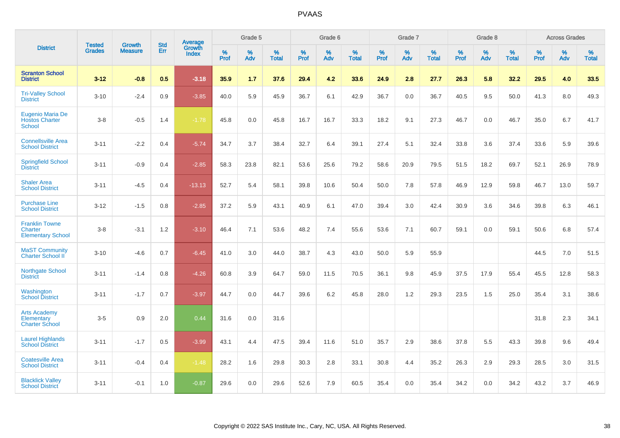|                                                                     | <b>Tested</b> | <b>Growth</b>  | <b>Std</b> | Average                |              | Grade 5  |                   |           | Grade 6  |                   |           | Grade 7  |                   |           | Grade 8  |                   |           | <b>Across Grades</b> |                   |
|---------------------------------------------------------------------|---------------|----------------|------------|------------------------|--------------|----------|-------------------|-----------|----------|-------------------|-----------|----------|-------------------|-----------|----------|-------------------|-----------|----------------------|-------------------|
| <b>District</b>                                                     | <b>Grades</b> | <b>Measure</b> | Err        | Growth<br><b>Index</b> | $\%$<br>Prof | %<br>Adv | %<br><b>Total</b> | %<br>Prof | %<br>Adv | %<br><b>Total</b> | %<br>Prof | %<br>Adv | %<br><b>Total</b> | %<br>Prof | %<br>Adv | %<br><b>Total</b> | %<br>Prof | %<br>Adv             | %<br><b>Total</b> |
| <b>Scranton School</b><br><b>District</b>                           | $3 - 12$      | $-0.8$         | 0.5        | $-3.18$                | 35.9         | 1.7      | 37.6              | 29.4      | 4.2      | 33.6              | 24.9      | 2.8      | 27.7              | 26.3      | 5.8      | 32.2              | 29.5      | 4.0                  | 33.5              |
| <b>Tri-Valley School</b><br><b>District</b>                         | $3 - 10$      | $-2.4$         | 0.9        | $-3.85$                | 40.0         | 5.9      | 45.9              | 36.7      | 6.1      | 42.9              | 36.7      | 0.0      | 36.7              | 40.5      | 9.5      | 50.0              | 41.3      | 8.0                  | 49.3              |
| <b>Eugenio Maria De</b><br><b>Hostos Charter</b><br><b>School</b>   | $3 - 8$       | $-0.5$         | 1.4        | $-1.78$                | 45.8         | 0.0      | 45.8              | 16.7      | 16.7     | 33.3              | 18.2      | 9.1      | 27.3              | 46.7      | 0.0      | 46.7              | 35.0      | 6.7                  | 41.7              |
| <b>Connellsville Area</b><br><b>School District</b>                 | $3 - 11$      | $-2.2$         | 0.4        | $-5.74$                | 34.7         | 3.7      | 38.4              | 32.7      | 6.4      | 39.1              | 27.4      | 5.1      | 32.4              | 33.8      | 3.6      | 37.4              | 33.6      | 5.9                  | 39.6              |
| <b>Springfield School</b><br><b>District</b>                        | $3 - 11$      | $-0.9$         | 0.4        | $-2.85$                | 58.3         | 23.8     | 82.1              | 53.6      | 25.6     | 79.2              | 58.6      | 20.9     | 79.5              | 51.5      | 18.2     | 69.7              | 52.1      | 26.9                 | 78.9              |
| <b>Shaler Area</b><br><b>School District</b>                        | $3 - 11$      | $-4.5$         | 0.4        | $-13.13$               | 52.7         | 5.4      | 58.1              | 39.8      | 10.6     | 50.4              | 50.0      | 7.8      | 57.8              | 46.9      | 12.9     | 59.8              | 46.7      | 13.0                 | 59.7              |
| <b>Purchase Line</b><br><b>School District</b>                      | $3 - 12$      | $-1.5$         | 0.8        | $-2.85$                | 37.2         | 5.9      | 43.1              | 40.9      | 6.1      | 47.0              | 39.4      | 3.0      | 42.4              | 30.9      | 3.6      | 34.6              | 39.8      | 6.3                  | 46.1              |
| <b>Franklin Towne</b><br><b>Charter</b><br><b>Elementary School</b> | $3 - 8$       | $-3.1$         | $1.2$      | $-3.10$                | 46.4         | 7.1      | 53.6              | 48.2      | 7.4      | 55.6              | 53.6      | 7.1      | 60.7              | 59.1      | 0.0      | 59.1              | 50.6      | 6.8                  | 57.4              |
| <b>MaST Community</b><br><b>Charter School II</b>                   | $3 - 10$      | $-4.6$         | 0.7        | $-6.45$                | 41.0         | 3.0      | 44.0              | 38.7      | 4.3      | 43.0              | 50.0      | 5.9      | 55.9              |           |          |                   | 44.5      | 7.0                  | 51.5              |
| Northgate School<br><b>District</b>                                 | $3 - 11$      | $-1.4$         | 0.8        | $-4.26$                | 60.8         | 3.9      | 64.7              | 59.0      | 11.5     | 70.5              | 36.1      | 9.8      | 45.9              | 37.5      | 17.9     | 55.4              | 45.5      | 12.8                 | 58.3              |
| Washington<br><b>School District</b>                                | $3 - 11$      | $-1.7$         | 0.7        | $-3.97$                | 44.7         | 0.0      | 44.7              | 39.6      | 6.2      | 45.8              | 28.0      | 1.2      | 29.3              | 23.5      | 1.5      | 25.0              | 35.4      | 3.1                  | 38.6              |
| <b>Arts Academy</b><br>Elementary<br><b>Charter School</b>          | $3-5$         | 0.9            | 2.0        | 0.44                   | 31.6         | 0.0      | 31.6              |           |          |                   |           |          |                   |           |          |                   | 31.8      | 2.3                  | 34.1              |
| <b>Laurel Highlands</b><br><b>School District</b>                   | $3 - 11$      | $-1.7$         | 0.5        | $-3.99$                | 43.1         | 4.4      | 47.5              | 39.4      | 11.6     | 51.0              | 35.7      | 2.9      | 38.6              | 37.8      | 5.5      | 43.3              | 39.8      | 9.6                  | 49.4              |
| <b>Coatesville Area</b><br><b>School District</b>                   | $3 - 11$      | $-0.4$         | 0.4        | $-1.48$                | 28.2         | 1.6      | 29.8              | 30.3      | 2.8      | 33.1              | 30.8      | 4.4      | 35.2              | 26.3      | 2.9      | 29.3              | 28.5      | 3.0                  | 31.5              |
| <b>Blacklick Valley</b><br><b>School District</b>                   | $3 - 11$      | $-0.1$         | 1.0        | $-0.87$                | 29.6         | 0.0      | 29.6              | 52.6      | 7.9      | 60.5              | 35.4      | 0.0      | 35.4              | 34.2      | 0.0      | 34.2              | 43.2      | 3.7                  | 46.9              |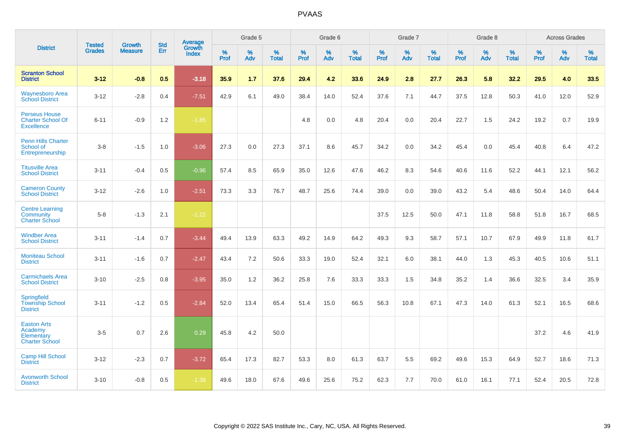|                                                                       | <b>Tested</b> | <b>Growth</b>  | <b>Std</b> | Average                |                     | Grade 5  |                   |              | Grade 6  |                   |              | Grade 7  |                   |              | Grade 8  |                   |           | <b>Across Grades</b> |                   |
|-----------------------------------------------------------------------|---------------|----------------|------------|------------------------|---------------------|----------|-------------------|--------------|----------|-------------------|--------------|----------|-------------------|--------------|----------|-------------------|-----------|----------------------|-------------------|
| <b>District</b>                                                       | <b>Grades</b> | <b>Measure</b> | Err        | Growth<br><b>Index</b> | $\%$<br><b>Prof</b> | %<br>Adv | %<br><b>Total</b> | $\%$<br>Prof | %<br>Adv | %<br><b>Total</b> | $\%$<br>Prof | %<br>Adv | %<br><b>Total</b> | $\%$<br>Prof | %<br>Adv | %<br><b>Total</b> | %<br>Prof | %<br>Adv             | %<br><b>Total</b> |
| <b>Scranton School</b><br><b>District</b>                             | $3 - 12$      | $-0.8$         | 0.5        | $-3.18$                | 35.9                | 1.7      | 37.6              | 29.4         | 4.2      | 33.6              | 24.9         | 2.8      | 27.7              | 26.3         | 5.8      | 32.2              | 29.5      | 4.0                  | 33.5              |
| <b>Waynesboro Area</b><br><b>School District</b>                      | $3 - 12$      | $-2.8$         | 0.4        | $-7.51$                | 42.9                | 6.1      | 49.0              | 38.4         | 14.0     | 52.4              | 37.6         | 7.1      | 44.7              | 37.5         | 12.8     | 50.3              | 41.0      | 12.0                 | 52.9              |
| <b>Perseus House</b><br><b>Charter School Of</b><br><b>Excellence</b> | $6 - 11$      | $-0.9$         | 1.2        | $-1.85$                |                     |          |                   | 4.8          | 0.0      | 4.8               | 20.4         | 0.0      | 20.4              | 22.7         | 1.5      | 24.2              | 19.2      | 0.7                  | 19.9              |
| <b>Penn Hills Charter</b><br>School of<br>Entrepreneurship            | $3-8$         | $-1.5$         | 1.0        | $-3.06$                | 27.3                | 0.0      | 27.3              | 37.1         | 8.6      | 45.7              | 34.2         | 0.0      | 34.2              | 45.4         | 0.0      | 45.4              | 40.8      | 6.4                  | 47.2              |
| <b>Titusville Area</b><br><b>School District</b>                      | $3 - 11$      | $-0.4$         | 0.5        | $-0.96$                | 57.4                | 8.5      | 65.9              | 35.0         | 12.6     | 47.6              | 46.2         | 8.3      | 54.6              | 40.6         | 11.6     | 52.2              | 44.1      | 12.1                 | 56.2              |
| <b>Cameron County</b><br><b>School District</b>                       | $3 - 12$      | $-2.6$         | 1.0        | $-2.51$                | 73.3                | 3.3      | 76.7              | 48.7         | 25.6     | 74.4              | 39.0         | 0.0      | 39.0              | 43.2         | 5.4      | 48.6              | 50.4      | 14.0                 | 64.4              |
| <b>Centre Learning</b><br>Community<br><b>Charter School</b>          | $5-8$         | $-1.3$         | 2.1        | $-1.22$                |                     |          |                   |              |          |                   | 37.5         | 12.5     | 50.0              | 47.1         | 11.8     | 58.8              | 51.8      | 16.7                 | 68.5              |
| <b>Windber Area</b><br><b>School District</b>                         | $3 - 11$      | $-1.4$         | 0.7        | $-3.44$                | 49.4                | 13.9     | 63.3              | 49.2         | 14.9     | 64.2              | 49.3         | 9.3      | 58.7              | 57.1         | 10.7     | 67.9              | 49.9      | 11.8                 | 61.7              |
| <b>Moniteau School</b><br><b>District</b>                             | $3 - 11$      | $-1.6$         | 0.7        | $-2.47$                | 43.4                | 7.2      | 50.6              | 33.3         | 19.0     | 52.4              | 32.1         | 6.0      | 38.1              | 44.0         | 1.3      | 45.3              | 40.5      | 10.6                 | 51.1              |
| <b>Carmichaels Area</b><br><b>School District</b>                     | $3 - 10$      | $-2.5$         | 0.8        | $-3.95$                | 35.0                | 1.2      | 36.2              | 25.8         | 7.6      | 33.3              | 33.3         | 1.5      | 34.8              | 35.2         | 1.4      | 36.6              | 32.5      | 3.4                  | 35.9              |
| Springfield<br><b>Township School</b><br><b>District</b>              | $3 - 11$      | $-1.2$         | 0.5        | $-2.84$                | 52.0                | 13.4     | 65.4              | 51.4         | 15.0     | 66.5              | 56.3         | 10.8     | 67.1              | 47.3         | 14.0     | 61.3              | 52.1      | 16.5                 | 68.6              |
| <b>Easton Arts</b><br>Academy<br>Elementary<br><b>Charter School</b>  | $3-5$         | 0.7            | 2.6        | 0.29                   | 45.8                | 4.2      | 50.0              |              |          |                   |              |          |                   |              |          |                   | 37.2      | 4.6                  | 41.9              |
| <b>Camp Hill School</b><br><b>District</b>                            | $3 - 12$      | $-2.3$         | 0.7        | $-3.72$                | 65.4                | 17.3     | 82.7              | 53.3         | 8.0      | 61.3              | 63.7         | 5.5      | 69.2              | 49.6         | 15.3     | 64.9              | 52.7      | 18.6                 | 71.3              |
| <b>Avonworth School</b><br><b>District</b>                            | $3 - 10$      | $-0.8$         | 0.5        | $-1.38$                | 49.6                | 18.0     | 67.6              | 49.6         | 25.6     | 75.2              | 62.3         | 7.7      | 70.0              | 61.0         | 16.1     | 77.1              | 52.4      | 20.5                 | 72.8              |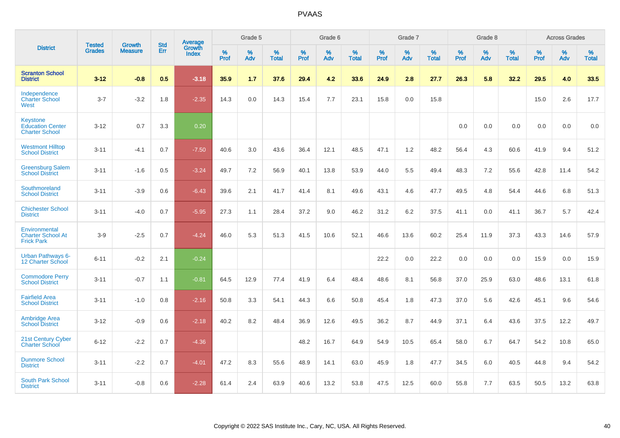|                                                                     | <b>Tested</b> | <b>Growth</b>  | <b>Std</b> | Average                       |           | Grade 5  |                   |           | Grade 6  |                   |           | Grade 7  |                   |           | Grade 8  |                   |           | <b>Across Grades</b> |                   |
|---------------------------------------------------------------------|---------------|----------------|------------|-------------------------------|-----------|----------|-------------------|-----------|----------|-------------------|-----------|----------|-------------------|-----------|----------|-------------------|-----------|----------------------|-------------------|
| <b>District</b>                                                     | <b>Grades</b> | <b>Measure</b> | <b>Err</b> | <b>Growth</b><br><b>Index</b> | %<br>Prof | %<br>Adv | %<br><b>Total</b> | %<br>Prof | %<br>Adv | %<br><b>Total</b> | %<br>Prof | %<br>Adv | %<br><b>Total</b> | %<br>Prof | %<br>Adv | %<br><b>Total</b> | %<br>Prof | %<br>Adv             | %<br><b>Total</b> |
| <b>Scranton School</b><br><b>District</b>                           | $3 - 12$      | $-0.8$         | 0.5        | $-3.18$                       | 35.9      | 1.7      | 37.6              | 29.4      | 4.2      | 33.6              | 24.9      | 2.8      | 27.7              | 26.3      | 5.8      | 32.2              | 29.5      | 4.0                  | 33.5              |
| Independence<br><b>Charter School</b><br>West                       | $3 - 7$       | $-3.2$         | 1.8        | $-2.35$                       | 14.3      | 0.0      | 14.3              | 15.4      | 7.7      | 23.1              | 15.8      | 0.0      | 15.8              |           |          |                   | 15.0      | 2.6                  | 17.7              |
| <b>Keystone</b><br><b>Education Center</b><br><b>Charter School</b> | $3 - 12$      | 0.7            | 3.3        | 0.20                          |           |          |                   |           |          |                   |           |          |                   | 0.0       | 0.0      | 0.0               | 0.0       | 0.0                  | 0.0               |
| <b>Westmont Hilltop</b><br><b>School District</b>                   | $3 - 11$      | $-4.1$         | 0.7        | $-7.50$                       | 40.6      | 3.0      | 43.6              | 36.4      | 12.1     | 48.5              | 47.1      | 1.2      | 48.2              | 56.4      | 4.3      | 60.6              | 41.9      | 9.4                  | 51.2              |
| <b>Greensburg Salem</b><br><b>School District</b>                   | $3 - 11$      | $-1.6$         | 0.5        | $-3.24$                       | 49.7      | 7.2      | 56.9              | 40.1      | 13.8     | 53.9              | 44.0      | 5.5      | 49.4              | 48.3      | 7.2      | 55.6              | 42.8      | 11.4                 | 54.2              |
| Southmoreland<br><b>School District</b>                             | $3 - 11$      | $-3.9$         | 0.6        | $-6.43$                       | 39.6      | 2.1      | 41.7              | 41.4      | 8.1      | 49.6              | 43.1      | 4.6      | 47.7              | 49.5      | 4.8      | 54.4              | 44.6      | 6.8                  | 51.3              |
| <b>Chichester School</b><br><b>District</b>                         | $3 - 11$      | $-4.0$         | 0.7        | $-5.95$                       | 27.3      | 1.1      | 28.4              | 37.2      | 9.0      | 46.2              | 31.2      | 6.2      | 37.5              | 41.1      | 0.0      | 41.1              | 36.7      | 5.7                  | 42.4              |
| Environmental<br><b>Charter School At</b><br><b>Frick Park</b>      | $3-9$         | $-2.5$         | 0.7        | $-4.24$                       | 46.0      | 5.3      | 51.3              | 41.5      | 10.6     | 52.1              | 46.6      | 13.6     | 60.2              | 25.4      | 11.9     | 37.3              | 43.3      | 14.6                 | 57.9              |
| <b>Urban Pathways 6-</b><br>12 Charter School                       | $6 - 11$      | $-0.2$         | 2.1        | $-0.24$                       |           |          |                   |           |          |                   | 22.2      | 0.0      | 22.2              | 0.0       | 0.0      | 0.0               | 15.9      | 0.0                  | 15.9              |
| <b>Commodore Perry</b><br><b>School District</b>                    | $3 - 11$      | $-0.7$         | 1.1        | $-0.81$                       | 64.5      | 12.9     | 77.4              | 41.9      | 6.4      | 48.4              | 48.6      | 8.1      | 56.8              | 37.0      | 25.9     | 63.0              | 48.6      | 13.1                 | 61.8              |
| <b>Fairfield Area</b><br><b>School District</b>                     | $3 - 11$      | $-1.0$         | 0.8        | $-2.16$                       | 50.8      | 3.3      | 54.1              | 44.3      | 6.6      | 50.8              | 45.4      | 1.8      | 47.3              | 37.0      | 5.6      | 42.6              | 45.1      | 9.6                  | 54.6              |
| <b>Ambridge Area</b><br><b>School District</b>                      | $3 - 12$      | $-0.9$         | 0.6        | $-2.18$                       | 40.2      | 8.2      | 48.4              | 36.9      | 12.6     | 49.5              | 36.2      | 8.7      | 44.9              | 37.1      | 6.4      | 43.6              | 37.5      | 12.2                 | 49.7              |
| <b>21st Century Cyber</b><br><b>Charter School</b>                  | $6 - 12$      | $-2.2$         | 0.7        | $-4.36$                       |           |          |                   | 48.2      | 16.7     | 64.9              | 54.9      | 10.5     | 65.4              | 58.0      | 6.7      | 64.7              | 54.2      | 10.8                 | 65.0              |
| <b>Dunmore School</b><br><b>District</b>                            | $3 - 11$      | $-2.2$         | 0.7        | $-4.01$                       | 47.2      | 8.3      | 55.6              | 48.9      | 14.1     | 63.0              | 45.9      | 1.8      | 47.7              | 34.5      | 6.0      | 40.5              | 44.8      | 9.4                  | 54.2              |
| <b>South Park School</b><br><b>District</b>                         | $3 - 11$      | $-0.8$         | 0.6        | $-2.28$                       | 61.4      | 2.4      | 63.9              | 40.6      | 13.2     | 53.8              | 47.5      | 12.5     | 60.0              | 55.8      | 7.7      | 63.5              | 50.5      | 13.2                 | 63.8              |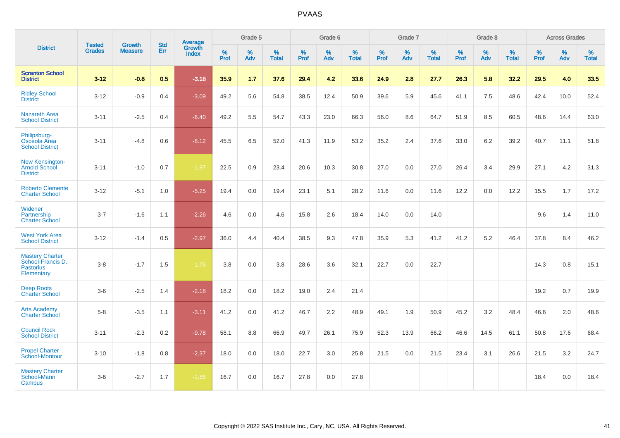|                                                                               |                                |                                 | <b>Std</b> | Average                |              | Grade 5  |                   |              | Grade 6  |                   |           | Grade 7  |                   |           | Grade 8  |                   |           | <b>Across Grades</b> |                   |
|-------------------------------------------------------------------------------|--------------------------------|---------------------------------|------------|------------------------|--------------|----------|-------------------|--------------|----------|-------------------|-----------|----------|-------------------|-----------|----------|-------------------|-----------|----------------------|-------------------|
| <b>District</b>                                                               | <b>Tested</b><br><b>Grades</b> | <b>Growth</b><br><b>Measure</b> | Err        | Growth<br><b>Index</b> | $\%$<br>Prof | %<br>Adv | %<br><b>Total</b> | $\%$<br>Prof | %<br>Adv | %<br><b>Total</b> | %<br>Prof | %<br>Adv | %<br><b>Total</b> | %<br>Prof | %<br>Adv | %<br><b>Total</b> | %<br>Prof | %<br>Adv             | %<br><b>Total</b> |
| <b>Scranton School</b><br><b>District</b>                                     | $3 - 12$                       | $-0.8$                          | 0.5        | $-3.18$                | 35.9         | 1.7      | 37.6              | 29.4         | 4.2      | 33.6              | 24.9      | 2.8      | 27.7              | 26.3      | 5.8      | 32.2              | 29.5      | 4.0                  | 33.5              |
| <b>Ridley School</b><br><b>District</b>                                       | $3 - 12$                       | $-0.9$                          | 0.4        | $-3.09$                | 49.2         | 5.6      | 54.8              | 38.5         | 12.4     | 50.9              | 39.6      | 5.9      | 45.6              | 41.1      | 7.5      | 48.6              | 42.4      | 10.0                 | 52.4              |
| <b>Nazareth Area</b><br><b>School District</b>                                | $3 - 11$                       | $-2.5$                          | 0.4        | $-6.40$                | 49.2         | 5.5      | 54.7              | 43.3         | 23.0     | 66.3              | 56.0      | 8.6      | 64.7              | 51.9      | 8.5      | 60.5              | 48.6      | 14.4                 | 63.0              |
| Philipsburg-<br>Osceola Area<br><b>School District</b>                        | $3 - 11$                       | $-4.8$                          | 0.6        | $-8.12$                | 45.5         | 6.5      | 52.0              | 41.3         | 11.9     | 53.2              | 35.2      | 2.4      | 37.6              | 33.0      | 6.2      | 39.2              | 40.7      | 11.1                 | 51.8              |
| New Kensington-<br><b>Arnold School</b><br><b>District</b>                    | $3 - 11$                       | $-1.0$                          | 0.7        | $-1.97$                | 22.5         | 0.9      | 23.4              | 20.6         | 10.3     | 30.8              | 27.0      | 0.0      | 27.0              | 26.4      | 3.4      | 29.9              | 27.1      | 4.2                  | 31.3              |
| <b>Roberto Clemente</b><br><b>Charter School</b>                              | $3 - 12$                       | $-5.1$                          | 1.0        | $-5.25$                | 19.4         | 0.0      | 19.4              | 23.1         | 5.1      | 28.2              | 11.6      | 0.0      | 11.6              | 12.2      | 0.0      | 12.2              | 15.5      | 1.7                  | 17.2              |
| Widener<br>Partnership<br><b>Charter School</b>                               | $3 - 7$                        | $-1.6$                          | 1.1        | $-2.26$                | 4.6          | 0.0      | 4.6               | 15.8         | 2.6      | 18.4              | 14.0      | 0.0      | 14.0              |           |          |                   | 9.6       | 1.4                  | 11.0              |
| <b>West York Area</b><br><b>School District</b>                               | $3 - 12$                       | $-1.4$                          | 0.5        | $-2.97$                | 36.0         | 4.4      | 40.4              | 38.5         | 9.3      | 47.8              | 35.9      | 5.3      | 41.2              | 41.2      | 5.2      | 46.4              | 37.8      | 8.4                  | 46.2              |
| <b>Mastery Charter</b><br>School-Francis D.<br><b>Pastorius</b><br>Elementary | $3-8$                          | $-1.7$                          | 1.5        | $-1.76$                | 3.8          | 0.0      | 3.8               | 28.6         | 3.6      | 32.1              | 22.7      | 0.0      | 22.7              |           |          |                   | 14.3      | 0.8                  | 15.1              |
| <b>Deep Roots</b><br><b>Charter School</b>                                    | $3-6$                          | $-2.5$                          | 1.4        | $-2.18$                | 18.2         | 0.0      | 18.2              | 19.0         | 2.4      | 21.4              |           |          |                   |           |          |                   | 19.2      | 0.7                  | 19.9              |
| <b>Arts Academy</b><br><b>Charter School</b>                                  | $5-8$                          | $-3.5$                          | 1.1        | $-3.11$                | 41.2         | 0.0      | 41.2              | 46.7         | 2.2      | 48.9              | 49.1      | 1.9      | 50.9              | 45.2      | 3.2      | 48.4              | 46.6      | 2.0                  | 48.6              |
| <b>Council Rock</b><br><b>School District</b>                                 | $3 - 11$                       | $-2.3$                          | 0.2        | $-9.78$                | 58.1         | 8.8      | 66.9              | 49.7         | 26.1     | 75.9              | 52.3      | 13.9     | 66.2              | 46.6      | 14.5     | 61.1              | 50.8      | 17.6                 | 68.4              |
| <b>Propel Charter</b><br><b>School-Montour</b>                                | $3 - 10$                       | $-1.8$                          | 0.8        | $-2.37$                | 18.0         | 0.0      | 18.0              | 22.7         | 3.0      | 25.8              | 21.5      | 0.0      | 21.5              | 23.4      | 3.1      | 26.6              | 21.5      | 3.2                  | 24.7              |
| <b>Mastery Charter</b><br>School-Mann<br>Campus                               | $3-6$                          | $-2.7$                          | 1.7        | $-1.86$                | 16.7         | 0.0      | 16.7              | 27.8         | 0.0      | 27.8              |           |          |                   |           |          |                   | 18.4      | 0.0                  | 18.4              |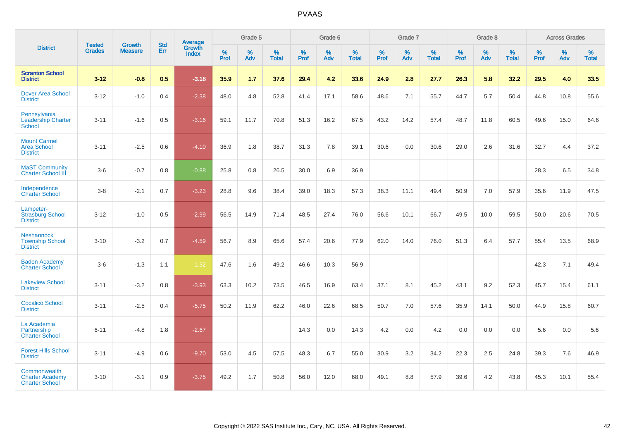|                                                                 |                                |                                 | <b>Std</b> | Average                |              | Grade 5  |                   |              | Grade 6  |                   |              | Grade 7  |                   |                     | Grade 8  |                   |              | <b>Across Grades</b> |                   |
|-----------------------------------------------------------------|--------------------------------|---------------------------------|------------|------------------------|--------------|----------|-------------------|--------------|----------|-------------------|--------------|----------|-------------------|---------------------|----------|-------------------|--------------|----------------------|-------------------|
| <b>District</b>                                                 | <b>Tested</b><br><b>Grades</b> | <b>Growth</b><br><b>Measure</b> | Err        | Growth<br><b>Index</b> | $\%$<br>Prof | %<br>Adv | %<br><b>Total</b> | $\%$<br>Prof | %<br>Adv | %<br><b>Total</b> | $\%$<br>Prof | %<br>Adv | %<br><b>Total</b> | $\%$<br><b>Prof</b> | %<br>Adv | %<br><b>Total</b> | $\%$<br>Prof | %<br>Adv             | %<br><b>Total</b> |
| <b>Scranton School</b><br><b>District</b>                       | $3 - 12$                       | $-0.8$                          | 0.5        | $-3.18$                | 35.9         | 1.7      | 37.6              | 29.4         | 4.2      | 33.6              | 24.9         | 2.8      | 27.7              | 26.3                | 5.8      | 32.2              | 29.5         | 4.0                  | 33.5              |
| <b>Dover Area School</b><br><b>District</b>                     | $3 - 12$                       | $-1.0$                          | 0.4        | $-2.38$                | 48.0         | 4.8      | 52.8              | 41.4         | 17.1     | 58.6              | 48.6         | 7.1      | 55.7              | 44.7                | 5.7      | 50.4              | 44.8         | 10.8                 | 55.6              |
| Pennsylvania<br><b>Leadership Charter</b><br><b>School</b>      | $3 - 11$                       | $-1.6$                          | 0.5        | $-3.16$                | 59.1         | 11.7     | 70.8              | 51.3         | 16.2     | 67.5              | 43.2         | 14.2     | 57.4              | 48.7                | 11.8     | 60.5              | 49.6         | 15.0                 | 64.6              |
| <b>Mount Carmel</b><br><b>Area School</b><br><b>District</b>    | $3 - 11$                       | $-2.5$                          | 0.6        | $-4.10$                | 36.9         | 1.8      | 38.7              | 31.3         | 7.8      | 39.1              | 30.6         | 0.0      | 30.6              | 29.0                | 2.6      | 31.6              | 32.7         | 4.4                  | 37.2              |
| <b>MaST Community</b><br><b>Charter School III</b>              | $3-6$                          | $-0.7$                          | 0.8        | $-0.88$                | 25.8         | 0.8      | 26.5              | 30.0         | 6.9      | 36.9              |              |          |                   |                     |          |                   | 28.3         | 6.5                  | 34.8              |
| Independence<br><b>Charter School</b>                           | $3 - 8$                        | $-2.1$                          | 0.7        | $-3.23$                | 28.8         | 9.6      | 38.4              | 39.0         | 18.3     | 57.3              | 38.3         | 11.1     | 49.4              | 50.9                | 7.0      | 57.9              | 35.6         | 11.9                 | 47.5              |
| Lampeter-<br><b>Strasburg School</b><br><b>District</b>         | $3 - 12$                       | $-1.0$                          | 0.5        | $-2.99$                | 56.5         | 14.9     | 71.4              | 48.5         | 27.4     | 76.0              | 56.6         | 10.1     | 66.7              | 49.5                | 10.0     | 59.5              | 50.0         | 20.6                 | 70.5              |
| <b>Neshannock</b><br><b>Township School</b><br><b>District</b>  | $3 - 10$                       | $-3.2$                          | 0.7        | $-4.59$                | 56.7         | 8.9      | 65.6              | 57.4         | 20.6     | 77.9              | 62.0         | 14.0     | 76.0              | 51.3                | 6.4      | 57.7              | 55.4         | 13.5                 | 68.9              |
| <b>Baden Academy</b><br><b>Charter School</b>                   | $3-6$                          | $-1.3$                          | 1.1        | $-1.32$                | 47.6         | 1.6      | 49.2              | 46.6         | 10.3     | 56.9              |              |          |                   |                     |          |                   | 42.3         | 7.1                  | 49.4              |
| <b>Lakeview School</b><br><b>District</b>                       | $3 - 11$                       | $-3.2$                          | 0.8        | $-3.93$                | 63.3         | 10.2     | 73.5              | 46.5         | 16.9     | 63.4              | 37.1         | 8.1      | 45.2              | 43.1                | 9.2      | 52.3              | 45.7         | 15.4                 | 61.1              |
| <b>Cocalico School</b><br><b>District</b>                       | $3 - 11$                       | $-2.5$                          | 0.4        | $-5.75$                | 50.2         | 11.9     | 62.2              | 46.0         | 22.6     | 68.5              | 50.7         | 7.0      | 57.6              | 35.9                | 14.1     | 50.0              | 44.9         | 15.8                 | 60.7              |
| La Academia<br>Partnership<br><b>Charter School</b>             | $6 - 11$                       | -4.8                            | 1.8        | $-2.67$                |              |          |                   | 14.3         | 0.0      | 14.3              | 4.2          | 0.0      | 4.2               | 0.0                 | 0.0      | 0.0               | 5.6          | 0.0                  | 5.6               |
| <b>Forest Hills School</b><br><b>District</b>                   | $3 - 11$                       | $-4.9$                          | 0.6        | $-9.70$                | 53.0         | 4.5      | 57.5              | 48.3         | 6.7      | 55.0              | 30.9         | 3.2      | 34.2              | 22.3                | 2.5      | 24.8              | 39.3         | 7.6                  | 46.9              |
| Commonwealth<br><b>Charter Academy</b><br><b>Charter School</b> | $3 - 10$                       | $-3.1$                          | 0.9        | $-3.75$                | 49.2         | 1.7      | 50.8              | 56.0         | 12.0     | 68.0              | 49.1         | 8.8      | 57.9              | 39.6                | 4.2      | 43.8              | 45.3         | 10.1                 | 55.4              |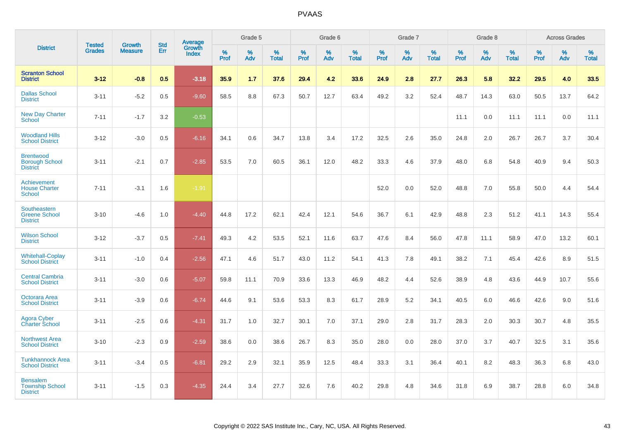|                                                              |                                |                                 | <b>Std</b> | <b>Average</b>         |           | Grade 5  |                   |           | Grade 6  |                   |           | Grade 7  |                   |           | Grade 8  |                   |           | <b>Across Grades</b> |                   |
|--------------------------------------------------------------|--------------------------------|---------------------------------|------------|------------------------|-----------|----------|-------------------|-----------|----------|-------------------|-----------|----------|-------------------|-----------|----------|-------------------|-----------|----------------------|-------------------|
| <b>District</b>                                              | <b>Tested</b><br><b>Grades</b> | <b>Growth</b><br><b>Measure</b> | Err        | Growth<br><b>Index</b> | %<br>Prof | %<br>Adv | %<br><b>Total</b> | %<br>Prof | %<br>Adv | %<br><b>Total</b> | %<br>Prof | %<br>Adv | %<br><b>Total</b> | %<br>Prof | %<br>Adv | %<br><b>Total</b> | %<br>Prof | %<br>Adv             | %<br><b>Total</b> |
| <b>Scranton School</b><br><b>District</b>                    | $3 - 12$                       | $-0.8$                          | 0.5        | $-3.18$                | 35.9      | 1.7      | 37.6              | 29.4      | 4.2      | 33.6              | 24.9      | 2.8      | 27.7              | 26.3      | 5.8      | 32.2              | 29.5      | 4.0                  | 33.5              |
| <b>Dallas School</b><br><b>District</b>                      | $3 - 11$                       | $-5.2$                          | 0.5        | $-9.60$                | 58.5      | 8.8      | 67.3              | 50.7      | 12.7     | 63.4              | 49.2      | 3.2      | 52.4              | 48.7      | 14.3     | 63.0              | 50.5      | 13.7                 | 64.2              |
| <b>New Day Charter</b><br>School                             | $7 - 11$                       | $-1.7$                          | 3.2        | $-0.53$                |           |          |                   |           |          |                   |           |          |                   | 11.1      | 0.0      | 11.1              | 11.1      | 0.0                  | 11.1              |
| <b>Woodland Hills</b><br><b>School District</b>              | $3 - 12$                       | $-3.0$                          | 0.5        | $-6.16$                | 34.1      | 0.6      | 34.7              | 13.8      | 3.4      | 17.2              | 32.5      | 2.6      | 35.0              | 24.8      | 2.0      | 26.7              | 26.7      | 3.7                  | 30.4              |
| <b>Brentwood</b><br><b>Borough School</b><br><b>District</b> | $3 - 11$                       | $-2.1$                          | 0.7        | $-2.85$                | 53.5      | 7.0      | 60.5              | 36.1      | 12.0     | 48.2              | 33.3      | 4.6      | 37.9              | 48.0      | 6.8      | 54.8              | 40.9      | 9.4                  | 50.3              |
| <b>Achievement</b><br><b>House Charter</b><br><b>School</b>  | $7 - 11$                       | $-3.1$                          | 1.6        | $-1.91$                |           |          |                   |           |          |                   | 52.0      | 0.0      | 52.0              | 48.8      | 7.0      | 55.8              | 50.0      | 4.4                  | 54.4              |
| Southeastern<br><b>Greene School</b><br><b>District</b>      | $3 - 10$                       | $-4.6$                          | 1.0        | $-4.40$                | 44.8      | 17.2     | 62.1              | 42.4      | 12.1     | 54.6              | 36.7      | 6.1      | 42.9              | 48.8      | 2.3      | 51.2              | 41.1      | 14.3                 | 55.4              |
| <b>Wilson School</b><br><b>District</b>                      | $3 - 12$                       | $-3.7$                          | 0.5        | $-7.41$                | 49.3      | 4.2      | 53.5              | 52.1      | 11.6     | 63.7              | 47.6      | 8.4      | 56.0              | 47.8      | 11.1     | 58.9              | 47.0      | 13.2                 | 60.1              |
| <b>Whitehall-Coplay</b><br><b>School District</b>            | $3 - 11$                       | $-1.0$                          | 0.4        | $-2.56$                | 47.1      | 4.6      | 51.7              | 43.0      | 11.2     | 54.1              | 41.3      | 7.8      | 49.1              | 38.2      | 7.1      | 45.4              | 42.6      | 8.9                  | 51.5              |
| <b>Central Cambria</b><br><b>School District</b>             | $3 - 11$                       | $-3.0$                          | 0.6        | $-5.07$                | 59.8      | 11.1     | 70.9              | 33.6      | 13.3     | 46.9              | 48.2      | 4.4      | 52.6              | 38.9      | 4.8      | 43.6              | 44.9      | 10.7                 | 55.6              |
| Octorara Area<br><b>School District</b>                      | $3 - 11$                       | $-3.9$                          | 0.6        | $-6.74$                | 44.6      | 9.1      | 53.6              | 53.3      | 8.3      | 61.7              | 28.9      | 5.2      | 34.1              | 40.5      | 6.0      | 46.6              | 42.6      | 9.0                  | 51.6              |
| Agora Cyber<br>Charter School                                | $3 - 11$                       | $-2.5$                          | 0.6        | $-4.31$                | 31.7      | 1.0      | 32.7              | 30.1      | 7.0      | 37.1              | 29.0      | 2.8      | 31.7              | 28.3      | 2.0      | 30.3              | 30.7      | 4.8                  | 35.5              |
| <b>Northwest Area</b><br><b>School District</b>              | $3 - 10$                       | $-2.3$                          | 0.9        | $-2.59$                | 38.6      | 0.0      | 38.6              | 26.7      | 8.3      | 35.0              | 28.0      | 0.0      | 28.0              | 37.0      | 3.7      | 40.7              | 32.5      | 3.1                  | 35.6              |
| <b>Tunkhannock Area</b><br><b>School District</b>            | $3 - 11$                       | $-3.4$                          | 0.5        | $-6.81$                | 29.2      | 2.9      | 32.1              | 35.9      | 12.5     | 48.4              | 33.3      | 3.1      | 36.4              | 40.1      | 8.2      | 48.3              | 36.3      | 6.8                  | 43.0              |
| <b>Bensalem</b><br><b>Township School</b><br><b>District</b> | $3 - 11$                       | $-1.5$                          | 0.3        | $-4.35$                | 24.4      | 3.4      | 27.7              | 32.6      | 7.6      | 40.2              | 29.8      | 4.8      | 34.6              | 31.8      | 6.9      | 38.7              | 28.8      | 6.0                  | 34.8              |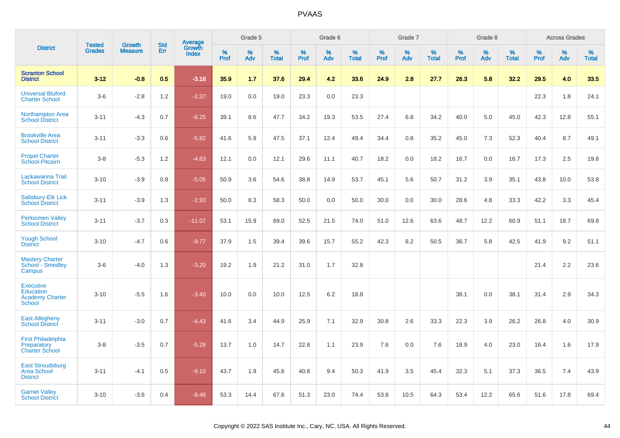|                                                                          | <b>Tested</b> | <b>Growth</b>  | <b>Std</b> | Average         |           | Grade 5  |                   |           | Grade 6  |                   |           | Grade 7  |                   |           | Grade 8  |                   |              | <b>Across Grades</b> |                   |
|--------------------------------------------------------------------------|---------------|----------------|------------|-----------------|-----------|----------|-------------------|-----------|----------|-------------------|-----------|----------|-------------------|-----------|----------|-------------------|--------------|----------------------|-------------------|
| <b>District</b>                                                          | <b>Grades</b> | <b>Measure</b> | Err        | Growth<br>Index | %<br>Prof | %<br>Adv | %<br><b>Total</b> | %<br>Prof | %<br>Adv | %<br><b>Total</b> | %<br>Prof | %<br>Adv | %<br><b>Total</b> | %<br>Prof | %<br>Adv | %<br><b>Total</b> | $\%$<br>Prof | %<br>Adv             | %<br><b>Total</b> |
| <b>Scranton School</b><br><b>District</b>                                | $3 - 12$      | $-0.8$         | 0.5        | $-3.18$         | 35.9      | 1.7      | 37.6              | 29.4      | 4.2      | 33.6              | 24.9      | 2.8      | 27.7              | 26.3      | 5.8      | 32.2              | 29.5         | 4.0                  | 33.5              |
| <b>Universal Bluford</b><br><b>Charter School</b>                        | $3-6$         | $-2.8$         | 1.2        | $-2.37$         | 19.0      | 0.0      | 19.0              | 23.3      | 0.0      | 23.3              |           |          |                   |           |          |                   | 22.3         | 1.8                  | 24.1              |
| <b>Northampton Area</b><br><b>School District</b>                        | $3 - 11$      | $-4.3$         | 0.7        | $-6.25$         | 39.1      | 8.6      | 47.7              | 34.2      | 19.3     | 53.5              | 27.4      | 6.8      | 34.2              | 40.0      | 5.0      | 45.0              | 42.3         | 12.8                 | 55.1              |
| <b>Brookville Area</b><br><b>School District</b>                         | $3 - 11$      | $-3.3$         | 0.6        | $-5.82$         | 41.6      | 5.9      | 47.5              | 37.1      | 12.4     | 49.4              | 34.4      | 0.8      | 35.2              | 45.0      | 7.3      | 52.3              | 40.4         | 8.7                  | 49.1              |
| <b>Propel Charter</b><br>School-Pitcairn                                 | $3 - 8$       | $-5.3$         | 1.2        | $-4.63$         | 12.1      | 0.0      | 12.1              | 29.6      | 11.1     | 40.7              | 18.2      | 0.0      | 18.2              | 16.7      | 0.0      | 16.7              | 17.3         | 2.5                  | 19.8              |
| Lackawanna Trail<br><b>School District</b>                               | $3 - 10$      | $-3.9$         | 0.8        | $-5.05$         | 50.9      | 3.6      | 54.6              | 38.8      | 14.9     | 53.7              | 45.1      | 5.6      | 50.7              | 31.2      | 3.9      | 35.1              | 43.8         | 10.0                 | 53.8              |
| Salisbury-Elk Lick<br><b>School District</b>                             | $3 - 11$      | $-3.9$         | 1.3        | $-2.93$         | 50.0      | 8.3      | 58.3              | 50.0      | 0.0      | 50.0              | 30.0      | 0.0      | 30.0              | 28.6      | 4.8      | 33.3              | 42.2         | 3.3                  | 45.4              |
| <b>Perkiomen Valley</b><br><b>School District</b>                        | $3 - 11$      | $-3.7$         | 0.3        | $-11.07$        | 53.1      | 15.9     | 69.0              | 52.5      | 21.5     | 74.0              | 51.0      | 12.6     | 63.6              | 48.7      | 12.2     | 60.9              | 51.1         | 18.7                 | 69.8              |
| <b>Yough School</b><br><b>District</b>                                   | $3 - 10$      | $-4.7$         | 0.6        | $-9.77$         | 37.9      | 1.5      | 39.4              | 39.6      | 15.7     | 55.2              | 42.3      | 8.2      | 50.5              | 36.7      | 5.8      | 42.5              | 41.9         | 9.2                  | 51.1              |
| <b>Mastery Charter</b><br>School - Smedley<br>Campus                     | $3-6$         | $-4.0$         | 1.3        | $-3.20$         | 19.2      | 1.9      | 21.2              | 31.0      | 1.7      | 32.8              |           |          |                   |           |          |                   | 21.4         | 2.2                  | 23.6              |
| <b>Executive</b><br>Education<br><b>Academy Charter</b><br><b>School</b> | $3 - 10$      | $-5.5$         | 1.6        | $-3.40$         | 10.0      | 0.0      | 10.0              | 12.5      | 6.2      | 18.8              |           |          |                   | 38.1      | 0.0      | 38.1              | 31.4         | 2.9                  | 34.3              |
| <b>East Allegheny</b><br><b>School District</b>                          | $3 - 11$      | $-3.0$         | 0.7        | $-4.43$         | 41.6      | 3.4      | 44.9              | 25.9      | 7.1      | 32.9              | 30.8      | 2.6      | 33.3              | 22.3      | 3.9      | 26.2              | 26.8         | 4.0                  | 30.9              |
| <b>First Philadelphia</b><br>Preparatory<br><b>Charter School</b>        | $3-8$         | $-3.5$         | 0.7        | $-5.28$         | 13.7      | 1.0      | 14.7              | 22.8      | 1.1      | 23.9              | 7.6       | 0.0      | 7.6               | 18.9      | 4.0      | 23.0              | 16.4         | 1.6                  | 17.9              |
| <b>East Stroudsburg</b><br><b>Area School</b><br><b>District</b>         | $3 - 11$      | $-4.1$         | 0.5        | $-9.10$         | 43.7      | 1.9      | 45.6              | 40.8      | 9.4      | 50.3              | 41.9      | 3.5      | 45.4              | 32.3      | 5.1      | 37.3              | 36.5         | 7.4                  | 43.9              |
| <b>Garnet Valley</b><br><b>School District</b>                           | $3 - 10$      | $-3.6$         | 0.4        | $-9.46$         | 53.3      | 14.4     | 67.6              | 51.3      | 23.0     | 74.4              | 53.8      | 10.5     | 64.3              | 53.4      | 12.2     | 65.6              | 51.6         | 17.8                 | 69.4              |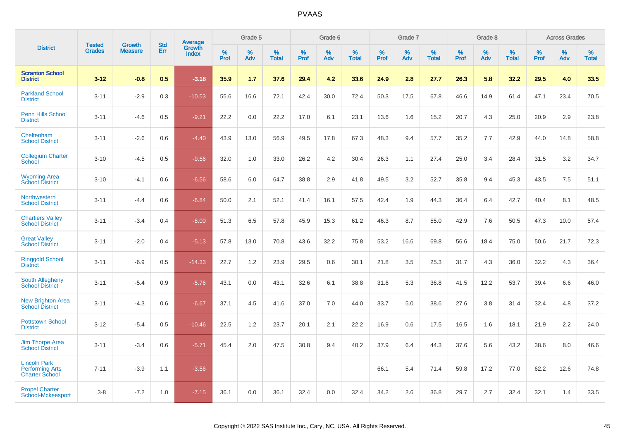|                                                                        |                                | <b>Growth</b>  | <b>Std</b> | Average                |              | Grade 5     |                      |              | Grade 6     |                      |              | Grade 7     |                      |              | Grade 8     |                   |                     | <b>Across Grades</b> |                      |
|------------------------------------------------------------------------|--------------------------------|----------------|------------|------------------------|--------------|-------------|----------------------|--------------|-------------|----------------------|--------------|-------------|----------------------|--------------|-------------|-------------------|---------------------|----------------------|----------------------|
| <b>District</b>                                                        | <b>Tested</b><br><b>Grades</b> | <b>Measure</b> | Err        | Growth<br><b>Index</b> | $\%$<br>Prof | $\%$<br>Adv | $\%$<br><b>Total</b> | $\%$<br>Prof | $\%$<br>Adv | $\%$<br><b>Total</b> | $\%$<br>Prof | $\%$<br>Adv | $\%$<br><b>Total</b> | $\%$<br>Prof | $\%$<br>Adv | %<br><b>Total</b> | $\%$<br><b>Prof</b> | $\%$<br>Adv          | $\%$<br><b>Total</b> |
| <b>Scranton School</b><br><b>District</b>                              | $3 - 12$                       | $-0.8$         | 0.5        | $-3.18$                | 35.9         | 1.7         | 37.6                 | 29.4         | 4.2         | 33.6                 | 24.9         | 2.8         | 27.7                 | 26.3         | 5.8         | 32.2              | 29.5                | 4.0                  | 33.5                 |
| <b>Parkland School</b><br><b>District</b>                              | $3 - 11$                       | $-2.9$         | 0.3        | $-10.53$               | 55.6         | 16.6        | 72.1                 | 42.4         | 30.0        | 72.4                 | 50.3         | 17.5        | 67.8                 | 46.6         | 14.9        | 61.4              | 47.1                | 23.4                 | 70.5                 |
| <b>Penn Hills School</b><br><b>District</b>                            | $3 - 11$                       | $-4.6$         | 0.5        | $-9.21$                | 22.2         | 0.0         | 22.2                 | 17.0         | 6.1         | 23.1                 | 13.6         | 1.6         | 15.2                 | 20.7         | 4.3         | 25.0              | 20.9                | 2.9                  | 23.8                 |
| Cheltenham<br><b>School District</b>                                   | $3 - 11$                       | $-2.6$         | 0.6        | $-4.40$                | 43.9         | 13.0        | 56.9                 | 49.5         | 17.8        | 67.3                 | 48.3         | 9.4         | 57.7                 | 35.2         | 7.7         | 42.9              | 44.0                | 14.8                 | 58.8                 |
| <b>Collegium Charter</b><br>School                                     | $3 - 10$                       | $-4.5$         | 0.5        | $-9.56$                | 32.0         | 1.0         | 33.0                 | 26.2         | 4.2         | 30.4                 | 26.3         | 1.1         | 27.4                 | 25.0         | 3.4         | 28.4              | 31.5                | 3.2                  | 34.7                 |
| <b>Wyoming Area</b><br><b>School District</b>                          | $3 - 10$                       | $-4.1$         | 0.6        | $-6.56$                | 58.6         | 6.0         | 64.7                 | 38.8         | 2.9         | 41.8                 | 49.5         | 3.2         | 52.7                 | 35.8         | 9.4         | 45.3              | 43.5                | 7.5                  | 51.1                 |
| Northwestern<br><b>School District</b>                                 | $3 - 11$                       | $-4.4$         | 0.6        | $-6.84$                | 50.0         | 2.1         | 52.1                 | 41.4         | 16.1        | 57.5                 | 42.4         | 1.9         | 44.3                 | 36.4         | 6.4         | 42.7              | 40.4                | 8.1                  | 48.5                 |
| <b>Chartiers Valley</b><br><b>School District</b>                      | $3 - 11$                       | $-3.4$         | 0.4        | $-8.00$                | 51.3         | 6.5         | 57.8                 | 45.9         | 15.3        | 61.2                 | 46.3         | 8.7         | 55.0                 | 42.9         | 7.6         | 50.5              | 47.3                | 10.0                 | 57.4                 |
| <b>Great Valley</b><br><b>School District</b>                          | $3 - 11$                       | $-2.0$         | 0.4        | $-5.13$                | 57.8         | 13.0        | 70.8                 | 43.6         | 32.2        | 75.8                 | 53.2         | 16.6        | 69.8                 | 56.6         | 18.4        | 75.0              | 50.6                | 21.7                 | 72.3                 |
| <b>Ringgold School</b><br><b>District</b>                              | $3 - 11$                       | $-6.9$         | 0.5        | $-14.33$               | 22.7         | 1.2         | 23.9                 | 29.5         | 0.6         | 30.1                 | 21.8         | 3.5         | 25.3                 | 31.7         | 4.3         | 36.0              | 32.2                | 4.3                  | 36.4                 |
| South Allegheny<br><b>School District</b>                              | $3 - 11$                       | $-5.4$         | 0.9        | $-5.76$                | 43.1         | 0.0         | 43.1                 | 32.6         | 6.1         | 38.8                 | 31.6         | 5.3         | 36.8                 | 41.5         | 12.2        | 53.7              | 39.4                | 6.6                  | 46.0                 |
| <b>New Brighton Area</b><br><b>School District</b>                     | $3 - 11$                       | $-4.3$         | 0.6        | $-6.67$                | 37.1         | 4.5         | 41.6                 | 37.0         | 7.0         | 44.0                 | 33.7         | 5.0         | 38.6                 | 27.6         | 3.8         | 31.4              | 32.4                | 4.8                  | 37.2                 |
| <b>Pottstown School</b><br><b>District</b>                             | $3 - 12$                       | $-5.4$         | 0.5        | $-10.46$               | 22.5         | 1.2         | 23.7                 | 20.1         | 2.1         | 22.2                 | 16.9         | 0.6         | 17.5                 | 16.5         | 1.6         | 18.1              | 21.9                | 2.2                  | 24.0                 |
| <b>Jim Thorpe Area</b><br><b>School District</b>                       | $3 - 11$                       | $-3.4$         | 0.6        | $-5.71$                | 45.4         | 2.0         | 47.5                 | 30.8         | 9.4         | 40.2                 | 37.9         | 6.4         | 44.3                 | 37.6         | 5.6         | 43.2              | 38.6                | 8.0                  | 46.6                 |
| <b>Lincoln Park</b><br><b>Performing Arts</b><br><b>Charter School</b> | $7 - 11$                       | $-3.9$         | 1.1        | $-3.56$                |              |             |                      |              |             |                      | 66.1         | 5.4         | 71.4                 | 59.8         | 17.2        | 77.0              | 62.2                | 12.6                 | 74.8                 |
| <b>Propel Charter</b><br>School-Mckeesport                             | $3 - 8$                        | $-7.2$         | 1.0        | $-7.15$                | 36.1         | 0.0         | 36.1                 | 32.4         | 0.0         | 32.4                 | 34.2         | 2.6         | 36.8                 | 29.7         | 2.7         | 32.4              | 32.1                | 1.4                  | 33.5                 |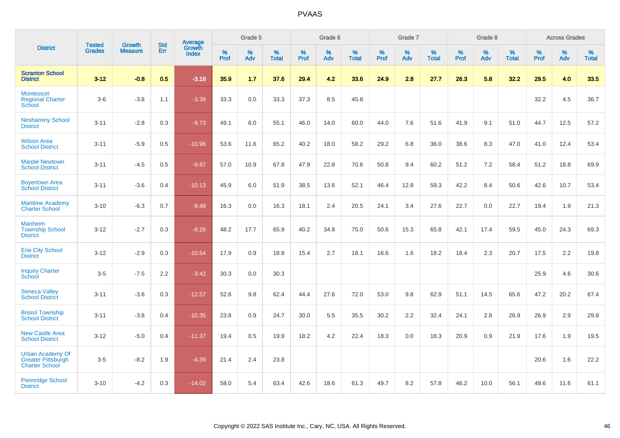|                                                                               | <b>Tested</b> | <b>Growth</b>  | <b>Std</b> | Average                |              | Grade 5  |                   |           | Grade 6  |                   |           | Grade 7  |                   |           | Grade 8  |                   |           | <b>Across Grades</b> |                   |
|-------------------------------------------------------------------------------|---------------|----------------|------------|------------------------|--------------|----------|-------------------|-----------|----------|-------------------|-----------|----------|-------------------|-----------|----------|-------------------|-----------|----------------------|-------------------|
| <b>District</b>                                                               | <b>Grades</b> | <b>Measure</b> | Err        | Growth<br><b>Index</b> | $\%$<br>Prof | %<br>Adv | %<br><b>Total</b> | %<br>Prof | %<br>Adv | %<br><b>Total</b> | %<br>Prof | %<br>Adv | %<br><b>Total</b> | %<br>Prof | %<br>Adv | %<br><b>Total</b> | %<br>Prof | %<br>Adv             | %<br><b>Total</b> |
| <b>Scranton School</b><br><b>District</b>                                     | $3 - 12$      | $-0.8$         | 0.5        | $-3.18$                | 35.9         | 1.7      | 37.6              | 29.4      | 4.2      | 33.6              | 24.9      | 2.8      | 27.7              | 26.3      | 5.8      | 32.2              | 29.5      | 4.0                  | 33.5              |
| Montessori<br><b>Regional Charter</b><br>School                               | $3-6$         | $-3.8$         | 1.1        | $-3.39$                | 33.3         | $0.0\,$  | 33.3              | 37.3      | 8.5      | 45.8              |           |          |                   |           |          |                   | 32.2      | 4.5                  | 36.7              |
| <b>Neshaminy School</b><br><b>District</b>                                    | $3 - 11$      | $-2.8$         | 0.3        | $-9.73$                | 49.1         | 6.0      | 55.1              | 46.0      | 14.0     | 60.0              | 44.0      | 7.6      | 51.6              | 41.9      | 9.1      | 51.0              | 44.7      | 12.5                 | 57.2              |
| <b>Wilson Area</b><br><b>School District</b>                                  | $3 - 11$      | $-5.9$         | 0.5        | $-10.96$               | 53.6         | 11.6     | 65.2              | 40.2      | 18.0     | 58.2              | 29.2      | 6.8      | 36.0              | 38.6      | 8.3      | 47.0              | 41.0      | 12.4                 | 53.4              |
| <b>Marple Newtown</b><br><b>School District</b>                               | $3 - 11$      | $-4.5$         | 0.5        | $-9.87$                | 57.0         | 10.9     | 67.8              | 47.9      | 22.8     | 70.6              | 50.8      | 9.4      | 60.2              | 51.2      | 7.2      | 58.4              | 51.2      | 18.8                 | 69.9              |
| <b>Boyertown Area</b><br><b>School District</b>                               | $3 - 11$      | $-3.6$         | 0.4        | $-10.13$               | 45.9         | 6.0      | 51.9              | 38.5      | 13.6     | 52.1              | 46.4      | 12.8     | 59.3              | 42.2      | 8.4      | 50.6              | 42.6      | 10.7                 | 53.4              |
| <b>Maritime Academy</b><br><b>Charter School</b>                              | $3 - 10$      | $-6.3$         | 0.7        | $-9.48$                | 16.3         | 0.0      | 16.3              | 18.1      | 2.4      | 20.5              | 24.1      | 3.4      | 27.6              | 22.7      | 0.0      | 22.7              | 19.4      | 1.9                  | 21.3              |
| <b>Manheim</b><br><b>Township School</b><br><b>District</b>                   | $3 - 12$      | $-2.7$         | 0.3        | $-8.26$                | 48.2         | 17.7     | 65.9              | 40.2      | 34.8     | 75.0              | 50.6      | 15.3     | 65.8              | 42.1      | 17.4     | 59.5              | 45.0      | 24.3                 | 69.3              |
| <b>Erie City School</b><br><b>District</b>                                    | $3 - 12$      | $-2.9$         | 0.3        | $-10.54$               | 17.9         | 0.9      | 18.8              | 15.4      | 2.7      | 18.1              | 16.6      | 1.6      | 18.2              | 18.4      | 2.3      | 20.7              | 17.5      | 2.2                  | 19.8              |
| <b>Inquiry Charter</b><br>School                                              | $3-5$         | $-7.5$         | 2.2        | $-3.42$                | 30.3         | 0.0      | 30.3              |           |          |                   |           |          |                   |           |          |                   | 25.9      | 4.6                  | 30.6              |
| <b>Seneca Valley</b><br><b>School District</b>                                | $3 - 11$      | $-3.6$         | 0.3        | $-12.57$               | 52.6         | 9.8      | 62.4              | 44.4      | 27.6     | 72.0              | 53.0      | 9.8      | 62.9              | 51.1      | 14.5     | 65.6              | 47.2      | 20.2                 | 67.4              |
| <b>Bristol Township</b><br><b>School District</b>                             | $3 - 11$      | $-3.8$         | 0.4        | $-10.35$               | 23.8         | 0.9      | 24.7              | 30.0      | 5.5      | 35.5              | 30.2      | 2.2      | 32.4              | 24.1      | 2.8      | 26.9              | 26.9      | 2.9                  | 29.8              |
| <b>New Castle Area</b><br><b>School District</b>                              | $3 - 12$      | $-5.0$         | 0.4        | $-11.37$               | 19.4         | 0.5      | 19.9              | 18.2      | 4.2      | 22.4              | 18.3      | 0.0      | 18.3              | 20.9      | 0.9      | 21.9              | 17.6      | 1.9                  | 19.5              |
| <b>Urban Academy Of</b><br><b>Greater Pittsburgh</b><br><b>Charter School</b> | $3-5$         | $-8.2$         | 1.9        | $-4.39$                | 21.4         | 2.4      | 23.8              |           |          |                   |           |          |                   |           |          |                   | 20.6      | 1.6                  | 22.2              |
| <b>Pennridge School</b><br><b>District</b>                                    | $3 - 10$      | $-4.2$         | 0.3        | $-14.02$               | 58.0         | 5.4      | 63.4              | 42.6      | 18.6     | 61.3              | 49.7      | 8.2      | 57.8              | 46.2      | 10.0     | 56.1              | 49.6      | 11.6                 | 61.1              |